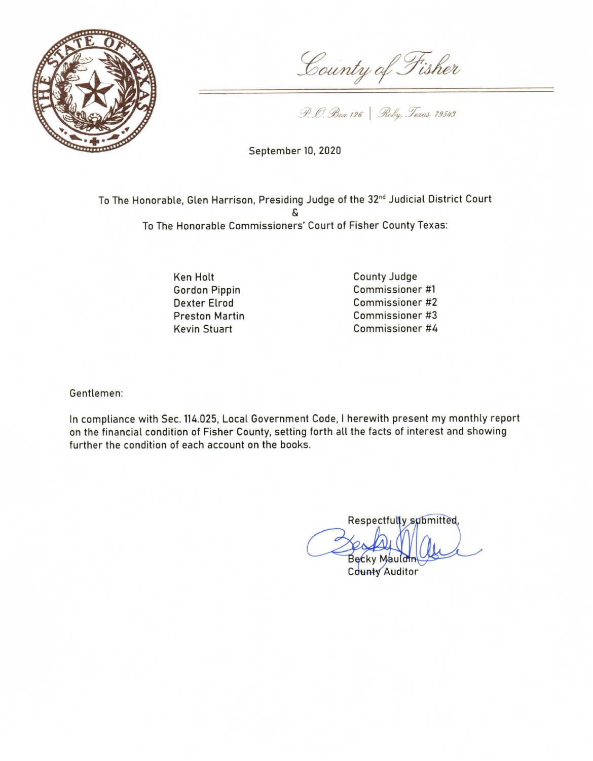

County of Fisher

P. O. Box 126 Roby, Texas 79543

September 10, 2020

To The Honorable, Glen Harrison, Presiding Judge of the 32<sup>nd</sup> Judicial District Court To The Honorable Commissioners' Court of Fisher County Texas:

> **Ken Holt Gordon Pippin Dexter Elrod Preston Martin Kevin Stuart**

County Judge Commissioner #1 Commissioner #2 Commissioner #3 Commissioner #4

Gentlemen:

In compliance with Sec. 114.025, Local Government Code, I herewith present my monthly report on the financial condition of Fisher County, setting forth all the facts of interest and showing further the condition of each account on the books.

Respectfully submitted, Becky Mauld County Auditor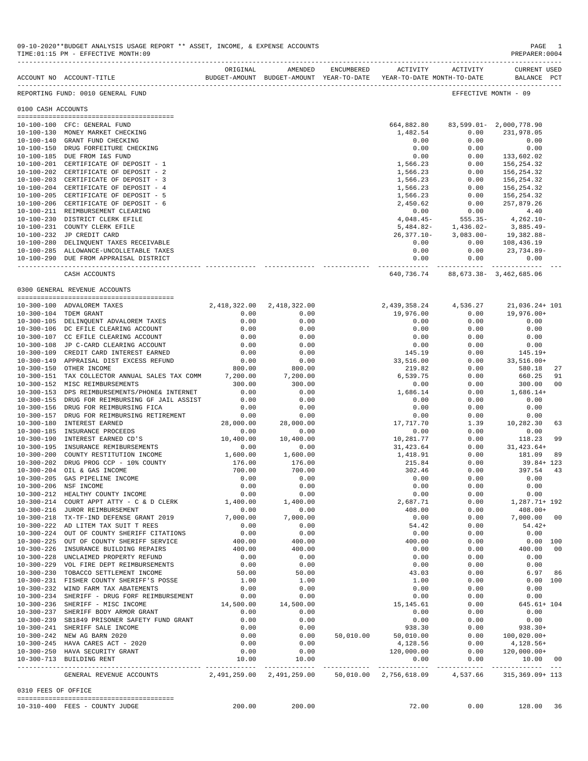|                     | REPORTING FUND: 0010 GENERAL FUND                                                 |                           |                           |           |                                     |              | EFFECTIVE MONTH - 09             |                |
|---------------------|-----------------------------------------------------------------------------------|---------------------------|---------------------------|-----------|-------------------------------------|--------------|----------------------------------|----------------|
| 0100 CASH ACCOUNTS  |                                                                                   |                           |                           |           |                                     |              |                                  |                |
|                     |                                                                                   |                           |                           |           |                                     |              |                                  |                |
|                     | 10-100-100 CFC: GENERAL FUND                                                      |                           |                           |           | 664,882.80                          |              | 83,599.01-2,000,778.90           |                |
|                     | 10-100-130 MONEY MARKET CHECKING                                                  |                           |                           |           | 1,482.54                            | 0.00         | 231,978.05                       |                |
|                     | 10-100-140 GRANT FUND CHECKING                                                    |                           |                           |           | 0.00                                | 0.00         | 0.00                             |                |
|                     | 10-100-150 DRUG FORFEITURE CHECKING                                               |                           |                           |           | 0.00                                | 0.00         | 0.00                             |                |
|                     | 10-100-185 DUE FROM I&S FUND                                                      |                           |                           |           | 0.00                                | 0.00         | 133,602.02                       |                |
|                     | 10-100-201 CERTIFICATE OF DEPOSIT - 1                                             |                           |                           |           | 1,566.23                            | 0.00         | 156,254.32                       |                |
|                     | 10-100-202 CERTIFICATE OF DEPOSIT - 2                                             |                           |                           |           | 1,566.23                            | 0.00         | 156,254.32                       |                |
|                     | 10-100-203 CERTIFICATE OF DEPOSIT - 3                                             |                           |                           |           | 1,566.23                            | 0.00         | 156,254.32                       |                |
|                     | 10-100-204 CERTIFICATE OF DEPOSIT - 4                                             |                           |                           |           | 1,566.23                            | 0.00         | 156,254.32                       |                |
|                     | 10-100-205 CERTIFICATE OF DEPOSIT - 5                                             |                           |                           |           | 1,566.23                            | 0.00         | 156,254.32                       |                |
|                     | 10-100-206 CERTIFICATE OF DEPOSIT - 6                                             |                           |                           |           | 2,450.62                            | 0.00         | 257,879.26                       |                |
|                     | 10-100-211 REIMBURSEMENT CLEARING                                                 |                           |                           |           | 0.00                                | 0.00         | 4.40                             |                |
|                     | 10-100-230 DISTRICT CLERK EFILE                                                   |                           |                           |           | $4,048.45-$                         | $555.35 -$   | $4,262.10-$                      |                |
|                     | 10-100-231 COUNTY CLERK EFILE                                                     |                           |                           |           | 5,484.82-                           | 1,436.02-    | 3,885.49-                        |                |
|                     | 10-100-232 JP CREDIT CARD                                                         |                           |                           |           |                                     |              | 26, 377.10-3, 083.00-19, 382.88- |                |
|                     | 10-100-280 DELINQUENT TAXES RECEIVABLE                                            |                           |                           |           | 0.00                                |              | $0.00$ 108,436.19                |                |
|                     | 10-100-285 ALLOWANCE-UNCOLLETABLE TAXES                                           |                           |                           |           | 0.00                                | 0.00         | 23,734.89-                       |                |
|                     | 10-100-290 DUE FROM APPRAISAL DISTRICT                                            |                           |                           |           | 0.00                                | 0.00         | 0.00                             |                |
|                     | CASH ACCOUNTS                                                                     |                           |                           |           | 640,736.74                          |              | 88,673.38- 3,462,685.06          |                |
|                     | 0300 GENERAL REVENUE ACCOUNTS                                                     |                           |                           |           |                                     |              |                                  |                |
|                     |                                                                                   |                           |                           |           |                                     |              |                                  |                |
|                     | 10-300-100 ADVALOREM TAXES                                                        | 2,418,322.00 2,418,322.00 |                           |           | 2,439,358.24 4,536.27 21,036.24+101 |              |                                  |                |
|                     | 10-300-104 TDEM GRANT                                                             | 0.00                      | 0.00                      |           | 19,976.00                           | 0.00         | 19,976.00+                       |                |
|                     | 10-300-105 DELINQUENT ADVALOREM TAXES                                             | 0.00                      | 0.00                      |           | 0.00                                | 0.00         | 0.00                             |                |
|                     | 10-300-106 DC EFILE CLEARING ACCOUNT                                              | 0.00                      | 0.00                      |           | 0.00                                | 0.00         | 0.00                             |                |
|                     | 10-300-107 CC EFILE CLEARING ACCOUNT                                              | 0.00                      | 0.00                      |           | 0.00                                | 0.00         | 0.00                             |                |
|                     | 10-300-108 JP C-CARD CLEARING ACCOUNT                                             | 0.00                      | 0.00                      |           | 0.00                                | 0.00         | 0.00                             |                |
|                     | 10-300-109 CREDIT CARD INTEREST EARNED<br>10-300-149 APPRAISAL DIST EXCESS REFUND | 0.00                      | 0.00                      |           | 145.19                              | 0.00         | 145.19+                          |                |
|                     | 10-300-150 OTHER INCOME                                                           | 0.00<br>800.00            | 0.00<br>800.00            |           | 33,516.00<br>219.82                 | 0.00<br>0.00 | 33,516.00+<br>580.18             | 27             |
|                     | 10-300-151 TAX COLLECTOR ANNUAL SALES TAX COMM                                    | 7,200.00                  | 7,200.00                  |           | 6,539.75                            | 0.00         | 660.25                           | 91             |
|                     | 10-300-152 MISC REIMBURSEMENTS                                                    | 300.00                    | 300.00                    |           | 0.00                                | 0.00         | 300.00                           | 0 <sub>0</sub> |
|                     | 10-300-153 DPS REIMBURSEMENTS/PHONE& INTERNET                                     | 0.00                      | 0.00                      |           | 1,686.14                            | 0.00         | $1,686.14+$                      |                |
|                     | 10-300-155 DRUG FOR REIMBURSING GF JAIL ASSIST                                    | 0.00                      | 0.00                      |           | 0.00                                | 0.00         | 0.00                             |                |
|                     | 10-300-156 DRUG FOR REIMBURSING FICA                                              | 0.00                      | 0.00                      |           | 0.00                                | 0.00         | 0.00                             |                |
|                     | 10-300-157 DRUG FOR REIMBURSING RETIREMENT                                        | 0.00                      | 0.00                      |           | 0.00                                | 0.00         | 0.00                             |                |
|                     | 10-300-180 INTEREST EARNED                                                        | 28,000.00                 | 28,000.00                 |           | 17,717.70                           | 1.39         | 10,282.30                        | 63             |
|                     | 10-300-185 INSURANCE PROCEEDS                                                     | 0.00                      | 0.00                      |           | 0.00                                | 0.00         | 0.00                             |                |
|                     | 10-300-190 INTEREST EARNED CD'S                                                   | 10,400.00                 | 10,400.00                 |           | 10,281.77                           | 0.00         | 118.23                           | 99             |
|                     | 10-300-195 INSURANCE REMIBURSEMENTS                                               | 0.00                      | 0.00                      |           | 31,423.64                           | 0.00         | 31,423.64+                       |                |
|                     | 10-300-200 COUNTY RESTITUTION INCOME                                              | 1,600.00                  | 1,600.00                  |           | 1,418.91                            | 0.00         | 181.09                           | 89             |
|                     | 10-300-202 DRUG PROG CCP - 10% COUNTY                                             | 176.00                    | 176.00                    |           | 215.84                              | 0.00         | $39.84 + 123$                    |                |
|                     | 10-300-204 OIL & GAS INCOME                                                       | 700.00                    | 700.00                    |           | 302.46                              | 0.00         | 397.54                           | 43             |
|                     | 10-300-205 GAS PIPELINE INCOME                                                    | 0.00                      | 0.00                      |           | 0.00                                | 0.00         | 0.00                             |                |
|                     | 10-300-206 NSF INCOME                                                             | 0.00                      | 0.00                      |           | 0.00                                | 0.00         | 0.00                             |                |
|                     | 10-300-212 HEALTHY COUNTY INCOME                                                  | 0.00                      | 0.00                      |           | 0.00                                | 0.00         | 0.00                             |                |
|                     | 10-300-214 COURT APPT ATTY - C & D CLERK                                          | 1,400.00                  | 1,400.00                  |           | 2,687.71                            | 0.00         | 1,287.71+ 192                    |                |
|                     | 10-300-216 JUROR REIMBURSEMENT                                                    | 0.00                      | 0.00                      |           | 408.00                              | 0.00         | $408.00+$                        |                |
|                     | 10-300-218 TX-TF-IND DEFENSE GRANT 2019                                           | 7,000.00                  | 7,000.00                  |           | 0.00                                | 0.00         | 7,000.00                         | - 00           |
|                     | 10-300-222 AD LITEM TAX SUIT T REES                                               | 0.00                      | 0.00                      |           | 54.42                               | 0.00         | $54.42+$                         |                |
|                     | 10-300-224 OUT OF COUNTY SHERIFF CITATIONS                                        | 0.00                      | 0.00                      |           | 0.00                                | 0.00         | 0.00                             |                |
|                     | 10-300-225 OUT OF COUNTY SHERIFF SERVICE                                          | 400.00                    | 400.00                    |           | 400.00                              | 0.00         | 0.00 100                         |                |
|                     | 10-300-226 INSURANCE BUILDING REPAIRS                                             | 400.00                    | 400.00                    |           | 0.00                                | 0.00         | 400.00                           | 00             |
|                     | 10-300-228 UNCLAIMED PROPERTY REFUND                                              | 0.00                      | 0.00                      |           | 0.00                                | 0.00         | 0.00                             |                |
|                     | 10-300-229 VOL FIRE DEPT REIMBURSEMENTS                                           | 0.00                      | 0.00                      |           | 0.00                                | 0.00         | 0.00                             |                |
|                     | 10-300-230 TOBACCO SETTLEMENT INCOME                                              | 50.00                     | 50.00                     |           | 43.03                               | 0.00         | 6.97                             | 86             |
|                     | 10-300-231 FISHER COUNTY SHERIFF'S POSSE                                          | 1.00                      | 1.00                      |           | 1.00                                | 0.00         | 0.00 100                         |                |
|                     | 10-300-232 WIND FARM TAX ABATEMENTS                                               | 0.00                      | 0.00                      |           | 0.00                                | 0.00         | 0.00                             |                |
|                     | 10-300-234 SHERIFF - DRUG FORF REIMBURSEMENT                                      | 0.00                      | 0.00                      |           | 0.00                                | 0.00         | 0.00                             |                |
|                     | 10-300-236 SHERIFF - MISC INCOME                                                  | 14,500.00                 | 14,500.00                 |           | 15,145.61                           | 0.00         | 645.61+ 104                      |                |
|                     | 10-300-237 SHERIFF BODY ARMOR GRANT                                               | 0.00                      | 0.00                      |           | 0.00                                | 0.00         | 0.00                             |                |
|                     | 10-300-239 SB1849 PRISONER SAFETY FUND GRANT                                      | 0.00                      | 0.00                      |           | 0.00                                | 0.00         | 0.00                             |                |
|                     | 10-300-241 SHERIFF SALE INCOME                                                    | 0.00                      | 0.00                      |           | 938.30                              | 0.00         | $938.30+$                        |                |
|                     | 10-300-242 NEW AG BARN 2020                                                       | 0.00                      | 0.00                      | 50,010.00 | 50,010.00                           | 0.00         | $100,020.00+$                    |                |
|                     | 10-300-245 HAVA CARES ACT - 2020                                                  | 0.00                      | 0.00                      |           | 4,128.56                            | 0.00         | 4,128.56+                        |                |
|                     | 10-300-250 HAVA SECURITY GRANT                                                    | 0.00                      | 0.00                      |           | 120,000.00                          | 0.00         | $120,000.00+$                    |                |
|                     | 10-300-713 BUILDING RENT                                                          | 10.00                     | 10.00                     |           | 0.00                                | 0.00         | 10.00 00                         |                |
|                     |                                                                                   |                           |                           |           |                                     |              |                                  |                |
|                     | GENERAL REVENUE ACCOUNTS                                                          |                           | 2,491,259.00 2,491,259.00 |           | 50,010.00 2,756,618.09              |              | 4,537.66 315,369.09+113          |                |
| 0310 FEES OF OFFICE |                                                                                   |                           |                           |           |                                     |              |                                  |                |
|                     | 10-310-400 FEES - COUNTY JUDGE                                                    | 200.00                    | 200.00                    |           | 72.00                               | 0.00         | 128.00                           | 36             |
|                     |                                                                                   |                           |                           |           |                                     |              |                                  |                |

ACCOUNT NO ACCOUNT-TITLE BUDGET-AMOUNT BUDGET-AMOUNT YEAR-TO-DATE YEAR-TO-DATE MONTH-TO-DATE BALANCE PCT

09-10-2020\*\*BUDGET ANALYSIS USAGE REPORT \*\* ASSET, INCOME, & EXPENSE ACCOUNTS PAGE 1<br>TIME:01:15 PM - EFFECTIVE MONTH:09 TIME:01:15 PM - EFFECTIVE MONTH:09

-------------------------------------------------------------------------------------------------------------------------------------------

ORIGINAL AMENDED ENCUMBERED ACTIVITY ACTIVITY CURRENT USED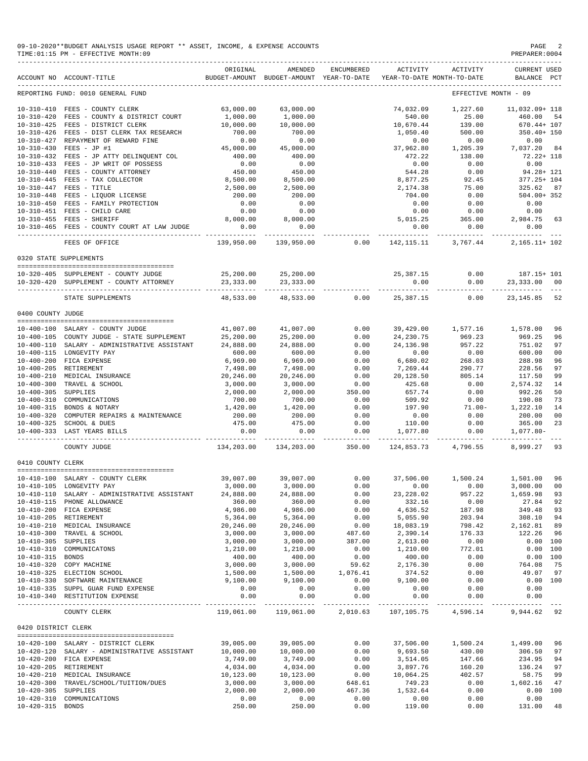09-10-2020\*\*BUDGET ANALYSIS USAGE REPORT \*\* ASSET, INCOME, & EXPENSE ACCOUNTS<br>TIME:01:15 PM - EFFECTIVE MONTH:09  $TIME:01:15 PM - EFFECTIVE MOMTH:09$ 

|                     | ACCOUNT NO ACCOUNT-TITLE                     | ORIGINAL                  | AMENDED<br>BUDGET-AMOUNT BUDGET-AMOUNT YEAR-TO-DATE | <b>ENCUMBERED</b>    | ACTIVITY                  | ACTIVITY<br>YEAR-TO-DATE MONTH-TO-DATE | <b>CURRENT USED</b><br>BALANCE | PCT            |
|---------------------|----------------------------------------------|---------------------------|-----------------------------------------------------|----------------------|---------------------------|----------------------------------------|--------------------------------|----------------|
|                     | REPORTING FUND: 0010 GENERAL FUND            |                           |                                                     |                      |                           |                                        | EFFECTIVE MONTH - 09           |                |
|                     | 10-310-410 FEES - COUNTY CLERK               | 63,000.00                 | 63,000.00                                           |                      | 74,032.09                 | 1,227.60                               | 11,032.09+ 118                 |                |
| $10 - 310 - 420$    | FEES - COUNTY & DISTRICT COURT               | 1,000.00                  | 1,000.00                                            |                      | 540.00                    | 25.00                                  | 460.00                         | 54             |
| $10 - 310 - 425$    | FEES - DISTRICT CLERK                        | 10,000.00                 | 10,000.00                                           |                      | 10,670.44                 | 139.00                                 | $670.44 + 107$                 |                |
| $10 - 310 - 426$    | FEES - DIST CLERK TAX RESEARCH               | 700.00                    | 700.00                                              |                      | 1,050.40                  | 500.00                                 | 350.40+ 150                    |                |
| $10 - 310 - 427$    | REPAYMENT OF REWARD FINE                     | 0.00                      | 0.00                                                |                      | 0.00                      | 0.00                                   | 0.00                           |                |
| $10 - 310 - 430$    | $FEES - JP$ #1                               | 45,000.00                 | 45,000.00                                           |                      | 37,962.80                 | 1,205.39                               | 7,037.20                       | 84             |
| $10 - 310 - 432$    | FEES - JP ATTY DELINQUENT COL                | 400.00                    | 400.00                                              |                      | 472.22                    | 138.00                                 | $72.22 + 118$                  |                |
| $10 - 310 - 433$    | FEES - JP WRIT OF POSSESS                    | 0.00                      | 0.00                                                |                      | 0.00                      | 0.00                                   | 0.00                           |                |
| $10 - 310 - 440$    | FEES - COUNTY ATTORNEY                       | 450.00                    | 450.00                                              |                      | 544.28                    | 0.00                                   | $94.28 + 121$                  |                |
| $10 - 310 - 445$    | FEES - TAX COLLECTOR                         | 8,500.00                  | 8,500.00                                            |                      | 8,877.25                  | 92.45                                  | $377.25 + 104$                 |                |
| $10 - 310 - 447$    | FEES - TITLE                                 | 2,500.00                  | 2,500.00                                            |                      | 2,174.38                  | 75.00                                  | 325.62                         | 87             |
|                     | 10-310-448 FEES - LIQUOR LICENSE             | 200.00                    | 200.00                                              |                      | 704.00                    | 0.00                                   | $504.00 + 352$                 |                |
| $10 - 310 - 450$    | FEES - FAMILY PROTECTION                     | 0.00                      | 0.00                                                |                      | 0.00                      | 0.00                                   | 0.00                           |                |
|                     | 10-310-451 FEES - CHILD CARE                 | 0.00                      | 0.00                                                |                      | 0.00                      | 0.00                                   | 0.00                           |                |
|                     | 10-310-455 FEES - SHERIFF                    | 8,000.00                  | 8,000.00                                            |                      | 5,015.25                  | 365.00                                 | 2,984.75                       | 63             |
|                     | 10-310-465 FEES - COUNTY COURT AT LAW JUDGE  | 0.00<br>---------         | 0.00                                                |                      | 0.00                      | 0.00                                   | 0.00                           |                |
|                     | FEES OF OFFICE                               | 139,950.00                | 139,950.00                                          | 0.00                 | 142,115.11                | 3,767.44                               | 2, 165. 11+ 102                |                |
|                     | 0320 STATE SUPPLEMENTS                       |                           |                                                     |                      |                           |                                        |                                |                |
|                     |                                              |                           |                                                     |                      |                           |                                        |                                |                |
|                     | 10-320-405 SUPPLEMENT - COUNTY JUDGE         | 25,200.00                 | 25,200.00                                           |                      | 25, 387. 15               | 0.00                                   | 187.15+ 101                    |                |
|                     | 10-320-420 SUPPLEMENT - COUNTY ATTORNEY      | 23, 333.00<br>----------  | 23, 333.00                                          |                      | 0.00                      | 0.00<br>------                         | 23,333.00<br>------------      | 00             |
|                     | STATE SUPPLEMENTS                            | 48,533.00                 | 48,533.00                                           | 0.00                 | 25,387.15                 | 0.00                                   | 23, 145.85                     | 52             |
| 0400 COUNTY JUDGE   |                                              |                           |                                                     |                      |                           |                                        |                                |                |
|                     | 10-400-100 SALARY - COUNTY JUDGE             | 41,007.00                 |                                                     | 0.00                 |                           |                                        |                                | 96             |
|                     | 10-400-105 COUNTY JUDGE - STATE SUPPLEMENT   | 25,200.00                 | 41,007.00<br>25,200.00                              | 0.00                 | 39,429.00<br>24, 230.75   | 1,577.16<br>969.23                     | 1,578.00<br>969.25             | 96             |
|                     | 10-400-110 SALARY - ADMINISTRATIVE ASSISTANT | 24,888.00                 | 24,888.00                                           | 0.00                 | 24, 136.98                | 957.22                                 | 751.02                         | 97             |
|                     | 10-400-115 LONGEVITY PAY                     | 600.00                    | 600.00                                              | 0.00                 | 0.00                      | 0.00                                   | 600.00                         | 0 <sub>0</sub> |
|                     | 10-400-200 FICA EXPENSE                      | 6,969.00                  | 6,969.00                                            | 0.00                 | 6,680.02                  | 268.03                                 | 288.98                         | 96             |
|                     | 10-400-205 RETIREMENT                        | 7,498.00                  | 7,498.00                                            | 0.00                 | 7,269.44                  | 290.77                                 | 228.56                         | 97             |
| $10 - 400 - 210$    | MEDICAL INSURANCE                            | 20,246.00                 | 20,246.00                                           | 0.00                 | 20,128.50                 | 805.14                                 | 117.50                         | 99             |
| $10 - 400 - 300$    | TRAVEL & SCHOOL                              | 3,000.00                  | 3,000.00                                            | 0.00                 | 425.68                    | 0.00                                   | 2,574.32                       | 14             |
| $10 - 400 - 305$    | SUPPLIES                                     | 2,000.00                  | 2,000.00                                            | 350.00               | 657.74                    | 0.00                                   | 992.26                         | 50             |
| $10 - 400 - 310$    | COMMUNICATIONS                               | 700.00                    | 700.00                                              | 0.00                 | 509.92                    | 0.00                                   | 190.08                         | 73             |
| $10 - 400 - 315$    | BONDS & NOTARY                               | 1,420.00                  | 1,420.00                                            | 0.00                 | 197.90                    | $71.00 -$                              | 1,222.10                       | 14             |
| $10 - 400 - 320$    | COMPUTER REPAIRS & MAINTENANCE               | 200.00                    | 200.00                                              | 0.00                 | 0.00                      | 0.00                                   | 200.00                         | 0 <sup>0</sup> |
|                     | 10-400-325 SCHOOL & DUES                     | 475.00                    | 475.00                                              | 0.00                 | 110.00                    | 0.00                                   | 365.00                         | 23             |
|                     | 10-400-333 LAST YEARS BILLS                  | 0.00                      | 0.00                                                | 0.00                 | 1,077.80                  | 0.00                                   | $1,077.80-$                    |                |
|                     | COUNTY JUDGE                                 | -----------<br>134,203.00 | ----------<br>134,203.00                            | ----------<br>350.00 | -----------<br>124,853.73 | ------------<br>4,796.55               | 8,999.27                       | 93             |
| 0410 COUNTY CLERK   |                                              |                           |                                                     |                      |                           |                                        |                                |                |
|                     |                                              |                           |                                                     |                      |                           |                                        |                                |                |
|                     | 10-410-100 SALARY - COUNTY CLERK             | 39,007.00                 | 39,007.00                                           | 0.00                 | 37,506.00                 | 1,500.24                               | 1,501.00                       | 96             |
|                     | 10-410-105 LONGEVITY PAY                     | 3,000.00                  | 3,000.00                                            | 0.00                 | 0.00                      | 0.00                                   | 3,000.00                       | 0 <sup>0</sup> |
|                     | 10-410-110 SALARY - ADMINISTRATIVE ASSISTANT | 24,888.00                 | 24,888.00                                           | 0.00                 | 23, 228.02                | 957.22                                 | 1,659.98                       | 93             |
|                     | 10-410-115 PHONE ALLOWANCE                   | 360.00                    | 360.00                                              | 0.00                 | 332.16                    | 0.00                                   | 27.84 92                       |                |
|                     | 10-410-200 FICA EXPENSE                      | 4,986.00                  | 4,986.00                                            | 0.00                 | 4,636.52                  | 187.98                                 | 349.48 93                      |                |
|                     | 10-410-205 RETIREMENT                        | 5,364.00                  | 5,364.00                                            | 0.00                 | 5,055.90                  | 203.94                                 | 308.10 94                      |                |
|                     | 10-410-210 MEDICAL INSURANCE                 | 20,246.00                 | 20,246.00                                           | 0.00                 | 18,083.19                 | 798.42                                 | 2,162.81 89                    |                |
|                     | 10-410-300 TRAVEL & SCHOOL                   | 3,000.00                  | 3,000.00                                            | 487.60               | 2,390.14                  | 176.33                                 | 122.26                         | 96             |
| 10-410-305 SUPPLIES |                                              | 3,000.00                  | 3,000.00                                            | 387.00               | 2,613.00                  | 0.00                                   | 0.00 100                       |                |
|                     | 10-410-310 COMMUNICATONS                     | 1,210.00                  | 1,210.00                                            | 0.00                 | 1,210.00                  | 772.01                                 | 0.00 100                       |                |
| 10-410-315 BONDS    |                                              | 400.00                    | 400.00                                              | 0.00                 | 400.00                    | 0.00                                   | 0.00 100                       |                |
|                     | 10-410-320 COPY MACHINE                      | 3,000.00                  | 3,000.00                                            | 59.62                | 2,176.30                  | 0.00                                   | 764.08                         | 75             |
|                     | 10-410-325 ELECTION SCHOOL                   | 1,500.00                  | 1,500.00                                            | 1,076.41             | 374.52                    | 0.00                                   | 49.07 97                       |                |
|                     | 10-410-330 SOFTWARE MAINTENANCE              | 9,100.00                  | 9,100.00                                            | 0.00                 | 9,100.00                  | 0.00                                   | 0.00 100                       |                |
|                     | 10-410-335 SUPPL GUAR FUND EXPENSE           | 0.00                      | 0.00                                                | 0.00                 | 0.00                      | 0.00                                   | 0.00                           |                |
|                     | 10-410-340 RESTITUTION EXPENSE               | 0.00                      | 0.00                                                | 0.00<br>---------    | 0.00<br>-----------       | 0.00                                   | 0.00<br>---------              |                |
|                     | COUNTY CLERK                                 | 119,061.00                | 119,061.00                                          | 2,010.63             | 107,105.75                | 4,596.14                               | 9,944.62 92                    |                |
| 0420 DISTRICT CLERK |                                              |                           |                                                     |                      |                           |                                        |                                |                |
|                     | 10-420-100 SALARY - DISTRICT CLERK           | 39,005.00                 | 39,005.00                                           | 0.00                 | 37,506.00                 | 1,500.24                               | 1,499.00                       | 96             |
|                     | 10-420-120 SALARY - ADMINISTRATIVE ASSISTANT | 10,000.00                 | 10,000.00                                           | 0.00                 | 9,693.50                  | 430.00                                 | 306.50                         | 97             |
|                     | 10-420-200 FICA EXPENSE                      | 3,749.00                  | 3,749.00                                            | 0.00                 | 3,514.05                  | 147.66                                 | 234.95 94                      |                |
|                     | 10-420-205 RETIREMENT                        | 4,034.00                  | 4,034.00                                            | 0.00                 | 3,897.76                  | 160.20                                 | 136.24                         | 97             |
|                     | 10-420-210 MEDICAL INSURANCE                 | 10,123.00                 | 10,123.00                                           | 0.00                 | 10,064.25                 | 402.57                                 | 58.75                          | 99             |
|                     | 10-420-300 TRAVEL/SCHOOL/TUITION/DUES        | 3,000.00                  | 3,000.00                                            | 648.61               | 749.23                    | 0.00                                   | 1,602.16                       | 47             |
| 10-420-305 SUPPLIES |                                              | 2,000.00                  | 2,000.00                                            | 467.36               | 1,532.64                  | 0.00                                   | 0.00 100                       |                |
|                     | 10-420-310 COMMUNICATIONS                    | 0.00                      | 0.00                                                | 0.00                 | 0.00                      | 0.00                                   | 0.00                           |                |

10-420-315 BONDS 250.00 250.00 0.00 119.00 0.00 131.00 48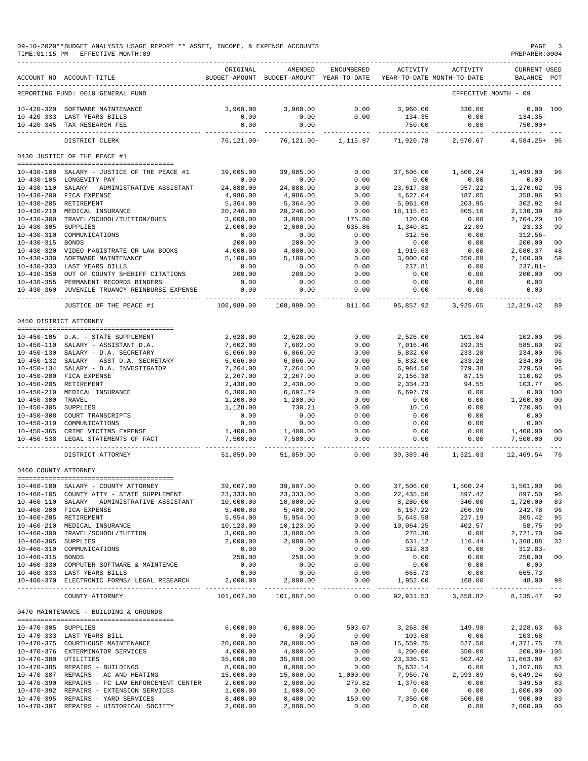## 09-10-2020\*\*BUDGET ANALYSIS USAGE REPORT \*\* ASSET, INCOME, & EXPENSE ACCOUNTS<br>TIME:01:15 PM - EFFECTIVE MONTH:09  $TIME:01:15 PM - EFFECTIVE MOMTH:09$

|                                      | ACCOUNT NO ACCOUNT-TITLE                                              | ORIGINAL              | AMENDED<br>BUDGET-AMOUNT BUDGET-AMOUNT YEAR-TO-DATE | <b>ENCUMBERED</b>     | ACTIVITY              | ACTIVITY<br>YEAR-TO-DATE MONTH-TO-DATE          | <b>CURRENT USED</b><br>BALANCE | PCT            |
|--------------------------------------|-----------------------------------------------------------------------|-----------------------|-----------------------------------------------------|-----------------------|-----------------------|-------------------------------------------------|--------------------------------|----------------|
|                                      |                                                                       |                       |                                                     |                       |                       |                                                 |                                |                |
|                                      | REPORTING FUND: 0010 GENERAL FUND                                     |                       |                                                     |                       |                       |                                                 | EFFECTIVE MONTH - 09           |                |
| $10 - 420 - 320$                     | SOFTWARE MAINTENANCE                                                  | 3,960.00              | 3,960,00                                            | 0.00                  | 3,960.00              | 330.00                                          | $0.00$ 100                     |                |
|                                      | 10-420-333 LAST YEARS BILLS                                           | 0.00                  | 0.00                                                | 0.00                  | 134.35                | 0.00                                            | $134.35-$                      |                |
|                                      | 10-420-345 TAX RESEARCH FEE                                           | 0.00                  | 0.00                                                |                       | 750.00                | 0.00                                            | $750.00+$                      |                |
|                                      | DISTRICT CLERK                                                        | $76, 121.00 -$        | $76, 121.00 -$                                      | 1,115.97              | 71,920.78             | 2,970.67                                        | $4,584.25+96$                  |                |
|                                      | 0430 JUSTICE OF THE PEACE #1                                          |                       |                                                     |                       |                       |                                                 |                                |                |
|                                      |                                                                       |                       |                                                     |                       |                       |                                                 |                                |                |
| $10 - 430 - 100$                     | SALARY - JUSTICE OF THE PEACE #1<br>10-430-105 LONGEVITY PAY          | 39,005.00<br>0.00     | 39,005.00<br>0.00                                   | 0.00<br>0.00          | 37,506.00<br>0.00     | 1,500.24<br>0.00                                | 1,499.00<br>0.00               | 96             |
| $10 - 430 - 110$                     | SALARY - ADMINISTRATIVE ASSISTANT                                     | 24,888.00             | 24,888.00                                           | 0.00                  | 23,617.38             | 957.22                                          | 1,270.62                       | 95             |
| $10 - 430 - 200$                     | FICA EXPENSE                                                          | 4,986.00              | 4,986.00                                            | 0.00                  | 4,627.04              | 187.05                                          | 358.96                         | 93             |
| $10 - 430 - 205$                     | RETIREMENT                                                            | 5,364.00              | 5,364.00                                            | 0.00                  | 5,061.08              | 203.95                                          | 302.92                         | 94             |
| $10 - 430 - 210$                     | MEDICAL INSURANCE                                                     | 20,246.00             | 20,246.00                                           | 0.00                  | 18, 115.61            | 805.10                                          | 2,130.39                       | 89             |
| $10 - 430 - 300$                     | TRAVEL/SCHOOL/TUITION/DUES                                            | 3,000.00              | 3,000.00                                            | 175.80                | 120.00                | 0.00                                            | 2,704.20                       | 10             |
| $10 - 430 - 305$                     | SUPPLIES                                                              | 2,000.00              | 2,000.00                                            | 635.86                | 1,340.81              | 22.09                                           | 23.33                          | 99             |
| $10 - 430 - 310$<br>$10 - 430 - 315$ | COMMUNICATIONS<br><b>BONDS</b>                                        | 0.00<br>200.00        | 0.00<br>200.00                                      | 0.00<br>0.00          | 312.56<br>0.00        | 0.00<br>0.00                                    | $312.56-$<br>200.00            | 00             |
| $10 - 430 - 320$                     | VIDEO MAGISTRATE OR LAW BOOKS                                         | 4,000.00              | 4,000.00                                            | 0.00                  | 1,919.63              | 0.00                                            | 2,080.37                       | 48             |
| $10 - 430 - 330$                     | SOFTWARE MAINTENANCE                                                  | 5,100.00              | 5,100.00                                            | 0.00                  | 3,000.00              | 250.00                                          | 2,100.00                       | 59             |
| $10 - 430 - 333$                     | LAST YEARS BILLS                                                      | 0.00                  | 0.00                                                | 0.00                  | 237.81                | 0.00                                            | $237.81 -$                     |                |
| $10 - 430 - 350$                     | OUT OF COUNTY SHERIFF CITATIONS                                       | 200.00                | 200.00                                              | 0.00                  | 0.00                  | 0.00                                            | 200.00                         | 00             |
|                                      | 10-430-355 PERMANENT RECORDS BINDERS                                  | 0.00                  | 0.00                                                | 0.00                  | 0.00                  | 0.00                                            | 0.00                           |                |
| $10 - 430 - 360$                     | JUVENILE TRUANCY REINBURSE EXPENSE                                    | 0.00<br>--------      | 0.00                                                | 0.00                  | 0.00                  | 0.00                                            | 0.00                           |                |
|                                      | JUSTICE OF THE PEACE #1                                               | 108,989.00            | 108,989.00                                          | 811.66                | 95,857.92             | 3,925.65                                        | 12,319.42                      | 89             |
|                                      | 0450 DISTRICT ATTORNEY                                                |                       |                                                     |                       |                       |                                                 |                                |                |
|                                      |                                                                       |                       |                                                     |                       |                       |                                                 |                                |                |
|                                      | 10-450-105 D.A. - STATE SUPPLEMENT                                    | 2,628,00              | 2,628.00                                            | 0.00                  | 2,526.00              | 101.04                                          | 102.00                         | 96             |
|                                      | 10-450-110 SALARY - ASSISTANT D.A.                                    | 7,602.00              | 7,602.00                                            | 0.00                  | 7,016.40              | 292.35                                          | 585.60                         | 92             |
| $10 - 450 - 130$<br>$10 - 450 - 132$ | SALARY - D.A. SECRETARY<br>SALARY - ASST D.A. SECRETARY               | 6,066.00<br>6,066.00  | 6,066.00<br>6,066.00                                | 0.00<br>0.00          | 5,832.00<br>5,832.00  | 233.28<br>233.28                                | 234.00<br>234.00               | 96<br>96       |
| 10-450-134                           | SALARY - D.A. INVESTIGATOR                                            | 7,264.00              | 7,264.00                                            | 0.00                  | 6,984.50              | 279.38                                          | 279.50                         | 96             |
| $10 - 450 - 200$                     | FICA EXPENSE                                                          | 2,267.00              | 2,267.00                                            | 0.00                  | 2,156.38              | 87.15                                           | 110.62                         | 95             |
| $10 - 450 - 205$                     | RETIREMENT                                                            | 2,438.00              | 2,438.00                                            | 0.00                  | 2,334.23              | 94.55                                           | 103.77                         | 96             |
| $10 - 450 - 210$                     | MEDICAL INSURANCE                                                     | 6,300.00              | 6,697.79                                            | 0.00                  | 6,697.79              | 0.00                                            | 0.00                           | 100            |
| $10 - 450 - 300$                     | TRAVEL                                                                | 1,200.00              | 1,200.00                                            | 0.00                  | 0.00                  | 0.00                                            | 1,200.00                       | 0 <sup>0</sup> |
| $10 - 450 - 305$                     | SUPPLIES                                                              | 1,128.00              | 730.21                                              | 0.00                  | 10.16                 | 0.00                                            | 720.05                         | 01             |
| $10 - 450 - 308$                     | COURT TRANSCRIPTS                                                     | 0.00                  | 0.00                                                | 0.00                  | 0.00                  | 0.00                                            | 0.00                           |                |
| $10 - 450 - 310$                     | COMMUNICATIONS<br>CRIME VICTIMS EXPENSE                               | 0.00                  | 0.00                                                | 0.00<br>0.00          | 0.00<br>0.00          | 0.00<br>0.00                                    | 0.00<br>1,400.00               |                |
| $10 - 450 - 365$                     | 10-450-538 LEGAL STATEMENTS OF FACT                                   | 1,400.00<br>7,500.00  | 1,400.00<br>7,500.00                                | 0.00                  | 0.00                  | 0.00                                            | 7,500.00                       | 00<br>00       |
|                                      |                                                                       |                       |                                                     | $- - - -$             |                       |                                                 |                                |                |
|                                      | DISTRICT ATTORNEY                                                     | 51,859.00             | 51,859.00                                           | 0.00                  | 39,389.46             | 1,321.03                                        | 12,469.54                      | 76             |
| 0460 COUNTY ATTORNEY                 |                                                                       |                       |                                                     |                       |                       |                                                 |                                |                |
|                                      | 10-460-100 SALARY - COUNTY ATTORNEY                                   | 39,007.00             | 39,007.00                                           | 0.00                  | 37,506.00             | 1,500.24                                        | 1,501.00                       | 96             |
|                                      | 10-460-105 COUNTY ATTY - STATE SUPPLEMENT                             | 23, 333.00            | 23, 333.00                                          | 0.00                  | 22, 435.50            | 897.42                                          | 897.50                         | 96             |
| $10 - 460 - 110$                     | SALARY - ADMINISTRATIVE ASSISTANT                                     | 10,000.00             | 10,000.00                                           | 0.00                  | 8,280.00              | 340.00                                          | 1,720.00                       | 83             |
|                                      | 10-460-200 FICA EXPENSE                                               | 5,400.00              | 5,400.00                                            | 0.00                  | 5, 157. 22            | 206.96                                          | 242.78                         | 96             |
|                                      | 10-460-205 RETIREMENT                                                 | 5,954.00              | 5,954.00                                            | 0.00                  | 5,648.58              | 227.19                                          | 305.42 95                      |                |
|                                      | 10-460-210 MEDICAL INSURANCE                                          | 10,123.00             | 10,123.00                                           | 0.00                  | 10,064.25             | 402.57                                          | 58.75                          | 99             |
|                                      | 10-460-300 TRAVEL/SCHOOL/TUITION                                      | 3,000.00              | 3,000.00                                            | 0.00                  | 278.30                | 0.00                                            | 2,721.70 09                    |                |
| 10-460-305 SUPPLIES                  | 10-460-310 COMMUNICATIONS                                             | 2,000.00<br>0.00      | 2,000.00<br>0.00                                    | 0.00<br>0.00          | 631.12<br>312.83      | 116.44<br>0.00                                  | 1,368.88<br>$312.83-$          | 32             |
| 10-460-315 BONDS                     |                                                                       | 250.00                | 250.00                                              | 0.00                  | 0.00                  | 0.00                                            | 250.00                         | 00             |
|                                      | 10-460-330 COMPUTER SOFTWARE & MAINTENCE                              | 0.00                  | 0.00                                                | 0.00                  | 0.00                  | 0.00                                            | 0.00                           |                |
|                                      | 10-460-333 LAST YEARS BILLS                                           | 0.00                  | 0.00                                                | 0.00                  | 665.73                | 0.00                                            | $665.73-$                      |                |
|                                      | 10-460-370 ELECTRONIC FORMS/ LEGAL RESEARCH                           | 2,000.00              | 2,000.00                                            | 0.00                  | 1,952.00              | 168.00                                          | 48.00                          | 98             |
|                                      | COUNTY ATTORNEY                                                       | 101,067.00            | -------------<br>101,067.00                         | -------------<br>0.00 |                       | ------------ ------------<br>92,931.53 3,858.82 | 8.135.47 92                    |                |
|                                      | 0470 MAINTENANCE - BUILDING & GROUNDS                                 |                       |                                                     |                       |                       |                                                 |                                |                |
|                                      |                                                                       |                       |                                                     |                       |                       |                                                 |                                |                |
| 10-470-305 SUPPLIES                  |                                                                       | 6,000.00              | 6,000.00                                            | 503.07                | 3,268.30              | 149.98                                          | 2,228.63 63                    |                |
|                                      | 10-470-333 LAST YEARS BILL                                            | 0.00                  | 0.00                                                | 0.00                  | 103.68                | 0.00                                            | $103.68 -$                     |                |
|                                      | 10-470-375 COURTHOUSE MAINTENANCE<br>10-470-376 EXTERMINATOR SERVICES | 20,000.00<br>4,000.00 | 20,000.00<br>4,000.00                               | 69.00<br>0.00         | 15,559.25<br>4,200.00 | 627.50<br>350.00                                | 4,371.75<br>$200.00 - 105$     | 78             |
| 10-470-380 UTILITIES                 |                                                                       | 35,000.00             | 35,000.00                                           | 0.00                  | 23, 336.91            | 502.42                                          | 11,663.09                      | 67             |
|                                      | 10-470-385 REPAIRS - BUILDINGS                                        | 8,000.00              | 8,000.00                                            | 0.00                  | 6,632.14              | 0.00                                            | 1,367.86                       | 83             |
|                                      | 10-470-387 REPAIRS - AC AND HEATING                                   | 15,000.00             | 15,000.00                                           | 1,000.00              | 7,950.76              | 2,993.89                                        | 6,049.24                       | 60             |
|                                      | 10-470-390 REPAIRS - FC LAW ENFORCEMENT CENTER                        | 2,000.00              | 2,000.00                                            | 279.82                | 1,370.68              | 0.00                                            | 349.50                         | 83             |
|                                      | 10-470-392 REPAIRS - EXTENSION SERVICES                               | 1,000.00              | 1,000.00                                            | 0.00                  | 0.00                  | 0.00                                            | 1,000.00                       | 00             |
|                                      | 10-470-395 REPAIRS - YARD SERVICES                                    | 8,400.00              | 8,400.00                                            | 150.00                | 7,350.00              | 500.00                                          | 900.00                         | 89             |

10-470-397 REPAIRS - HISTORICAL SOCIETY 2,000.00 2,000.00 0.00 0.00 0.00 2,000.00 00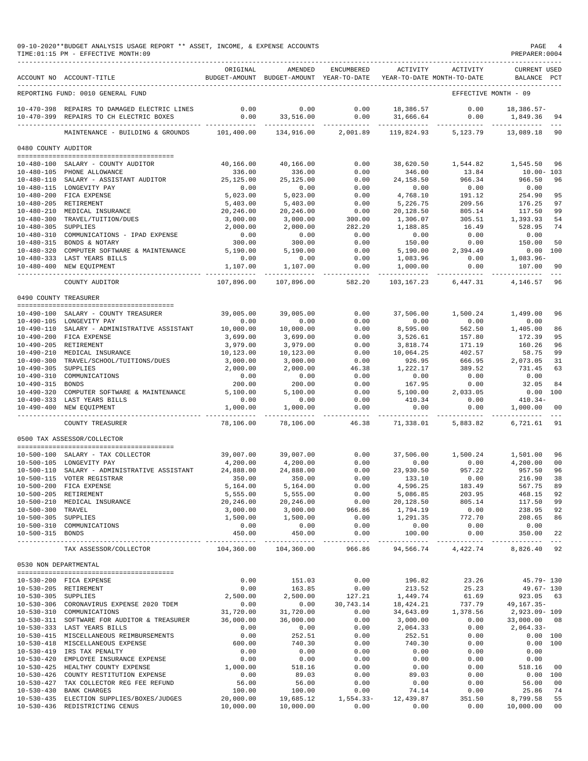|                       | 09-10-2020**BUDGET ANALYSIS USAGE REPORT ** ASSET, INCOME, & EXPENSE ACCOUNTS<br>TIME: 01:15 PM - EFFECTIVE MONTH: 09 |                      |                                                                                |                       |                      |                        | PAGE 4<br>PREPARER: 0004           |          |
|-----------------------|-----------------------------------------------------------------------------------------------------------------------|----------------------|--------------------------------------------------------------------------------|-----------------------|----------------------|------------------------|------------------------------------|----------|
|                       | ACCOUNT NO ACCOUNT-TITLE                                                                                              | ORIGINAL             | AMENDED<br>BUDGET-AMOUNT BUDGET-AMOUNT YEAR-TO-DATE YEAR-TO-DATE MONTH-TO-DATE | ENCUMBERED            | ACTIVITY             | ACTIVITY               | <b>CURRENT USED</b><br>BALANCE PCT |          |
|                       | REPORTING FUND: 0010 GENERAL FUND                                                                                     |                      |                                                                                |                       |                      |                        | EFFECTIVE MONTH - 09               |          |
|                       | 10-470-398 REPAIRS TO DAMAGED ELECTRIC LINES<br>10-470-399 REPAIRS TO CH ELECTRIC BOXES                               | 0.00<br>0.00         | 0.00<br>33,516.00                                                              | 0.00<br>0.00          | 18,386.57            | 0.00<br>31,666.64 0.00 | 18,386.57-<br>1,849.36 94          |          |
|                       | ____________________________________<br>MAINTENANCE - BUILDING & GROUNDS 101,400.00                                   | -------------        | 134,916.00                                                                     | 2,001.89              |                      | 119,824.93 5,123.79    | -------------- ---<br>13,089.18 90 |          |
| 0480 COUNTY AUDITOR   |                                                                                                                       |                      |                                                                                |                       |                      |                        |                                    |          |
|                       |                                                                                                                       |                      |                                                                                |                       |                      |                        |                                    |          |
|                       | 10-480-100 SALARY - COUNTY AUDITOR                                                                                    | 40,166.00            | 40,166.00                                                                      | 0.00                  | 38,620.50            | 1,544.82               | 1,545.50<br>96                     |          |
|                       | 10-480-105 PHONE ALLOWANCE                                                                                            | 336.00               | 336.00                                                                         | 0.00                  | 346.00               | 13.84                  | $10.00 - 103$                      |          |
|                       | 10-480-110 SALARY - ASSISTANT AUDITOR                                                                                 | 25,125.00            | 25.125.00                                                                      | 0.00                  | 24,158.50            | 966.34                 | 966.50                             | 96       |
|                       | 10-480-115 LONGEVITY PAY<br>10-480-200 FICA EXPENSE                                                                   | 0.00<br>5,023.00     | 0.00<br>5,023.00                                                               | 0.00<br>0.00          | 0.00<br>4,768.10     | 0.00<br>191.12         | 0.00<br>254.90                     | 95       |
|                       | 10-480-205 RETIREMENT                                                                                                 | 5,403.00             | 5,403.00                                                                       | 0.00                  | 5,226.75             | 209.56                 | 176.25                             | 97       |
|                       | 10-480-210 MEDICAL INSURANCE                                                                                          | 20,246.00            | 20,246.00                                                                      | 0.00                  | 20,128.50            | 805.14                 | 117.50                             | 99       |
|                       | 10-480-300 TRAVEL/TUITION/DUES                                                                                        | 3,000.00             | 3,000.00                                                                       | 300.00                | 1,306.07             | 305.51                 | 1,393.93                           | -54      |
| 10-480-305 SUPPLIES   |                                                                                                                       | 2,000.00             | 2,000.00                                                                       | 282.20                | 1,188.85             | 16.49                  | 528.95                             | 74       |
|                       | 10-480-310 COMMUNICATIONS - IPAD EXPENSE                                                                              | 0.00                 | 0.00                                                                           | 0.00                  | 0.00                 | 0.00                   | 0.00                               |          |
|                       | 10-480-315 BONDS & NOTARY<br>10-480-320 COMPUTER SOFTWARE & MAINTENANCE 5,190.00                                      | 300.00               | 300.00                                                                         | 0.00                  | 150.00               | 0.00                   | 150.00                             | 50       |
|                       | 10-480-333 LAST YEARS BILLS                                                                                           | 0.00                 | 5,190.00<br>0.00                                                               | 0.00<br>0.00          | 5,190.00<br>1,083.96 | 2,394.49<br>0.00       | 0.00 100<br>1,083.96-              |          |
|                       | 10-480-400 NEW EQUIPMENT                                                                                              | 1,107.00             | 1,107.00                                                                       | 0.00                  | 1,000.00             | 0.00                   | 107.00                             | 90       |
|                       | COUNTY AUDITOR                                                                                                        | 107,896.00           | 107,896.00                                                                     | -----------<br>582.20 | 103,167.23           | 6,447.31               | $  -$<br>96<br>4,146.57            |          |
|                       |                                                                                                                       |                      |                                                                                |                       |                      |                        |                                    |          |
| 0490 COUNTY TREASURER |                                                                                                                       |                      |                                                                                |                       |                      |                        |                                    |          |
|                       | 10-490-100 SALARY - COUNTY TREASURER                                                                                  | 39,005.00            | 39,005.00                                                                      | 0.00                  | 37,506.00            | 1,500.24               | 1,499.00                           | 96       |
|                       | 10-490-105 LONGEVITY PAY                                                                                              | 0.00                 | 0.00                                                                           | 0.00                  | 0.00                 | 0.00                   | 0.00                               |          |
|                       | 10-490-110 SALARY - ADMINISTRATIVE ASSISTANT                                                                          | 10,000.00            | 10,000.00                                                                      | 0.00                  | 8,595.00             | 562.50                 | 1,405.00                           | 86       |
|                       | 10-490-200 FICA EXPENSE<br>10-490-205 RETIREMENT                                                                      | 3,699.00<br>3,979.00 | 3,699.00<br>3,979.00                                                           | 0.00<br>0.00          | 3,526.61<br>3,818.74 | 157.80<br>171.19       | 172.39<br>160.26                   | 95<br>96 |
|                       | 10-490-210 MEDICAL INSURANCE                                                                                          | 10,123.00            | 10,123.00                                                                      | 0.00                  | 10,064.25            | 402.57                 | 58.75                              | 99       |
|                       | 10-490-300 TRAVEL/SCHOOL/TUITIONS/DUES                                                                                | 3,000.00             | 3,000.00                                                                       | 0.00                  | 926.95               | 666.95                 | 2,073.05                           | 31       |
| 10-490-305 SUPPLIES   |                                                                                                                       | 2,000.00             | 2,000.00                                                                       | 46.38                 | 1,222.17             | 389.52                 | 731.45                             | 63       |
| 10-490-310            | COMMUNICATIONS                                                                                                        | 0.00                 | 0.00                                                                           | 0.00                  | 0.00                 | 0.00                   | 0.00                               |          |
| 10-490-315 BONDS      |                                                                                                                       | 200.00               | 200.00                                                                         | 0.00                  | 167.95               | 0.00                   | 32.05                              | 84       |
|                       | 10-490-320 COMPUTER SOFTWARE & MAINTENANCE                                                                            | 5,100.00             | 5,100.00                                                                       | 0.00                  | 5,100.00             | 2,033.05               | $0.00$ 100                         |          |
|                       | 10-490-333 LAST YEARS BILLS                                                                                           | 0.00                 | 0.00<br>1,000.00                                                               | 0.00<br>0.00          | 410.34<br>0.00       | 0.00<br>0.00           | $410.34-$                          | 00       |
|                       | 10-490-400 NEW EQUIPMENT                                                                                              | 1,000.00<br>.        | __________                                                                     | .                     |                      |                        | 1,000.00                           |          |
|                       | COUNTY TREASURER                                                                                                      | 78,106.00            | 78,106.00                                                                      | 46.38                 | 71,338.01            | 5,883.82               | 91<br>6,721.61                     |          |
|                       | 0500 TAX ASSESSOR/COLLECTOR                                                                                           |                      |                                                                                |                       |                      |                        |                                    |          |
|                       | 10-500-100 SALARY - TAX COLLECTOR                                                                                     | 39,007.00            | 39,007.00                                                                      | 0.00                  | 37,506.00            | 1,500.24               | 1,501.00<br>96                     |          |
|                       | 10-500-105 LONGEVITY PAY                                                                                              | 4,200.00             | 4,200.00                                                                       | 0.00                  | 0.00                 | 0.00                   | 4,200.00                           | 00       |
|                       | 10-500-110 SALARY - ADMINISTRATIVE ASSISTANT                                                                          | 24,888.00            | 24,888.00                                                                      | 0.00                  | 23,930.50            | 957.22                 | 957.50                             | 96       |
|                       | 10-500-115 VOTER REGISTRAR                                                                                            | 350.00               | 350.00                                                                         | 0.00                  | 133.10               | 0.00                   | 216.90                             | 38       |
|                       | 10-500-200 FICA EXPENSE<br>10-500-205 RETIREMENT                                                                      | 5,164.00<br>5,555.00 | 5,164.00<br>5,555.00                                                           | 0.00<br>0.00          | 4,596.25<br>5,086.85 | 183.49<br>203.95       | 567.75<br>468.15                   | 89<br>92 |
|                       | 10-500-210 MEDICAL INSURANCE                                                                                          | 20,246.00            | 20,246.00                                                                      | 0.00                  | 20,128.50            | 805.14                 | 117.50                             | 99       |
| 10-500-300 TRAVEL     |                                                                                                                       | 3,000.00             | 3,000.00                                                                       | 966.86                | 1,794.19             | 0.00                   | 238.95                             | 92       |
| 10-500-305 SUPPLIES   |                                                                                                                       | 1,500.00             | 1,500.00                                                                       | 0.00                  | 1,291.35             | 772.70                 | 208.65                             | 86       |
|                       | 10-500-310 COMMUNICATIONS                                                                                             | 0.00                 | 0.00                                                                           | 0.00                  | 0.00                 | 0.00                   | 0.00                               |          |
| 10-500-315 BONDS      |                                                                                                                       | 450.00               | 450.00<br>______________                                                       | 0.00                  | 100.00               | 0.00                   | 350.00                             | 22       |
|                       | TAX ASSESSOR/COLLECTOR                                                                                                | 104,360.00           | 104,360.00                                                                     | 966.86                | 94.566.74            | 4,422.74               | 8,826.40                           | 92       |
| 0530 NON DEPARTMENTAL |                                                                                                                       |                      |                                                                                |                       |                      |                        |                                    |          |
|                       | 10-530-200 FICA EXPENSE                                                                                               | 0.00                 | 151.03                                                                         | 0.00                  | 196.82               | 23.26                  | $45.79 - 130$                      |          |
|                       | 10-530-205 RETIREMENT                                                                                                 | 0.00                 | 163.85                                                                         | 0.00                  | 213.52               | 25.23                  | $49.67 - 130$                      |          |
| 10-530-305 SUPPLIES   |                                                                                                                       | 2,500.00             | 2,500.00                                                                       | 127.21                | 1,449.74             | 61.69                  | 923.05 63                          |          |
|                       | 10-530-306 CORONAVIRUS EXPENSE 2020 TDEM                                                                              | 0.00                 | 0.00                                                                           | 30,743.14             | 18,424.21            | 737.79                 | 49,167.35-                         |          |
|                       | 10-530-310 COMMUNICATIONS                                                                                             | 31,720.00            | 31,720.00                                                                      | 0.00                  | 34,643.09            | 1,378.56               | 2,923.09-109                       |          |
|                       | 10-530-311 SOFTWARE FOR AUDITOR & TREASURER<br>10-530-333 LAST YEARS BILLS                                            | 36,000.00<br>0.00    | 36,000.00<br>0.00                                                              | 0.00<br>0.00          | 3,000.00<br>2,064.33 | 0.00<br>0.00           | 33,000.00 08<br>2,064.33-          |          |
|                       | 10-530-415 MISCELLANEOUS REIMBURSEMENTS                                                                               | 0.00                 | 252.51                                                                         | 0.00                  | 252.51               | 0.00                   | 0.00 100                           |          |
|                       | 10-530-418 MISCELLANEOUS EXPENSE                                                                                      | 600.00               | 740.30                                                                         | 0.00                  | 740.30               | 0.00                   | 0.00 100                           |          |
|                       | 10-530-419 IRS TAX PENALTY                                                                                            | 0.00                 | 0.00                                                                           | 0.00                  | 0.00                 | 0.00                   | 0.00                               |          |
|                       | 10-530-420 EMPLOYEE INSURANCE EXPENSE                                                                                 | 0.00                 | 0.00                                                                           | 0.00                  | 0.00                 | 0.00                   | 0.00                               |          |
|                       | 10-530-425 HEALTHY COUNTY EXPENSE                                                                                     | 1,000.00             | 518.16                                                                         | 0.00                  | 0.00                 | 0.00                   | 518.16                             | $_{00}$  |
|                       | 10-530-426 COUNTY RESTITUTION EXPENSE                                                                                 | 0.00                 | 89.03                                                                          | 0.00                  | 89.03                | 0.00                   | 0.00 100                           |          |
|                       | 10-530-427 TAX COLLECTOR REG FEE REFUND<br>10-530-430 BANK CHARGES                                                    | 56.00<br>100.00      | 56.00<br>100.00                                                                | 0.00<br>0.00          | 0.00<br>74.14        | 0.00<br>0.00           | 56.00<br>25.86                     | 00       |
|                       | 10-530-435 ELECTION SUPPLIES/BOXES/JUDGES                                                                             | 20,000.00            | 19,685.12                                                                      | $1,554.33-$           | 12,439.87            | 351.50                 | 8,799.58                           | 74<br>55 |
|                       | 10-530-436 REDISTRICTING CENUS                                                                                        | 10,000.00            | 10,000.00                                                                      | 0.00                  | 0.00                 | 0.00                   | 10,000.00 00                       |          |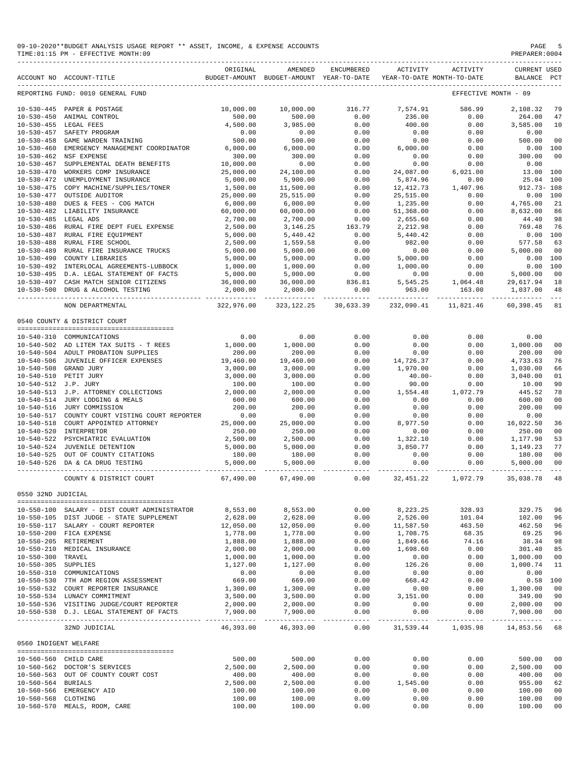|                                      | 09-10-2020**BUDGET ANALYSIS USAGE REPORT ** ASSET, INCOME, & EXPENSE ACCOUNTS<br>TIME: 01:15 PM - EFFECTIVE MONTH: 09 |                        |                                                                |                                           |                     |                                | PAGE<br>PREPARER: 0004                                                                                                                                                                                                                                                           |                |
|--------------------------------------|-----------------------------------------------------------------------------------------------------------------------|------------------------|----------------------------------------------------------------|-------------------------------------------|---------------------|--------------------------------|----------------------------------------------------------------------------------------------------------------------------------------------------------------------------------------------------------------------------------------------------------------------------------|----------------|
|                                      | ACCOUNT NO ACCOUNT-TITLE TO BUDGET-AMOUNT BUDGET-AMOUNT YEAR-TO-DATE YEAR-TO-DATE MONTH-TO-DATE                       | ORIGINAL               | AMENDED                                                        | ENCUMBERED                                | ACTIVITY            | ACTIVITY                       | <b>CURRENT USED</b><br>BALANCE                                                                                                                                                                                                                                                   | PCT            |
|                                      | REPORTING FUND: 0010 GENERAL FUND                                                                                     |                        |                                                                |                                           |                     |                                | EFFECTIVE MONTH - 09                                                                                                                                                                                                                                                             |                |
|                                      | 10-530-445 PAPER & POSTAGE                                                                                            | 10,000.00              | 10,000.00                                                      | 316.77                                    | 7,574.91            | 586.99                         | 2,108.32                                                                                                                                                                                                                                                                         | 79             |
| $10 - 530 - 450$                     | ANIMAL CONTROL                                                                                                        | 500.00                 | 500.00                                                         | 0.00                                      | 236.00              | 0.00                           | 264.00                                                                                                                                                                                                                                                                           | 47             |
|                                      | 10-530-455 LEGAL FEES                                                                                                 | 4,500.00               | 3,985.00                                                       | 0.00                                      | 400.00              | 0.00                           | 3,585.00                                                                                                                                                                                                                                                                         | 10             |
| $10 - 530 - 457$                     | SAFETY PROGRAM                                                                                                        | 0.00                   | 0.00                                                           | 0.00                                      | 0.00                | 0.00                           | 0.00                                                                                                                                                                                                                                                                             |                |
|                                      | 10-530-458 GAME WARDEN TRAINING                                                                                       | 500.00                 | 500.00                                                         | 0.00                                      | 0.00                | 0.00                           | 500.00                                                                                                                                                                                                                                                                           | 00             |
| $10 - 530 - 460$                     | EMERGENCY MANAGEMENT COORDINATOR                                                                                      | 6,000.00               | 6,000.00                                                       | 0.00                                      | 6,000.00            | 0.00                           | $0.00$ 100                                                                                                                                                                                                                                                                       |                |
|                                      | 10-530-462 NSF EXPENSE                                                                                                | 300.00<br>10,000.00    | 300.00                                                         | 0.00                                      | 0.00<br>0.00        | 0.00                           | 300.00                                                                                                                                                                                                                                                                           | 00             |
| $10 - 530 - 467$<br>$10 - 530 - 470$ | SUPPLEMENTAL DEATH BENEFITS<br>WORKERS COMP INSURANCE                                                                 | 25,000.00              | 0.00<br>24,100.00                                              | 0.00<br>0.00                              | 24,087.00           | 0.00<br>6,021.00               | 0.00<br>13.00 100                                                                                                                                                                                                                                                                |                |
| $10 - 530 - 472$                     | UNEMPLOYMENT INSURANCE                                                                                                | 5,000.00               | 5,900.00                                                       | 0.00                                      | 5,874.96            |                                | 25.04 100                                                                                                                                                                                                                                                                        |                |
|                                      | 10-530-475 COPY MACHINE/SUPPLIES/TONER                                                                                | 1,500.00               | 11,500.00                                                      | 0.00                                      | 12, 412.73          | $0.00$<br>$1,407.96$<br>$0.00$ | $912.73 - 108$                                                                                                                                                                                                                                                                   |                |
| 10-530-477                           | OUTSIDE AUDITOR                                                                                                       | 25,000.00              | 25,515.00                                                      | 0.00                                      | 25,515.00           |                                | 0.00 100                                                                                                                                                                                                                                                                         |                |
| $10 - 530 - 480$                     | DUES & FEES - COG MATCH                                                                                               | 6,000.00               | 6,000.00                                                       | 0.00                                      | 1,235.00            | 0.00                           | 4,765.00                                                                                                                                                                                                                                                                         | 21             |
|                                      | 10-530-482 LIABILITY INSURANCE                                                                                        | 60,000.00              | 60,000.00                                                      | 0.00                                      | 51,368.00           | 0.00                           | 8,632.00                                                                                                                                                                                                                                                                         | 86             |
| 10-530-485 LEGAL ADS                 |                                                                                                                       | 2,700.00               | 2,700.00                                                       | 0.00                                      | 2,655.60            | 0.00                           | 44.40                                                                                                                                                                                                                                                                            | 98             |
|                                      | 10-530-486 RURAL FIRE DEPT FUEL EXPENSE                                                                               | 2,500.00               | 3,146.25                                                       | $\begin{array}{c}0.00\\163.79\end{array}$ | 2,212.98            | 0.00                           | 769.48                                                                                                                                                                                                                                                                           | 76             |
| $10 - 530 - 487$                     | RURAL FIRE EQUIPMENT                                                                                                  | 5,000.00               | 5,440.42                                                       | 0.00                                      | 5,440.42            | 0.00                           | $0.00$ 100                                                                                                                                                                                                                                                                       |                |
|                                      | 10-530-488 RURAL FIRE SCHOOL                                                                                          | 2,500.00               | 1,559.58                                                       | 0.00                                      | 982.00              | 0.00                           | 577.58                                                                                                                                                                                                                                                                           | 63             |
| $10 - 530 - 489$                     | RURAL FIRE INSURANCE TRUCKS                                                                                           | 5,000.00               | 5,000.00                                                       | 0.00                                      | 0.00                | 0.00                           | 5,000.00                                                                                                                                                                                                                                                                         | - 00           |
| $10 - 530 - 490$                     | COUNTY LIBRARIES                                                                                                      | 5,000.00               | 5,000.00                                                       | 0.00                                      | 5,000.00            | 0.00                           | 0.00 100                                                                                                                                                                                                                                                                         |                |
|                                      | 10-530-492 INTERLOCAL AGREEMENTS-LUBBOCK                                                                              | 1,000.00               | 1,000.00                                                       | $0.00$<br>$0.00$                          | 1,000.00            | 0.00                           |                                                                                                                                                                                                                                                                                  | 0.00 100       |
|                                      | 10-530-495 D.A. LEGAL STATEMENT OF FACTS                                                                              | 5,000.00               |                                                                |                                           | 0.00                |                                |                                                                                                                                                                                                                                                                                  | 00             |
|                                      | 10-530-497 CASH MATCH SENIOR CITIZENS                                                                                 | 36,000.00              |                                                                |                                           |                     |                                | $\begin{array}{cccc} 1\, , 000\, . \, 00 & 0\, . \, 00 & 0\, . \, 00 & 0\, . \, 00 \\ 0\, . \, 00 & 0\, . \, 00 & 5\, , 000\, . \, 00 \\ 5\, , 545\, . \, 25 & 1\, , 064\, . \, 48 & 29\, , 617\, . \, 94 \\ 963\, . \, 00 & 163\, . \, 00 & 1\, , 037\, . \, 00 \\ \end{array}$ | 18             |
|                                      | 10-530-500 DRUG & ALCOHOL TESTING                                                                                     | 2,000.00               | $5,000.00$ $0.00$<br>$36,000.00$ $836.81$<br>$2,000.00$ $0.00$ |                                           | 963.00              |                                |                                                                                                                                                                                                                                                                                  | 48             |
|                                      | NON DEPARTMENTAL                                                                                                      | 322,976.00             | 323, 122. 25 30, 633. 39                                       |                                           |                     |                                | 232,090.41 11,821.46 60,398.45                                                                                                                                                                                                                                                   | 81             |
|                                      | 0540 COUNTY & DISTRICT COURT                                                                                          |                        |                                                                |                                           |                     |                                |                                                                                                                                                                                                                                                                                  |                |
|                                      | 10-540-310 COMMUNICATIONS                                                                                             | 0.00                   | 0.00                                                           | 0.00                                      | 0.00                | 0.00                           | 0.00                                                                                                                                                                                                                                                                             |                |
|                                      | 10-540-502 AD LITEM TAX SUITS - T REES                                                                                | 1,000.00               | 1,000.00                                                       | 0.00                                      | 0.00                | 0.00                           | 1,000.00                                                                                                                                                                                                                                                                         | 00             |
|                                      | 10-540-504 ADULT PROBATION SUPPLIES                                                                                   | 200.00                 | 200.00                                                         | 0.00                                      | 0.00                | 0.00                           | 200.00                                                                                                                                                                                                                                                                           | 0 <sub>0</sub> |
|                                      | 10-540-506 JUVENILE OFFICER EXPENSES                                                                                  | 19,460.00              | 19,460.00                                                      | 0.00                                      | 14,726.37           | 0.00                           | 4,733.63                                                                                                                                                                                                                                                                         | 76             |
|                                      | 10-540-508 GRAND JURY                                                                                                 | 3,000.00               | 3,000.00                                                       | 0.00                                      | 1,970.00            | 0.00                           | 1,030.00                                                                                                                                                                                                                                                                         | 66             |
|                                      | 10-540-510 PETIT JURY                                                                                                 | 3,000.00               | 3,000.00                                                       | 0.00                                      | $40.00 -$           | 0.00                           | 3,040.00                                                                                                                                                                                                                                                                         | 01             |
| 10-540-512 J.P. JURY                 |                                                                                                                       | 100.00                 | 100.00                                                         | 0.00                                      | 90.00               | 0.00                           | 10.00                                                                                                                                                                                                                                                                            | 90             |
|                                      | 10-540-513 J.P. ATTORNEY COLLECTIONS                                                                                  | 2,000.00               | 2,000.00                                                       | 0.00                                      | 1,554.48            | 1,072.79                       | 445.52                                                                                                                                                                                                                                                                           | 78             |
|                                      | 10-540-514 JURY LODGING & MEALS                                                                                       | 600.00                 | 600.00                                                         | 0.00                                      | 0.00                | 0.00                           | 600.00                                                                                                                                                                                                                                                                           | 00             |
|                                      | 10-540-516 JURY COMMISSION                                                                                            | 200.00                 | 200.00                                                         | 0.00                                      | 0.00                | 0.00                           | 200.00                                                                                                                                                                                                                                                                           | 0 <sub>0</sub> |
|                                      | 10-540-517 COUNTY COURT VISTING COURT REPORTER                                                                        | 0.00                   | 0.00                                                           | 0.00                                      | 0.00                | 0.00                           | 0.00                                                                                                                                                                                                                                                                             |                |
|                                      | 10-540-518 COURT APPOINTED ATTORNEY                                                                                   | 25,000.00              | 25,000.00                                                      | 0.00                                      | 8,977.50            | 0.00                           | 16,022.50                                                                                                                                                                                                                                                                        | 36             |
|                                      | 10-540-520 INTERPRETOR                                                                                                | 250.00                 | 250.00                                                         | 0.00                                      | 0.00                | 0.00                           | 250.00                                                                                                                                                                                                                                                                           | 00             |
|                                      | 10-540-522 PSYCHIATRIC EVALUATION                                                                                     | 2,500.00               | 2,500.00                                                       | 0.00                                      | 1,322.10            | 0.00                           | 1,177.90                                                                                                                                                                                                                                                                         | 53             |
|                                      | 10-540-524 JUVENILE DETENTION                                                                                         | 5,000.00               | 5,000.00                                                       | 0.00                                      | 3,850.77            | 0.00                           | 1,149.23                                                                                                                                                                                                                                                                         | 77             |
| 10-540-525                           | OUT OF COUNTY CITATIONS                                                                                               | 180.00                 | 180.00                                                         | 0.00                                      | 0.00                | 0.00                           | 180.00                                                                                                                                                                                                                                                                           | 00             |
|                                      | 10-540-526 DA & CA DRUG TESTING                                                                                       | 5,000.00               | 5,000.00                                                       | 0.00                                      | 0.00                | 0.00                           | 5,000.00                                                                                                                                                                                                                                                                         | 0 <sub>0</sub> |
|                                      | COUNTY & DISTRICT COURT                                                                                               | 67,490.00              | 67,490.00                                                      | 0.00                                      | 32,451.22           | 1,072.79                       | 35,038.78 48                                                                                                                                                                                                                                                                     |                |
| 0550 32ND JUDICIAL                   |                                                                                                                       |                        |                                                                |                                           |                     |                                |                                                                                                                                                                                                                                                                                  |                |
|                                      | 10-550-100 SALARY - DIST COURT ADMINISTRATOR                                                                          | 8,553.00               | 8,553.00                                                       | 0.00                                      | 8,223.25            | 328.93                         | 329.75                                                                                                                                                                                                                                                                           | 96             |
|                                      | 10-550-105 DIST JUDGE - STATE SUPPLEMENT                                                                              | 2,628.00               | 2,628.00                                                       | 0.00                                      | 2,526.00            | 101.04                         | 102.00                                                                                                                                                                                                                                                                           | 96             |
|                                      | 10-550-117 SALARY - COURT REPORTER                                                                                    | 12,050.00              | 12,050.00                                                      | 0.00                                      | 11,587.50           | 463.50                         | 462.50                                                                                                                                                                                                                                                                           | 96             |
|                                      | 10-550-200 FICA EXPENSE                                                                                               | 1,778.00               | 1,778.00                                                       | 0.00                                      | 1,708.75            | 68.35                          | 69.25                                                                                                                                                                                                                                                                            | 96             |
|                                      | 10-550-205 RETIREMENT                                                                                                 | 1,888.00               | 1,888.00                                                       | 0.00                                      | 1,849.66            | 74.16                          | 38.34                                                                                                                                                                                                                                                                            | 98             |
|                                      | 10-550-210 MEDICAL INSURANCE                                                                                          | 2,000.00               | 2,000.00                                                       | 0.00                                      | 1,698.60            | 0.00                           | 301.40                                                                                                                                                                                                                                                                           | 85             |
| 10-550-300 TRAVEL                    |                                                                                                                       | 1,000.00               | 1,000.00                                                       | 0.00                                      | 0.00                | 0.00                           | 1,000.00                                                                                                                                                                                                                                                                         | 00             |
| 10-550-305 SUPPLIES                  |                                                                                                                       | 1,127.00               | 1,127.00                                                       | 0.00                                      | 126.26              | 0.00                           | 1,000.74                                                                                                                                                                                                                                                                         | 11             |
|                                      | 10-550-310 COMMUNICATIONS                                                                                             | 0.00                   | 0.00                                                           | 0.00                                      | 0.00                | 0.00                           | 0.00                                                                                                                                                                                                                                                                             |                |
|                                      | 10-550-530 7TH ADM REGION ASSESSMENT                                                                                  | 669.00                 | 669.00                                                         | 0.00                                      | 668.42              | 0.00                           | $0.58$ 100                                                                                                                                                                                                                                                                       |                |
|                                      | 10-550-532 COURT REPORTER INSURANCE                                                                                   | 1,300.00               | 1,300.00                                                       | 0.00                                      | 0.00                | 0.00                           | 1,300.00                                                                                                                                                                                                                                                                         | 00             |
|                                      | 10-550-534 LUNACY COMMITMENT                                                                                          | 3,500.00               | 3,500.00                                                       | 0.00                                      | 3,151.00            | 0.00                           | 349.00                                                                                                                                                                                                                                                                           | 90             |
|                                      | 10-550-536 VISITING JUDGE/COURT REPORTER                                                                              | 2,000.00               | 2,000.00                                                       | 0.00                                      | 0.00                | 0.00                           | 2,000.00                                                                                                                                                                                                                                                                         | 00             |
|                                      | 10-550-538 D.J. LEGAL STATEMENT OF FACTS                                                                              | 7,900.00<br>---------- | 7,900.00<br>-----------                                        | 0.00<br>$- - - - -$                       | 0.00<br>----------- | 0.00                           | 7,900.00<br>.                                                                                                                                                                                                                                                                    | 00             |
|                                      | 32ND JUDICIAL                                                                                                         | 46,393.00              | 46,393.00                                                      | 0.00                                      | 31,539.44           | 1,035.98                       | 14,853.56 68                                                                                                                                                                                                                                                                     |                |
| 0560 INDIGENT WELFARE                |                                                                                                                       |                        |                                                                |                                           |                     |                                |                                                                                                                                                                                                                                                                                  |                |
|                                      |                                                                                                                       |                        |                                                                |                                           | 0.00                | 0.00                           |                                                                                                                                                                                                                                                                                  |                |
|                                      | 10-560-560 CHILD CARE<br>10-560-562 DOCTOR'S SERVICES                                                                 | 500.00                 | 500.00<br>2,500.00                                             | 0.00<br>0.00                              | 0.00                | 0.00                           | 500.00<br>2,500.00                                                                                                                                                                                                                                                               | 00<br>00       |
|                                      | 10-560-563 OUT OF COUNTY COURT COST                                                                                   | 2,500.00<br>400.00     | 400.00                                                         | 0.00                                      | 0.00                | 0.00                           | 400.00                                                                                                                                                                                                                                                                           | 00             |
| 10-560-564 BURIALS                   |                                                                                                                       | 2,500.00               | 2,500.00                                                       | 0.00                                      | 1,545.00            | 0.00                           | 955.00                                                                                                                                                                                                                                                                           | 62             |
|                                      | 10-560-566 EMERGENCY AID                                                                                              | 100.00                 | 100.00                                                         | 0.00                                      | 0.00                | 0.00                           | 100.00                                                                                                                                                                                                                                                                           | 0 <sub>0</sub> |
| 10-560-568 CLOTHING                  |                                                                                                                       | 100.00                 | 100.00                                                         | 0.00                                      | 0.00                | 0.00                           | 100.00                                                                                                                                                                                                                                                                           | 00             |
|                                      |                                                                                                                       |                        |                                                                |                                           |                     |                                |                                                                                                                                                                                                                                                                                  |                |

10-560-570 MEALS, ROOM, CARE 100.00 100.00 0.00 0.00 0.00 100.00 00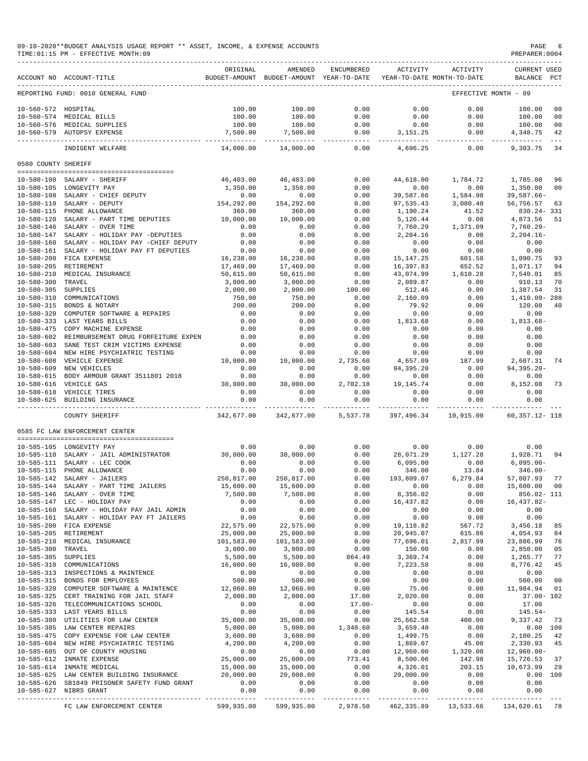09-10-2020\*\*BUDGET ANALYSIS USAGE REPORT \*\* ASSET, INCOME, & EXPENSE ACCOUNTS<br>TIME:01:15 PM - EFFECTIVE MONTH:09

 $TIME:01:15 PM - EFFECTIVE MOMTH:09$ 

|                                      | ACCOUNT NO ACCOUNT-TITLE                                       | ORIGINAL                           | AMENDED<br>BUDGET-AMOUNT BUDGET-AMOUNT YEAR-TO-DATE | ENCUMBERED           | ACTIVITY               | ACTIVITY<br>YEAR-TO-DATE MONTH-TO-DATE | <b>CURRENT USED</b><br>BALANCE | PCT            |
|--------------------------------------|----------------------------------------------------------------|------------------------------------|-----------------------------------------------------|----------------------|------------------------|----------------------------------------|--------------------------------|----------------|
|                                      | REPORTING FUND: 0010 GENERAL FUND                              |                                    |                                                     |                      |                        |                                        | EFFECTIVE MONTH - 09           |                |
| 10-560-572 HOSPITAL                  |                                                                | 100.00                             | 100.00                                              | 0.00                 | 0.00                   | 0.00                                   | 100.00                         | 0 <sub>0</sub> |
| $10 - 560 - 574$                     | MEDICAL BILLS                                                  | 100.00                             | 100.00                                              | 0.00                 | 0.00                   | 0.00                                   | 100.00                         | 0 <sub>0</sub> |
| $10 - 560 - 576$                     | MEDICAL SUPPLIES                                               | 100.00                             | 100.00                                              | 0.00                 | 0.00                   | 0.00                                   | 100.00                         | 0 <sub>0</sub> |
|                                      | 10-560-579 AUTOPSY EXPENSE                                     | 7,500.00                           | 7,500.00                                            | 0.00                 | 3, 151.25              | 0.00                                   | 4,348.75                       | 42             |
|                                      | INDIGENT WELFARE                                               | _____________________<br>14,000.00 | ----------<br>14,000.00                             | .<br>0.00            | ----------<br>4,696.25 | $- - - - -$<br>0.00                    | ---------<br>9,303.75          | 34             |
| 0580 COUNTY SHERIFF                  |                                                                |                                    |                                                     |                      |                        |                                        |                                |                |
|                                      |                                                                |                                    |                                                     |                      |                        |                                        |                                |                |
| $10 - 580 - 100$                     | SALARY - SHERIFF                                               | 46,403.00                          | 46,403.00                                           | 0.00                 | 44,618.00              | 1,784.72                               | 1,785.00                       | 96             |
| $10 - 580 - 105$                     | LONGEVITY PAY                                                  | 1,350.00                           | 1,350.00                                            | 0.00                 | 0.00                   | 0.00                                   | 1,350.00                       | 0 <sub>0</sub> |
| $10 - 580 - 108$                     | SALARY - CHIEF DEPUTY                                          | 0.00                               | 0.00                                                | 0.00                 | 39,587.66              | 1,584.98                               | $39,587.66 -$                  |                |
| $10 - 580 - 110$                     | SALARY - DEPUTY                                                | 154,292.00                         | 154,292.00                                          | 0.00                 | 97,535.43              | 3,080.40                               | 56,756.57                      | 63             |
| $10 - 580 - 115$                     | PHONE ALLOWANCE                                                | 360.00                             | 360.00                                              | 0.00                 | 1,190.24               | 41.52                                  | 830.24-331                     |                |
| $10 - 580 - 120$                     | SALARY - PART TIME DEPUTIES                                    | 10,000.00                          | 10,000.00                                           | 0.00                 | 5,126.44               | 0.00                                   | 4,873.56                       | 51             |
| $10 - 580 - 146$<br>$10 - 580 - 147$ | SALARY - OVER TIME<br>SALARY - HOLIDAY PAY -DEPUTIES           | 0.00<br>0.00                       | 0.00<br>0.00                                        | 0.00<br>0.00         | 7,760.29<br>2,204.16   | 1,371.09<br>0.00                       | $7,760.29 -$<br>$2, 204.16 -$  |                |
| $10 - 580 - 160$                     | SALARY - HOLIDAY PAY -CHIEF DEPUTY                             | 0.00                               | 0.00                                                | 0.00                 | 0.00                   | 0.00                                   | 0.00                           |                |
| $10 - 580 - 161$                     | SALARY - HOLIDAY PAY FT DEPUTIES                               | 0.00                               | 0.00                                                | 0.00                 | 0.00                   | 0.00                                   | 0.00                           |                |
| $10 - 580 - 200$                     | FICA EXPENSE                                                   | 16,238.00                          | 16,238.00                                           | 0.00                 | 15, 147. 25            | 601.50                                 | 1,090.75                       | 93             |
| $10 - 580 - 205$                     | RETIREMENT                                                     | 17,469.00                          | 17,469.00                                           | 0.00                 | 16,397.83              | 652.52                                 | 1,071.17                       | 94             |
| $10 - 580 - 210$                     | MEDICAL INSURANCE                                              | 50,615.00                          | 50,615.00                                           | 0.00                 | 43,074.99              | 1,610.28                               | 7,540.01                       | 85             |
| $10 - 580 - 300$                     | TRAVEL                                                         | 3,000.00                           | 3,000.00                                            | 0.00                 | 2,089.87               | 0.00                                   | 910.13                         | 70             |
| $10 - 580 - 305$                     | SUPPLIES                                                       | 2,000.00                           | 2,000.00                                            | 100.00               | 512.46                 | 0.00                                   | 1,387.54                       | 31             |
| $10 - 580 - 310$                     | COMMUNICATIONS                                                 | 750.00                             | 750.00                                              | 0.00                 | 2,160.09               | 0.00                                   | 1,410.09-288                   |                |
| $10 - 580 - 315$                     | BONDS & NOTARY                                                 | 200.00                             | 200.00                                              | 0.00                 | 79.92                  | 0.00                                   | 120.08                         | 40             |
| $10 - 580 - 320$                     | COMPUTER SOFTWARE & REPAIRS                                    | 0.00                               | 0.00                                                | 0.00                 | 0.00                   | 0.00                                   | 0.00                           |                |
| $10 - 580 - 333$                     | LAST YEARS BILLS                                               | 0.00                               | 0.00                                                | 0.00                 | 1,813.68               | 0.00                                   | $1,813.68-$                    |                |
| $10 - 580 - 475$                     | COPY MACHINE EXPENSE                                           | 0.00                               | 0.00                                                | 0.00                 | 0.00                   | 0.00                                   | 0.00                           |                |
| $10 - 580 - 602$                     | REIMBURSEMENT DRUG FORFEITURE EXPEN                            | 0.00                               | 0.00                                                | 0.00                 | 0.00                   | 0.00                                   | 0.00                           |                |
| $10 - 580 - 603$<br>$10 - 580 - 604$ | SANE TEST CRIM VICTIMS EXPENSE<br>NEW HIRE PSYCHIATRIC TESTING | 0.00<br>0.00                       | 0.00<br>0.00                                        | 0.00<br>0.00         | 0.00<br>0.00           | 0.00<br>0.00                           | 0.00<br>0.00                   |                |
| $10 - 580 - 608$                     | VEHICLE EXPENSE                                                | 10,000.00                          | 10,000.00                                           | 2,735.60             | 4,657.09               | 187.99                                 | 2,607.31                       | 74             |
| $10 - 580 - 609$                     | NEW VEHICLES                                                   | 0.00                               | 0.00                                                | 0.00                 | 94,395.20              | 0.00                                   | $94, 395.20 -$                 |                |
| $10 - 580 - 615$                     | BODY ARMOUR GRANT 3511801 2018                                 | 0.00                               | 0.00                                                | 0.00                 | 0.00                   | 0.00                                   | 0.00                           |                |
| $10 - 580 - 616$                     | VEHICLE GAS                                                    | 30,000.00                          | 30,000.00                                           | 2,702.18             | 19, 145. 74            | 0.00                                   | 8,152.08                       | 73             |
| $10 - 580 - 618$                     | VEHICLE TIRES                                                  | 0.00                               | 0.00                                                | 0.00                 | 0.00                   | 0.00                                   | 0.00                           |                |
| $10 - 580 - 625$                     | BUILDING INSURANCE                                             | 0.00                               | 0.00                                                | 0.00                 | 0.00                   | 0.00                                   | 0.00                           |                |
|                                      | COUNTY SHERIFF                                                 | 342,677.00                         | 342,677.00                                          | 5,537.78             | 397,496.34             | 10,915.00                              | 60, 357.12- 118                |                |
|                                      | 0585 FC LAW ENFORCEMENT CENTER                                 |                                    |                                                     |                      |                        |                                        |                                |                |
|                                      |                                                                |                                    |                                                     |                      |                        |                                        |                                |                |
| $10 - 585 - 110$                     | 10-585-105 LONGEVITY PAY<br>SALARY - JAIL ADMINISTRATOR        | 0.00<br>30,000.00                  | 0.00<br>30,000.00                                   | 0.00<br>0.00         | 0.00<br>28,071.29      | 0.00<br>1,127.28                       | 0.00<br>1,928.71               | 94             |
| $10 - 585 - 111$                     | SALARY - LEC COOK                                              | 0.00                               | 0.00                                                | 0.00                 | 6,095.00               | 0.00                                   | $6,095.00 -$                   |                |
| $10 - 585 - 115$                     | PHONE ALLOWANCE                                                | 0.00                               | 0.00                                                | 0.00                 | 346.00                 | 13.84                                  | $346.00 -$                     |                |
| $10 - 585 - 142$                     | SALARY - JAILERS                                               | 250,817.00                         | 250,817.00                                          | 0.00                 | 193,809.07             | 6,279.84                               | 57,007.93                      | 77             |
| $10 - 585 - 144$                     | SALARY - PART TIME JAILERS                                     | 15,600.00                          | 15,600.00                                           | 0.00                 | 0.00                   | 0.00                                   | 15,600.00                      | 0 <sub>0</sub> |
|                                      | 10-585-146 SALARY - OVER TIME                                  | 7,500.00                           | 7,500.00                                            | 0.00                 | 8,356.02               | 0.00                                   | 856.02- 111                    |                |
|                                      | 10-585-147 LEC - HOLIDAY PAY                                   | 0.00                               | 0.00                                                | 0.00                 | 16,437.82              | 0.00                                   | 16,437.82-                     |                |
|                                      | 10-585-160 SALARY - HOLIDAY PAY JAIL ADMIN                     | 0.00                               | 0.00                                                | 0.00                 | 0.00                   | 0.00                                   | 0.00                           |                |
|                                      | 10-585-161 SALARY - HOLIDAY PAY FT JAILERS                     | 0.00                               | 0.00                                                | 0.00                 | 0.00                   | 0.00                                   | 0.00                           |                |
|                                      | 10-585-200 FICA EXPENSE                                        | 22,575.00                          | 22,575.00                                           | 0.00                 | 19, 118.82             | 567.72                                 | 3,456.18                       | 85             |
| 10-585-205 RETIREMENT                | 10-585-210 MEDICAL INSURANCE                                   | 25,000.00                          | 25,000.00                                           | 0.00<br>0.00         | 20,945.07<br>77,696.01 | 615.86<br>2,817.99                     | 4,054.93                       | 84<br>76       |
| $10 - 585 - 300$                     | TRAVEL                                                         | 101,583.00<br>3,000.00             | 101,583.00<br>3,000.00                              | 0.00                 | 150.00                 | 0.00                                   | 23,886.99<br>2,850.00          | 05             |
| 10-585-305 SUPPLIES                  |                                                                | 5,500.00                           | 5,500.00                                            | 864.49               | 3,369.74               | 0.00                                   | 1,265.77                       | 77             |
|                                      | 10-585-310 COMMUNICATIONS                                      | 16,000.00                          | 16,000.00                                           | 0.00                 | 7,223.58               | 0.00                                   | 8,776.42                       | 45             |
|                                      | 10-585-313 INSPECTIONS & MAINTENCE                             | 0.00                               | 0.00                                                | 0.00                 | 0.00                   | 0.00                                   | 0.00                           |                |
|                                      | 10-585-315 BONDS FOR EMPLOYEES                                 | 500.00                             | 500.00                                              | 0.00                 | 0.00                   | 0.00                                   | 500.00                         | 0 <sup>0</sup> |
|                                      | 10-585-320 COMPUTER SOFTWARE & MAINTENCE                       | 12,060.00                          | 12,060.00                                           | 0.00                 | 75.06                  | 0.00                                   | 11,984.94                      | 01             |
|                                      | 10-585-325 CERT TRAINING FOR JAIL STAFF                        | 2,000.00                           | 2,000.00                                            | 17.00                | 2,020.00               | 0.00                                   | $37.00 - 102$                  |                |
|                                      | 10-585-326 TELECOMMUNICATIONS SCHOOL                           | 0.00                               | 0.00                                                | $17.00 -$            | 0.00                   | 0.00                                   | 17.00                          |                |
|                                      | 10-585-333 LAST YEARS BILLS                                    | 0.00                               | 0.00                                                | 0.00                 | 145.54                 | 0.00                                   | $145.54-$                      |                |
|                                      | 10-585-380 UTILITIES FOR LAW CENTER                            | 35,000.00                          | 35,000.00                                           | 0.00                 | 25,662.58              | 400.00                                 | 9,337.42                       | 73             |
|                                      | 10-585-385 LAW CENTER REPAIRS                                  | 5,000.00                           | 5,000.00                                            | 1,340.60             | 3,659.40               | 0.00                                   | 0.00 100                       |                |
|                                      | 10-585-475 COPY EXPENSE FOR LAW CENTER                         | 3,600.00                           | 3,600.00                                            | 0.00                 | 1,499.75               | 0.00                                   | 2,100.25                       | 42             |
|                                      | 10-585-604 NEW HIRE PSYCHIATRIC TESTING                        | 4,200.00                           | 4,200.00                                            | 0.00                 | 1,869.07               | 45.00                                  | 2,330.93                       | 45             |
|                                      | 10-585-605 OUT OF COUNTY HOUSING<br>10-585-612 INMATE EXPENSE  | 0.00<br>25,000.00                  | 0.00<br>25,000.00                                   | 0.00<br>773.41       | 12,960.00<br>8,500.06  | 1,320.00<br>142.98                     | $12,960.00 -$<br>15,726.53     | 37             |
|                                      | 10-585-614 INMATE MEDICAL                                      | 15,000.00                          | 15,000.00                                           | 0.00                 | 4,326.01               | 203.15                                 | 10,673.99                      | 29             |
|                                      | 10-585-625 LAW CENTER BUILDING INSURANCE                       | 20,000.00                          | 20,000.00                                           | 0.00                 | 20,000.00              | 0.00                                   | 0.00 100                       |                |
|                                      | 10-585-626 SB1849 PRISONER SAFETY FUND GRANT                   | 0.00                               | 0.00                                                | 0.00                 | 0.00                   | 0.00                                   | 0.00                           |                |
|                                      | 10-585-627 NIBRS GRANT                                         | 0.00<br>-------------              | 0.00<br>-------------                               | 0.00<br>------------ | 0.00<br>----------     | 0.00<br>-----------                    | 0.00<br>-----------            |                |
|                                      |                                                                |                                    |                                                     |                      |                        |                                        |                                |                |

FC LAW ENFORCEMENT CENTER 599,935.00 599,935.00 2,978.50 462,335.89 13,533.66 134,620.61 78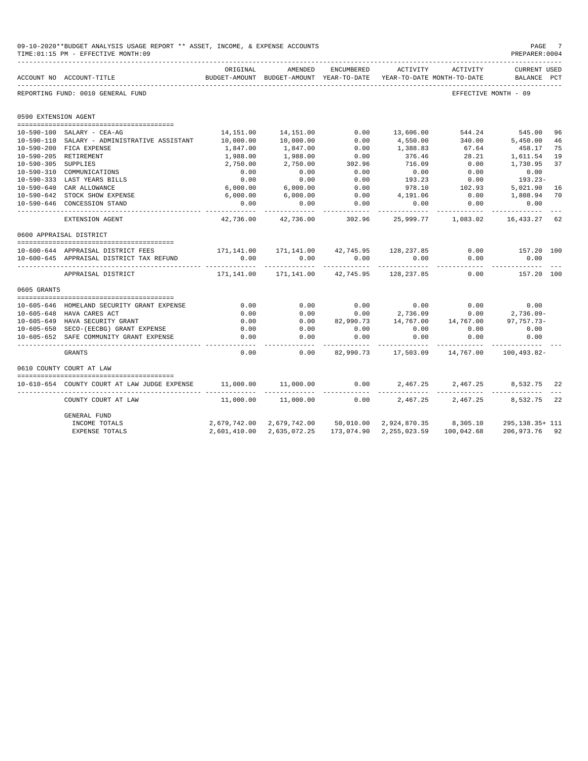|                      | 09-10-2020**BUDGET ANALYSIS USAGE REPORT ** ASSET, INCOME, & EXPENSE ACCOUNTS<br>TIME: 01:15 PM - EFFECTIVE MONTH: 09 |                    |                     |              |                                                                                 |                      | PAGE<br>PREPARER: 0004             |    |
|----------------------|-----------------------------------------------------------------------------------------------------------------------|--------------------|---------------------|--------------|---------------------------------------------------------------------------------|----------------------|------------------------------------|----|
|                      | ACCOUNT NO ACCOUNT-TITLE                                                                                              | ORIGINAL           | AMENDED             | ENCUMBERED   | ACTIVITY<br>BUDGET-AMOUNT BUDGET-AMOUNT YEAR-TO-DATE YEAR-TO-DATE MONTH-TO-DATE | ACTIVITY             | <b>CURRENT USED</b><br>BALANCE PCT |    |
|                      | REPORTING FUND: 0010 GENERAL FUND                                                                                     |                    |                     |              |                                                                                 | EFFECTIVE MONTH - 09 |                                    |    |
| 0590 EXTENSION AGENT |                                                                                                                       |                    |                     |              |                                                                                 |                      |                                    |    |
|                      |                                                                                                                       |                    |                     |              |                                                                                 |                      |                                    |    |
|                      | 10-590-100 SALARY - CEA-AG                                                                                            | 14,151.00          | 14,151.00           | 0.00         | 13,606.00                                                                       | 544.24 545.00        |                                    | 96 |
|                      | 10-590-110 SALARY - ADMINISTRATIVE ASSISTANT                                                                          | 10,000.00          | 10,000.00           | 0.00         | 4,550.00                                                                        | 340.00               | 5,450.00                           | 46 |
|                      | 10-590-200 FICA EXPENSE                                                                                               | 1,847.00           | 1,847.00            | 0.00         | 1,388.83                                                                        | 67.64                | 458.17                             | 75 |
|                      | 10-590-205 RETIREMENT                                                                                                 | 1,988.00           | 1,988.00            | 0.00         | 376.46                                                                          | 28.21                | 1,611.54                           | 19 |
| 10-590-305 SUPPLIES  |                                                                                                                       | 2,750.00           | 2,750.00            | 302.96       | 716.09                                                                          | 0.00                 | 1,730.95                           | 37 |
|                      | 10-590-310 COMMUNICATIONS                                                                                             | 0.00               | 0.00                | 0.00         | 0.00                                                                            | 0.00<br>0.00         | 0.00                               |    |
|                      | 10-590-333 LAST YEARS BILLS<br>10-590-640 CAR ALLOWANCE                                                               | $0.00$<br>6,000.00 | $0.00$<br>6,000.00  | 0.00<br>0.00 | 193.23<br>978.10                                                                | 102.93               | $193.23-$<br>5,021.90              | 16 |
|                      | 10-590-642 STOCK SHOW EXPENSE                                                                                         | 6,000.00           | 6,000.00            | 0.00         | 4,191.06                                                                        | 0.00                 | 1,808.94                           | 70 |
|                      | 10-590-646 CONCESSION STAND                                                                                           | 0.00               | 0.00                | 0.00         | 0.00                                                                            | 0.00                 | 0.00                               |    |
|                      |                                                                                                                       | - - - - - - - - -  | ------------        | .            | -------                                                                         | -----------          | -----------                        |    |
|                      | EXTENSION AGENT                                                                                                       | 42,736.00          | 42,736.00           | 302.96       |                                                                                 | 25,999.77 1,083.02   | 16,433.27                          | 62 |
|                      | 0600 APPRAISAL DISTRICT                                                                                               |                    |                     |              |                                                                                 |                      |                                    |    |
|                      | --------------------------------------<br>10-600-644 APPRAISAL DISTRICT FEES                                          |                    |                     |              | 171,141.00    171,141.00    42,745.95    128,237.85                             | 0.00                 | 157.20 100                         |    |
|                      | 10-600-645 APPRAISAL DISTRICT TAX REFUND                                                                              | 0.00               | 0.00                |              | $0.00$ 0.00                                                                     |                      | $0.00$ 0.00                        |    |
|                      | APPRAISAL DISTRICT                                                                                                    | ---------          | -----------         | .            | $171,141.00$ $171,141.00$ $42,745.95$ $128,237.85$ 0.00                         | . <u>.</u> .         | . _ _ _ _ _ _ _ _ _<br>157.20 100  |    |
| 0605 GRANTS          |                                                                                                                       |                    |                     |              |                                                                                 |                      |                                    |    |
|                      |                                                                                                                       |                    |                     |              |                                                                                 |                      |                                    |    |
|                      | 10-605-646 HOMELAND SECURITY GRANT EXPENSE                                                                            | 0.00               | 0.00                | 0.00         | $0.00$ $0.00$<br>2,736.09 $0.00$                                                |                      | $0.00$ $0.00$<br>0.00 $2,736.09$ - |    |
|                      | 10-605-648 HAVA CARES ACT                                                                                             | 0.00               | 0.00                | 0.00         |                                                                                 |                      |                                    |    |
|                      | 10-605-649 HAVA SECURITY GRANT                                                                                        | 0.00               | 0.00                |              | $82,990.73$ $14,767.00$ $14,767.00$ $97,757.73-$                                |                      |                                    |    |
|                      | 10-605-650 SECO-(EECBG) GRANT EXPENSE                                                                                 | 0.00               | 0.00                | 0.00         | 0.00                                                                            | 0.00                 | 0.00                               |    |
|                      | 10-605-652 SAFE COMMUNITY GRANT EXPENSE                                                                               | 0.00<br>$- - - -$  | 0.00<br>---------   | 0.00         | 0.00                                                                            | 0.00                 | 0.00                               |    |
|                      | <b>GRANTS</b>                                                                                                         | 0.00               | 0.00                |              |                                                                                 |                      |                                    |    |
|                      | 0610 COUNTY COURT AT LAW                                                                                              |                    |                     |              |                                                                                 |                      |                                    |    |
|                      |                                                                                                                       |                    |                     |              |                                                                                 |                      |                                    |    |
|                      | 10-610-654 COUNTY COURT AT LAW JUDGE EXPENSE                                                                          |                    | 11,000.00 11,000.00 |              | $0.00$ 2,467.25 2,467.25 8,532.75                                               |                      |                                    | 22 |
|                      | COUNTY COURT AT LAW                                                                                                   |                    | 11,000.00 11,000.00 |              | $0.00$ $2.467.25$ $2.467.25$ $8.532.75$                                         |                      |                                    | 22 |
|                      | <b>GENERAL FUND</b>                                                                                                   |                    |                     |              |                                                                                 |                      |                                    |    |
|                      | INCOME TOTALS                                                                                                         |                    |                     |              | 2,679,742.00 2,679,742.00 50,010.00 2,924,870.35 8,305.10 295,138.35+ 111       |                      |                                    |    |
|                      | <b>EXPENSE TOTALS</b>                                                                                                 | 2,601,410.00       | 2,635,072.25        |              | 173,074.90 2,255,023.59 100,042.68                                              |                      | 206,973.76 92                      |    |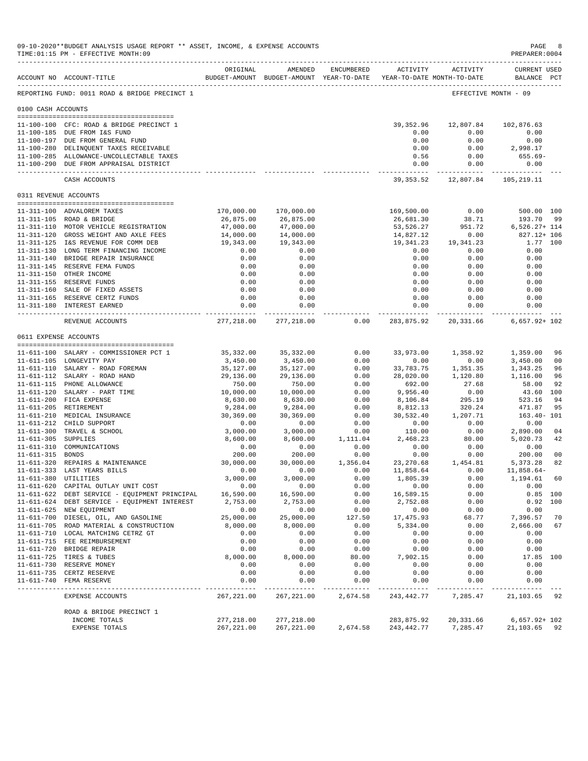|                     | 09-10-2020**BUDGET ANALYSIS USAGE REPORT ** ASSET, INCOME, & EXPENSE ACCOUNTS<br>TIME: 01:15 PM - EFFECTIVE MONTH: 09 |                                         |                                                                                |              |                             |                           | PAGE<br>PREPARER: 0004             | -8                   |
|---------------------|-----------------------------------------------------------------------------------------------------------------------|-----------------------------------------|--------------------------------------------------------------------------------|--------------|-----------------------------|---------------------------|------------------------------------|----------------------|
|                     | ACCOUNT NO ACCOUNT-TITLE                                                                                              | ORIGINAL                                | AMENDED<br>BUDGET-AMOUNT BUDGET-AMOUNT YEAR-TO-DATE YEAR-TO-DATE MONTH-TO-DATE | ENCUMBERED   | ACTIVITY                    | ACTIVITY                  | <b>CURRENT USED</b><br>BALANCE PCT |                      |
|                     | REPORTING FUND: 0011 ROAD & BRIDGE PRECINCT 1                                                                         |                                         |                                                                                |              |                             |                           | EFFECTIVE MONTH - 09               |                      |
| 0100 CASH ACCOUNTS  |                                                                                                                       |                                         |                                                                                |              |                             |                           |                                    |                      |
|                     |                                                                                                                       |                                         |                                                                                |              |                             |                           |                                    |                      |
|                     | 11-100-100 CFC: ROAD & BRIDGE PRECINCT 1                                                                              |                                         |                                                                                |              | 39,352.96                   | 12,807.84                 | 102,876.63                         |                      |
|                     | 11-100-185 DUE FROM I&S FUND                                                                                          |                                         |                                                                                |              | 0.00                        | 0.00                      | 0.00                               |                      |
|                     | 11-100-197 DUE FROM GENERAL FUND                                                                                      |                                         |                                                                                |              | 0.00                        | 0.00                      | 0.00                               |                      |
|                     | 11-100-280 DELINQUENT TAXES RECEIVABLE                                                                                |                                         |                                                                                |              | 0.00                        | 0.00                      | 2,998.17                           |                      |
|                     | 11-100-285 ALLOWANCE-UNCOLLECTABLE TAXES<br>11-100-290 DUE FROM APPRAISAL DISTRICT                                    |                                         |                                                                                |              | 0.56<br>0.00                | 0.00<br>0.00              | 655.69-<br>0.00                    |                      |
|                     | CASH ACCOUNTS                                                                                                         |                                         |                                                                                |              | -------------<br>39, 353.52 | ------------<br>12,807.84 | 105,219.11                         |                      |
|                     | 0311 REVENUE ACCOUNTS                                                                                                 |                                         |                                                                                |              |                             |                           |                                    |                      |
|                     |                                                                                                                       |                                         |                                                                                |              |                             |                           |                                    |                      |
|                     | 11-311-100 ADVALOREM TAXES                                                                                            | 170,000.00                              | 170,000.00                                                                     |              | 169,500.00                  | 0.00                      | 500.00 100                         |                      |
|                     | 11-311-105 ROAD & BRIDGE                                                                                              | 26,875.00                               | 26,875.00                                                                      |              | 26,681.30                   | 38.71                     | 193.70                             | 99                   |
|                     | 11-311-110 MOTOR VEHICLE REGISTRATION                                                                                 | 47,000.00                               | 47,000.00                                                                      |              | 53,526.27<br>14,827.12      | 951.72                    | $6,526.27+114$<br>827.12+ 106      |                      |
|                     | 11-311-120 GROSS WEIGHT AND AXLE FEES<br>11-311-125 I&S REVENUE FOR COMM DEB                                          | 14,000.00<br>19,343.00                  | 14,000.00<br>19,343.00                                                         |              | 19,341.23                   | 0.00<br>19,341.23         | 1.77 100                           |                      |
|                     | 11-311-130 LONG TERM FINANCING INCOME                                                                                 | 0.00                                    | 0.00                                                                           |              | 0.00                        | 0.00                      | 0.00                               |                      |
|                     | 11-311-140 BRIDGE REPAIR INSURANCE                                                                                    | 0.00                                    | 0.00                                                                           |              | 0.00                        | 0.00                      | 0.00                               |                      |
|                     | 11-311-145 RESERVE FEMA FUNDS                                                                                         | 0.00                                    | 0.00                                                                           |              | 0.00                        | 0.00                      | 0.00                               |                      |
|                     | 11-311-150 OTHER INCOME                                                                                               | 0.00                                    | 0.00                                                                           |              | 0.00                        | 0.00                      | 0.00                               |                      |
|                     | 11-311-155 RESERVE FUNDS                                                                                              | 0.00                                    | 0.00                                                                           |              | 0.00                        | 0.00                      | 0.00                               |                      |
|                     | 11-311-160 SALE OF FIXED ASSETS                                                                                       | 0.00                                    | 0.00                                                                           |              | 0.00                        | 0.00                      | 0.00                               |                      |
|                     | 11-311-165 RESERVE CERTZ FUNDS                                                                                        | 0.00                                    | 0.00                                                                           |              | 0.00                        | 0.00                      | 0.00                               |                      |
|                     | 11-311-180 INTEREST EARNED                                                                                            | 0.00<br>---------------- -------------- | 0.00<br>-------------                                                          |              | 0.00<br>-------------       | 0.00<br>------------      | 0.00<br>----------                 |                      |
|                     | REVENUE ACCOUNTS                                                                                                      | 277.218.00                              | 277,218.00                                                                     | 0.00         | 283,875.92                  | 20,331.66                 | $6,657.92+102$                     |                      |
|                     | 0611 EXPENSE ACCOUNTS                                                                                                 |                                         |                                                                                |              |                             |                           |                                    |                      |
|                     |                                                                                                                       |                                         |                                                                                |              |                             |                           |                                    |                      |
|                     | 11-611-100 SALARY - COMMISSIONER PCT 1                                                                                | 35,332.00                               | 35, 332.00                                                                     | 0.00         | 33,973.00                   | 1,358.92                  | 1,359.00                           | 96                   |
|                     | 11-611-105 LONGEVITY PAY                                                                                              | 3,450.00                                | 3,450.00                                                                       | 0.00<br>0.00 | 0.00                        | 0.00                      | 3,450.00<br>1,343.25               | 0 <sub>0</sub><br>96 |
|                     | 11-611-110 SALARY - ROAD FOREMAN<br>11-611-112 SALARY - ROAD HAND                                                     | 35,127.00<br>29,136.00                  | 35,127.00<br>29,136.00                                                         | 0.00         | 33,783.75<br>28,020.00      | 1,351.35<br>1,120.80      | 1,116.00                           | 96                   |
|                     | 11-611-115 PHONE ALLOWANCE                                                                                            | 750.00                                  | 750.00                                                                         | 0.00         | 692.00                      | 27.68                     | 58.00                              | 92                   |
|                     | 11-611-120 SALARY - PART TIME                                                                                         | 10,000.00                               | 10,000.00                                                                      | 0.00         | 9,956.40                    | 0.00                      | 43.60                              | 100                  |
|                     | 11-611-200 FICA EXPENSE                                                                                               | 8,630.00                                | 8,630.00                                                                       | 0.00         | 8,106.84                    | 295.19                    | 523.16                             | 94                   |
|                     | 11-611-205 RETIREMENT                                                                                                 | 9,284.00                                | 9,284.00                                                                       | 0.00         | 8,812.13                    | 320.24                    | 471.87                             | 95                   |
|                     | 11-611-210 MEDICAL INSURANCE                                                                                          | 30,369.00                               | 30,369.00                                                                      | 0.00         | 30,532.40                   | 1,207.71                  | $163.40 - 101$                     |                      |
|                     | 11-611-212 CHILD SUPPORT                                                                                              | 0.00                                    | 0.00                                                                           | 0.00         | 0.00                        | 0.00                      | 0.00                               |                      |
|                     | 11-611-300 TRAVEL & SCHOOL                                                                                            | 3,000.00                                | 3,000.00                                                                       | 0.00         | 110.00                      | 0.00                      | 2,890.00                           | 04                   |
| 11-611-305 SUPPLIES |                                                                                                                       | 8,600.00                                | 8,600.00                                                                       | 1,111.04     | 2,468.23                    | 80.00                     | 5,020.73                           | 42                   |
|                     | 11-611-310 COMMUNICATIONS                                                                                             | 0.00                                    | 0.00                                                                           | 0.00         | 0.00                        | 0.00                      | 0.00                               |                      |
| 11-611-315 BONDS    |                                                                                                                       | 200.00                                  | 200.00                                                                         | 0.00         | 0.00                        | 0.00                      | 200.00                             | 0 <sub>0</sub>       |
|                     | 11-611-320 REPAIRS & MAINTENANCE                                                                                      | 30,000.00                               | 30,000.00                                                                      | 1,356.04     | 23, 270.68                  | 1,454.81                  | 5,373.28                           | 82                   |
|                     | 11-611-333 LAST YEARS BILLS                                                                                           | 0.00                                    | 0.00                                                                           | 0.00         | 11,858.64                   | 0.00                      | $11,858.64-$                       |                      |
|                     | 11-611-380 UTILITIES                                                                                                  | 3,000.00                                | 3,000.00                                                                       | 0.00         | 1,805.39                    | 0.00                      | 1,194.61                           | 60                   |
|                     | 11-611-620 CAPITAL OUTLAY UNIT COST<br>11-611-622 DEBT SERVICE - EQUIPMENT PRINCIPAL                                  | 0.00<br>16,590.00                       | 0.00<br>16,590.00                                                              | 0.00<br>0.00 | 0.00<br>16,589.15           | 0.00<br>0.00              | 0.00<br>$0.85$ 100                 |                      |
|                     | 11-611-624 DEBT SERVICE - EQUIPMENT INTEREST                                                                          | 2,753.00                                | 2,753.00                                                                       | 0.00         | 2,752.08                    | 0.00                      | 0.92 100                           |                      |
|                     | 11-611-625 NEW EQUIPMENT                                                                                              | 0.00                                    | 0.00                                                                           | 0.00         | 0.00                        | 0.00                      | 0.00                               |                      |
|                     | 11-611-700 DIESEL, OIL, AND GASOLINE                                                                                  | 25,000.00                               | 25,000.00                                                                      | 127.50       | 17, 475.93                  | 68.77                     | 7,396.57                           | 70                   |
|                     | 11-611-705 ROAD MATERIAL & CONSTRUCTION                                                                               | 8,000.00                                | 8,000.00                                                                       | 0.00         | 5,334.00                    | 0.00                      | 2,666.00                           | 67                   |
|                     | 11-611-710 LOCAL MATCHING CETRZ GT                                                                                    | 0.00                                    | 0.00                                                                           | 0.00         | 0.00                        | 0.00                      | 0.00                               |                      |
|                     | 11-611-715 FEE REIMBURSEMENT                                                                                          | 0.00                                    | 0.00                                                                           | 0.00         | 0.00                        | 0.00                      | 0.00                               |                      |
|                     | 11-611-720 BRIDGE REPAIR                                                                                              | 0.00                                    | 0.00                                                                           | 0.00         | 0.00                        | 0.00                      | 0.00                               |                      |
|                     | 11-611-725 TIRES & TUBES                                                                                              | 8,000.00                                | 8,000.00                                                                       | 80.00        | 7,902.15                    | 0.00                      | 17.85 100                          |                      |
|                     | 11-611-730 RESERVE MONEY                                                                                              | 0.00                                    | 0.00                                                                           | 0.00         | 0.00                        | 0.00                      | 0.00                               |                      |
|                     | 11-611-735 CERTZ RESERVE                                                                                              | 0.00                                    | 0.00                                                                           | 0.00         | 0.00                        | 0.00                      | 0.00                               |                      |
|                     | 11-611-740 FEMA RESERVE<br>___________________                                                                        | 0.00                                    | 0.00                                                                           | 0.00         | 0.00                        | 0.00                      | 0.00                               |                      |
|                     | EXPENSE ACCOUNTS                                                                                                      | 267, 221.00                             | 267,221.00                                                                     | 2,674.58     | 243,442.77                  | 7,285.47                  | 21,103.65                          | 92                   |
|                     | ROAD & BRIDGE PRECINCT 1                                                                                              |                                         |                                                                                |              |                             |                           |                                    |                      |
|                     | INCOME TOTALS<br>EXPENSE TOTALS                                                                                       | 277,218.00<br>267, 221.00               | 277,218.00<br>267, 221.00                                                      | 2,674.58     | 283,875.92<br>243, 442. 77  | 20, 331.66<br>7,285.47    | $6,657.92 + 102$<br>21,103.65      | 92                   |
|                     |                                                                                                                       |                                         |                                                                                |              |                             |                           |                                    |                      |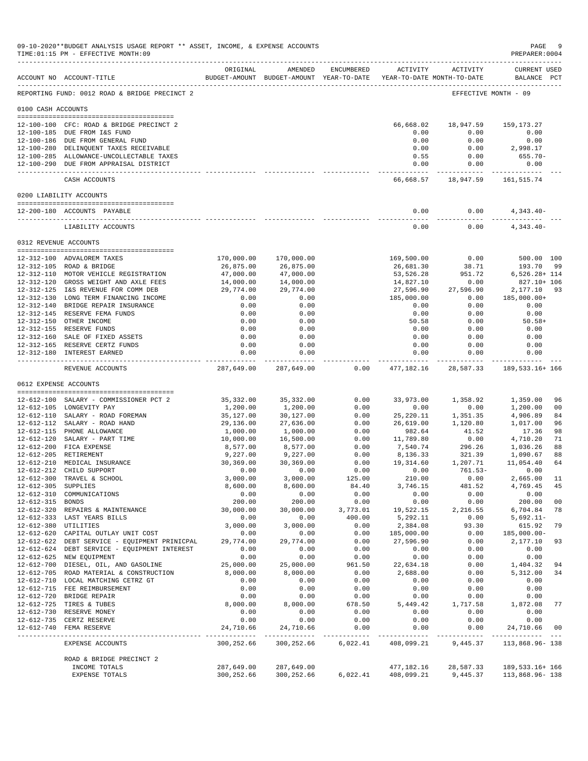|                      | 09-10-2020**BUDGET ANALYSIS USAGE REPORT ** ASSET, INCOME, & EXPENSE ACCOUNTS<br>TIME: 01:15 PM - EFFECTIVE MONTH: 09 |                        |                                                                                                    |                    |                         |                                              | PAGE<br>PREPARER:0004              | - 9            |
|----------------------|-----------------------------------------------------------------------------------------------------------------------|------------------------|----------------------------------------------------------------------------------------------------|--------------------|-------------------------|----------------------------------------------|------------------------------------|----------------|
|                      | ACCOUNT NO ACCOUNT-TITLE                                                                                              | ORIGINAL               | AMENDED<br>BUDGET-AMOUNT BUDGET-AMOUNT YEAR-TO-DATE YEAR-TO-DATE MONTH-TO-DATE                     | ENCUMBERED         |                         | ACTIVITY ACTIVITY                            | <b>CURRENT USED</b><br>BALANCE PCT |                |
|                      | REPORTING FUND: 0012 ROAD & BRIDGE PRECINCT 2                                                                         |                        |                                                                                                    |                    |                         |                                              | EFFECTIVE MONTH - 09               |                |
| 0100 CASH ACCOUNTS   |                                                                                                                       |                        |                                                                                                    |                    |                         |                                              |                                    |                |
|                      | 12-100-100 CFC: ROAD & BRIDGE PRECINCT 2                                                                              |                        |                                                                                                    |                    |                         | 66,668.02 18,947.59 159,173.27               |                                    |                |
|                      | 12-100-185 DUE FROM I&S FUND                                                                                          |                        |                                                                                                    |                    | 0.00                    | 0.00                                         | 0.00                               |                |
|                      | 12-100-186 DUE FROM GENERAL FUND                                                                                      |                        |                                                                                                    |                    | 0.00                    | 0.00                                         | 0.00                               |                |
|                      | 12-100-280 DELINQUENT TAXES RECEIVABLE<br>12-100-285 ALLOWANCE-UNCOLLECTABLE TAXES                                    |                        |                                                                                                    |                    | 0.00<br>0.55            | 0.00<br>0.00                                 | 2,998.17<br>655.70-                |                |
|                      | 12-100-290 DUE FROM APPRAISAL DISTRICT                                                                                |                        |                                                                                                    |                    | 0.00                    | 0.00                                         | 0.00                               |                |
|                      | CASH ACCOUNTS                                                                                                         |                        |                                                                                                    |                    | -----------             | -----------<br>66,668.57 18,947.59           | 161,515.74                         |                |
|                      | 0200 LIABILITY ACCOUNTS                                                                                               |                        |                                                                                                    |                    |                         |                                              |                                    |                |
|                      | 12-200-180 ACCOUNTS PAYABLE                                                                                           |                        |                                                                                                    |                    | 0.00                    | 0.00                                         | $4,343.40-$                        |                |
|                      | LIABILITY ACCOUNTS                                                                                                    |                        |                                                                                                    |                    | -----------<br>0.00     | ----------<br>0.00                           | -----------<br>$4,343.40-$         |                |
|                      | 0312 REVENUE ACCOUNTS                                                                                                 |                        |                                                                                                    |                    |                         |                                              |                                    |                |
|                      |                                                                                                                       |                        |                                                                                                    |                    |                         |                                              |                                    |                |
|                      | 12-312-100 ADVALOREM TAXES                                                                                            | 170,000.00             | 170,000.00                                                                                         |                    | 169,500.00              | 0.00                                         | 500.00 100                         |                |
|                      | 12-312-105 ROAD & BRIDGE<br>12-312-110 MOTOR VEHICLE REGISTRATION                                                     | 26,875.00              | 26,875.00                                                                                          |                    | 26,681.30               | 38.71                                        | 193.70 99                          |                |
|                      | 12-312-120 GROSS WEIGHT AND AXLE FEES                                                                                 | 47,000.00<br>14,000.00 | 47,000.00<br>14,000.00                                                                             |                    | 53,526.28<br>14,827.10  | 951.72<br>0.00                               | 6,526.28+ 114<br>827.10+ 106       |                |
|                      | 12-312-125 I&S REVENUE FOR COMM DEB                                                                                   | 29,774.00              | 29,774.00                                                                                          |                    | 27,596.90               | 27,596.90                                    | 2,177.10                           | 93             |
|                      | 12-312-130 LONG TERM FINANCING INCOME                                                                                 | 0.00                   | 0.00                                                                                               |                    | 185,000.00              | 0.00                                         | 185,000.00+                        |                |
|                      | 12-312-140 BRIDGE REPAIR INSURANCE                                                                                    | 0.00                   | 0.00                                                                                               |                    | 0.00                    | 0.00                                         | 0.00                               |                |
|                      | 12-312-145 RESERVE FEMA FUNDS                                                                                         | 0.00                   | 0.00                                                                                               |                    | 0.00                    | 0.00                                         | 0.00                               |                |
|                      | 12-312-150 OTHER INCOME<br>12-312-155 RESERVE FUNDS                                                                   | 0.00<br>0.00           | 0.00<br>0.00                                                                                       |                    | 50.58<br>0.00           | 0.00<br>0.00                                 | $50.58+$<br>0.00                   |                |
|                      | 12-312-160 SALE OF FIXED ASSETS                                                                                       | 0.00                   | 0.00                                                                                               |                    | 0.00                    | 0.00                                         | 0.00                               |                |
|                      | 12-312-165 RESERVE CERTZ FUNDS                                                                                        | 0.00                   | 0.00                                                                                               |                    | 0.00                    | 0.00                                         | 0.00                               |                |
|                      | 12-312-180 INTEREST EARNED<br>-------------------------------                                                         | 0.00<br>. <u>.</u> .   | 0.00<br>-------------                                                                              |                    | 0.00<br>------------    | 0.00<br>-------------                        | 0.00<br>------------ --            |                |
|                      | REVENUE ACCOUNTS                                                                                                      |                        | 287,649.00 287,649.00                                                                              | 0.00               |                         | 477, 182. 16 28, 587. 33 189, 533. 16+ 166   |                                    |                |
|                      | 0612 EXPENSE ACCOUNTS                                                                                                 |                        |                                                                                                    |                    |                         |                                              |                                    |                |
|                      | 12-612-100 SALARY - COMMISSIONER PCT 2                                                                                | 35,332.00              | 35,332.00                                                                                          | 0.00               | 33,973.00               | 1,358.92                                     | 1,359.00                           | 96             |
|                      | 12-612-105 LONGEVITY PAY                                                                                              | 1,200.00               | 1,200.00                                                                                           | 0.00               | 0.00                    | 0.00                                         | 1,200.00                           | 0 <sub>0</sub> |
|                      | 12-612-110 SALARY - ROAD FOREMAN                                                                                      | 35,127.00              | 30,127.00                                                                                          | 0.00               |                         |                                              | 4,906.89                           | 84             |
|                      | 12-612-112 SALARY - ROAD HAND                                                                                         | 29,136.00              | 27,636.00                                                                                          | 0.00               |                         | 25, 220.11 1, 351.35<br>26, 619.00 1, 120.80 | 1,017.00                           | 96             |
|                      | 12-612-115 PHONE ALLOWANCE                                                                                            | 1,000.00               | 1,000.00                                                                                           | 0.00               | 982.64                  | 41.52                                        | 17.36                              | 98             |
|                      | 12-612-120 SALARY - PART TIME<br>12-612-200 FICA EXPENSE                                                              | 10,000.00              | 16,500.00                                                                                          | 0.00<br>0.00       | 11,789.80               | 0.00<br>296.26                               | 4,710.20                           | 71<br>88       |
|                      | 12-612-205 RETIREMENT                                                                                                 | 8,577.00<br>9,227.00   | 8,577.00<br>9,227.00                                                                               | 0.00               | 7,540.74<br>8,136.33    | 321.39                                       | 1,036.26<br>1,090.67               | 88             |
|                      | 12-612-210 MEDICAL INSURANCE                                                                                          | 30,369.00              | 30,369.00                                                                                          | 0.00               | 19,314.60               | 1,207.71                                     | 11,054.40                          | 64             |
|                      | 12-612-212 CHILD SUPPORT                                                                                              | 0.00                   | 0.00                                                                                               | 0.00               | 0.00                    |                                              | $761.53 - 0.00$                    |                |
|                      | 12-612-300 TRAVEL & SCHOOL                                                                                            | 3,000.00               | 3,000.00                                                                                           | 125.00             | 210.00                  | 0.00                                         | 2,665.00 11                        |                |
| 12-612-305 SUPPLIES  | 12-612-310 COMMUNICATIONS                                                                                             | 8,600.00<br>0.00       | 8,600.00<br>0.00                                                                                   | 84.40<br>0.00      | 3,746.15<br>0.00        | 0.00                                         | 481.52 4,769.45 45<br>0.00         |                |
| 12-612-315 BONDS     |                                                                                                                       | 200.00                 | 200.00                                                                                             | 0.00               | 0.00                    | 0.00                                         | 200.00                             | 0 <sub>0</sub> |
|                      | 12-612-320 REPAIRS & MAINTENANCE                                                                                      | 30,000.00              |                                                                                                    | 30,000.00 3,773.01 |                         | 19,522.15 2,216.55                           | 6,704.84                           | 78             |
|                      | 12-612-333 LAST YEARS BILLS                                                                                           | 0.00                   | 0.00                                                                                               | 400.00             | 5,292.11                | 0.00                                         | 5,692.11-                          |                |
| 12-612-380 UTILITIES |                                                                                                                       | 3,000.00               | 3,000.00                                                                                           | 0.00               | 2,384.08                | 93.30                                        | 615.92                             | 79             |
|                      | 12-612-620 CAPITAL OUTLAY UNIT COST<br>12-612-622 DEBT SERVICE - EQUIPMENT PRINICPAL                                  | 0.00<br>29,774.00      | 0.00<br>29,774.00                                                                                  | 0.00<br>0.00       | 185,000.00<br>27,596.90 |                                              | $0.00 185,000.00 -$<br>2,177.10    | 93             |
|                      | 12-612-624 DEBT SERVICE - EQUIPMENT INTEREST                                                                          | 0.00                   | 0.00                                                                                               | 0.00               | 0.00                    | 0.00<br>0.00                                 | 0.00                               |                |
|                      | 12-612-625 NEW EQUIPMENT                                                                                              | 0.00                   | 0.00                                                                                               | 0.00               | 0.00                    | 0.00                                         | 0.00                               |                |
|                      | 12-612-700 DIESEL, OIL, AND GASOLINE                                                                                  | 25,000.00              | 25,000.00                                                                                          | 961.50             | 22,634.18               | 0.00                                         | 1,404.32                           | 94             |
|                      | 12-612-705 ROAD MATERIAL & CONSTRUCTION                                                                               | 8,000.00               | 8,000.00                                                                                           | 0.00               | 2,688.00                | 0.00                                         | 5,312.00                           | 34             |
|                      | 12-612-710 LOCAL MATCHING CETRZ GT                                                                                    | 0.00<br>0.00           | 0.00<br>0.00                                                                                       | 0.00<br>0.00       | 0.00<br>0.00            | 0.00                                         | 0.00                               |                |
|                      | 12-612-715 FEE REIMBURSEMENT<br>12-612-720 BRIDGE REPAIR                                                              | 0.00                   | 0.00                                                                                               | 0.00               | 0.00                    | 0.00<br>0.00                                 | 0.00<br>0.00                       |                |
|                      | 12-612-725 TIRES & TUBES                                                                                              | 8,000.00               | 8,000.00                                                                                           | 678.50             |                         | $0.00$<br>5,449.42 1,717.58 1,872.08 77      |                                    |                |
|                      | 12-612-730 RESERVE MONEY                                                                                              | 0.00                   | $0.00$<br>$0.00$                                                                                   | 0.00               | 0.00                    | 0.00                                         | 0.00                               |                |
|                      | 12-612-735 CERTZ RESERVE                                                                                              | 0.00                   |                                                                                                    | 0.00               | 0.00                    | 0.00                                         | 0.00                               |                |
|                      | 12-612-740 FEMA RESERVE                                                                                               | 24,710.66              | 24,710.66                                                                                          | 0.00               | 0.00                    | 0.00                                         | 24,710.66 00                       |                |
|                      | EXPENSE ACCOUNTS                                                                                                      | 300,252.66             | 300,252.66                                                                                         |                    | 6,022.41 408,099.21     |                                              | 9,445.37 113,868.96-138            |                |
|                      | ROAD & BRIDGE PRECINCT 2                                                                                              |                        |                                                                                                    |                    |                         |                                              |                                    |                |
|                      | INCOME TOTALS<br>EXPENSE TOTALS                                                                                       |                        | 287,649.00 287,649.00<br>300, 252.66 300, 252.66 6, 022.41 408, 099.21 9, 445.37 113, 868.96 - 138 |                    |                         | 477,182.16 28,587.33 189,533.16+166          |                                    |                |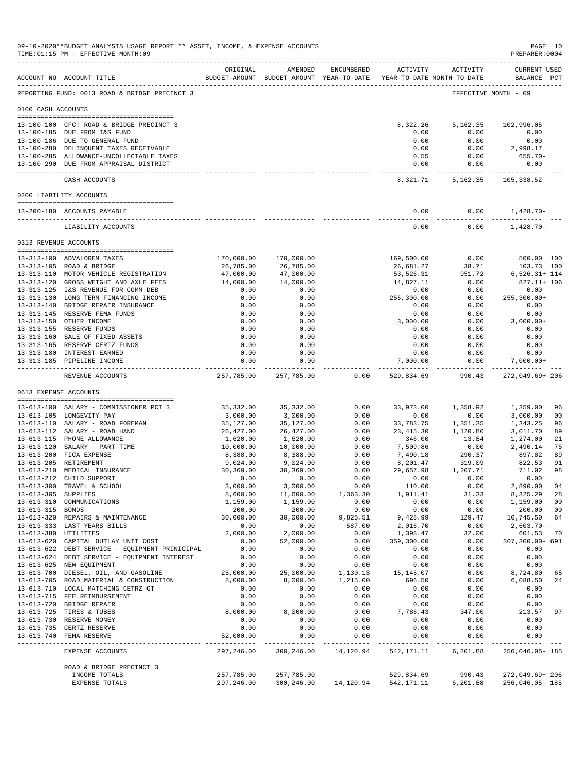|                     |                                                                                       | ORIGINAL                | AMENDED                | ENCUMBERED       | ACTIVITY                                                            | ACTIVITY             | CURRENT USED                   |
|---------------------|---------------------------------------------------------------------------------------|-------------------------|------------------------|------------------|---------------------------------------------------------------------|----------------------|--------------------------------|
|                     | ACCOUNT NO ACCOUNT-TITLE                                                              |                         |                        |                  | BUDGET-AMOUNT BUDGET-AMOUNT YEAR-TO-DATE YEAR-TO-DATE MONTH-TO-DATE |                      | BALANCE PCT                    |
|                     | REPORTING FUND: 0013 ROAD & BRIDGE PRECINCT 3                                         |                         |                        |                  |                                                                     | EFFECTIVE MONTH - 09 |                                |
| 0100 CASH ACCOUNTS  |                                                                                       |                         |                        |                  |                                                                     |                      |                                |
|                     | 13-100-100 CFC: ROAD & BRIDGE PRECINCT 3                                              |                         |                        |                  | $8,322.26 -$                                                        | $5,162.35-$          | 102,996.05                     |
|                     | 13-100-185 DUE FROM I&S FUND<br>13-100-186 DUE TO GENERAL FUND                        |                         |                        |                  | 0.00<br>0.00                                                        | 0.00<br>0.00         | 0.00<br>0.00                   |
|                     | 13-100-280 DELINQUENT TAXES RECEIVABLE                                                |                         |                        |                  | 0.00                                                                | 0.00                 | 2,998.17                       |
|                     | 13-100-285 ALLOWANCE-UNCOLLECTABLE TAXES                                              |                         |                        |                  | 0.55                                                                | 0.00                 | $655.70 -$                     |
|                     | 13-100-290 DUE FROM APPRAISAL DISTRICT                                                |                         |                        |                  | 0.00<br>--------------                                              | 0.00<br>------------ | 0.00<br>.                      |
|                     | CASH ACCOUNTS                                                                         |                         |                        |                  | 8,321.71-                                                           | $5,162.35-$          | 105,338.52                     |
|                     | 0200 LIABILITY ACCOUNTS                                                               |                         |                        |                  |                                                                     |                      |                                |
|                     | 13-200-180 ACCOUNTS PAYABLE                                                           |                         |                        |                  | 0.00                                                                | 0.00                 | 1,428.70-                      |
|                     | LIABILITY ACCOUNTS                                                                    |                         |                        |                  | 0.00                                                                | 0.00                 | $1,428.70-$                    |
|                     | 0313 REVENUE ACCOUNTS                                                                 |                         |                        |                  |                                                                     |                      |                                |
|                     | 13-313-100 ADVALOREM TAXES                                                            | 170,000.00              | 170,000.00             |                  | 169,500.00                                                          | 0.00                 | 500.00 100                     |
|                     | 13-313-105 ROAD & BRIDGE                                                              | 26,785.00               | 26,785.00              |                  | 26,681.27                                                           | 38.71                | 103.73 100                     |
|                     | 13-313-110 MOTOR VEHICLE REGISTRATION<br>13-313-120 GROSS WEIGHT AND AXLE FEES        | 47,000.00<br>14,000.00  | 47,000.00<br>14,000.00 |                  | 53,526.31<br>14,827.11                                              | 951.72<br>0.00       | $6,526.31+114$<br>827.11+ 106  |
|                     | 13-313-125 I&S REVENUE FOR COMM DEB                                                   | 0.00                    | 0.00                   |                  | 0.00                                                                | 0.00                 | 0.00                           |
|                     | 13-313-130 LONG TERM FINANCING INCOME                                                 | 0.00                    | 0.00                   |                  | 255,300.00                                                          | 0.00                 | $255, 300.00+$                 |
|                     | 13-313-140 BRIDGE REPAIR INSURANCE                                                    | 0.00                    | 0.00                   |                  | 0.00                                                                | 0.00                 | 0.00                           |
|                     | 13-313-145 RESERVE FEMA FUNDS                                                         | 0.00                    | 0.00                   |                  | 0.00                                                                | 0.00                 | 0.00                           |
|                     | 13-313-150 OTHER INCOME<br>13-313-155 RESERVE FUNDS                                   | 0.00<br>0.00            | 0.00<br>0.00           |                  | 3,000.00<br>0.00                                                    | 0.00<br>0.00         | $3,000.00+$<br>0.00            |
|                     | 13-313-160 SALE OF FIXED ASSETS                                                       | 0.00                    | 0.00                   |                  | 0.00                                                                | 0.00                 | 0.00                           |
|                     | 13-313-165 RESERVE CERTZ FUNDS                                                        | 0.00                    | 0.00                   |                  | 0.00                                                                | 0.00                 | 0.00                           |
|                     | 13-313-180 INTEREST EARNED                                                            | 0.00                    | 0.00                   |                  | 0.00                                                                | 0.00                 | 0.00                           |
|                     | 13-313-185 PIPELINE INCOME                                                            | 0.00<br>-----------     | 0.00<br>-------------  |                  | 7,000.00                                                            | 0.00                 | $7,000.00+$<br>--------------  |
|                     | REVENUE ACCOUNTS                                                                      | 257,785.00              | 257,785.00             | 0.00             | 529,834.69                                                          | 990.43               | 272,049.69+206                 |
|                     | 0613 EXPENSE ACCOUNTS                                                                 |                         |                        |                  |                                                                     |                      |                                |
|                     | 13-613-100 SALARY - COMMISSIONER PCT 3                                                | 35,332.00               | 35, 332.00             | 0.00             | 33,973.00                                                           | 1,358.92             | 1,359.00<br>96                 |
|                     | 13-613-105 LONGEVITY PAY                                                              | 3,000.00                | 3,000.00               | 0.00             | 0.00                                                                | 0.00                 | 3,000.00<br>00                 |
|                     | 13-613-110 SALARY - ROAD FOREMAN<br>13-613-112 SALARY - ROAD HAND                     | 35,127.00<br>26, 427.00 | 35,127.00<br>26,427.00 | 0.00<br>0.00     | 33,783.75<br>23, 415.30                                             | 1,351.35<br>1,120.80 | 1,343.25<br>3,011.70           |
|                     | 13-613-115 PHONE ALLOWANCE                                                            | 1,620.00                | 1,620.00               | 0.00             | 346.00                                                              | 13.84                | 1,274.00                       |
|                     | 13-613-120 SALARY - PART TIME                                                         | 10,000.00               | 10,000.00              | 0.00             | 7,509.86                                                            | 0.00                 | 2,490.14                       |
|                     | 13-613-200 FICA EXPENSE                                                               | 8,388.00                | 8,388.00               | 0.00             | 7,490.18                                                            | 290.37               | 897.82                         |
|                     | 13-613-205 RETIREMENT<br>13-613-210 MEDICAL INSURANCE                                 | 9,024.00<br>30,369.00   | 9,024.00<br>30,369.00  | 0.00<br>0.00     | 8,201.47<br>29,657.98                                               | 319.09<br>1,207.71   | 822.53<br>711.02               |
|                     | 13-613-212 CHILD SUPPORT                                                              | 0.00                    | 0.00                   | 0.00             | 0.00                                                                | 0.00                 | 0.00                           |
|                     | 13-613-300 TRAVEL & SCHOOL                                                            | 3,000.00                | 3,000.00               | 0.00             | 110.00                                                              | 0.00                 | 2,890.00<br>04                 |
| 13-613-305 SUPPLIES |                                                                                       | 8,600.00                | 11,600.00              | 1,363.30         | 1,911.41                                                            | 31.33                | 8,325.29<br>28                 |
| 13-613-315 BONDS    | 13-613-310 COMMUNICATIONS                                                             | 1,159.00<br>200.00      | 1,159.00<br>200.00     | 0.00<br>0.00     | 0.00<br>0.00                                                        | 0.00<br>0.00         | 1,159.00<br>00<br>200.00<br>00 |
|                     | 13-613-320 REPAIRS & MAINTENANCE                                                      | 30,000.00               | 30,000.00              | 9,825.51         | 9,428.99                                                            | 129.47               | 10,745.50<br>64                |
|                     | 13-613-333 LAST YEARS BILLS                                                           | 0.00                    | 0.00                   | 587.00           | 2,016.70                                                            | 0.00                 | 2,603.70-                      |
|                     | 13-613-380 UTILITIES                                                                  | 2,000.00                | 2,000.00               | 0.00             | 1,398.47                                                            | 32.00                | 601.53<br>70                   |
|                     | 13-613-620 CAPITAL OUTLAY UNIT COST<br>13-613-622 DEBT SERVICE - EQUIPMENT PRINICIPAL | 0.00<br>0.00            | 52,000.00<br>0.00      | 0.00<br>0.00     | 359,300.00<br>0.00                                                  | 0.00<br>0.00         | 307,300.00- 691<br>0.00        |
|                     | 13-613-624 DEBT SERVICE - EQUIPMENT INTEREST                                          | 0.00                    | 0.00                   | 0.00             | 0.00                                                                | 0.00                 | 0.00                           |
|                     | 13-613-625 NEW EQUIPMENT                                                              | 0.00                    | 0.00                   | 0.00             | 0.00                                                                | 0.00                 | 0.00                           |
|                     | 13-613-700 DIESEL, OIL, AND GASOLINE                                                  | 25,000.00               | 25,000.00              | 1,130.13         | 15,145.07                                                           | 0.00                 | 8,724.80<br>65                 |
|                     | 13-613-705 ROAD MATERIAL & CONSTRUCTION<br>13-613-710 LOCAL MATCHING CETRZ GT         | 8,000.00<br>0.00        | 8,000.00<br>0.00       | 1,215.00<br>0.00 | 696.50<br>0.00                                                      | 0.00<br>0.00         | 6,088.50<br>24<br>0.00         |
|                     | 13-613-715 FEE REIMBURSEMENT                                                          | 0.00                    | 0.00                   | 0.00             | 0.00                                                                | 0.00                 | 0.00                           |
|                     | 13-613-720 BRIDGE REPAIR                                                              | 0.00                    | 0.00                   | 0.00             | 0.00                                                                | 0.00                 | 0.00                           |
|                     | 13-613-725 TIRES & TUBES                                                              | 8,000.00                | 8,000.00               | 0.00             | 7,786.43                                                            | 347.00               | 213.57<br>97                   |
|                     | 13-613-730 RESERVE MONEY                                                              | 0.00<br>0.00            | 0.00<br>0.00           | 0.00<br>0.00     | 0.00<br>0.00                                                        | 0.00<br>0.00         | 0.00<br>0.00                   |
|                     | 13-613-735 CERTZ RESERVE<br>13-613-740 FEMA RESERVE                                   | 52,000.00               | 0.00                   | 0.00             | 0.00                                                                | 0.00                 | 0.00                           |
|                     | EXPENSE ACCOUNTS                                                                      | 297,246.00              | 300,246.00             | 14,120.94        | 542, 171. 11 6, 201. 88                                             |                      | ------------<br>256,046.05-185 |
|                     | ROAD & BRIDGE PRECINCT 3                                                              |                         |                        |                  |                                                                     |                      |                                |
|                     | INCOME TOTALS                                                                         | 257,785.00              | 257,785.00             |                  |                                                                     | 529,834.69 990.43    | 272,049.69+206                 |
|                     | EXPENSE TOTALS                                                                        | 297,246.00              |                        |                  | 300,246.00  14,120.94  542,171.11  6,201.88                         |                      | 256,046.05-185                 |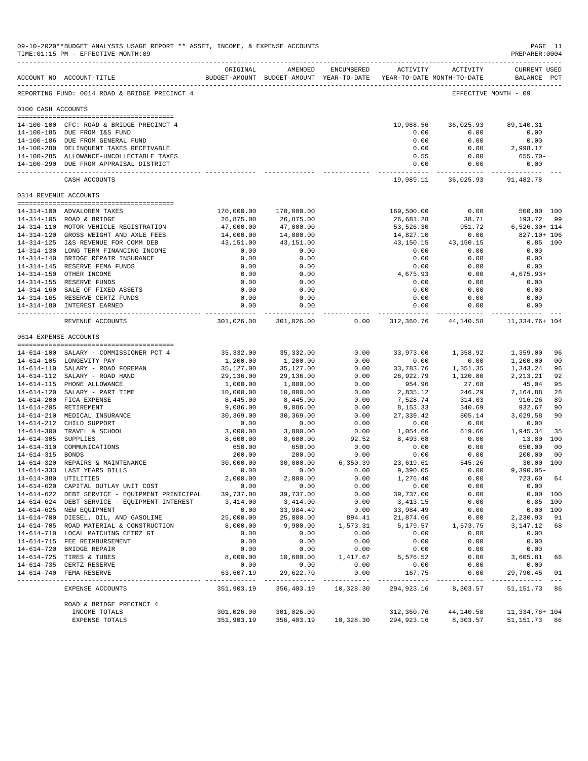|                       | 09-10-2020**BUDGET ANALYSIS USAGE REPORT ** ASSET, INCOME, & EXPENSE ACCOUNTS<br>TIME: 01:15 PM - EFFECTIVE MONTH: 09 |                           |                                                                                |                                     |                      |                                    | PREPARER: 0004                     | PAGE 11        |
|-----------------------|-----------------------------------------------------------------------------------------------------------------------|---------------------------|--------------------------------------------------------------------------------|-------------------------------------|----------------------|------------------------------------|------------------------------------|----------------|
|                       | ACCOUNT NO ACCOUNT-TITLE                                                                                              | ORIGINAL                  | AMENDED<br>BUDGET-AMOUNT BUDGET-AMOUNT YEAR-TO-DATE YEAR-TO-DATE MONTH-TO-DATE | ENCUMBERED                          |                      | ACTIVITY ACTIVITY                  | <b>CURRENT USED</b><br>BALANCE PCT |                |
|                       | REPORTING FUND: 0014 ROAD & BRIDGE PRECINCT 4                                                                         |                           |                                                                                |                                     |                      |                                    | EFFECTIVE MONTH - 09               |                |
| 0100 CASH ACCOUNTS    |                                                                                                                       |                           |                                                                                |                                     |                      |                                    |                                    |                |
|                       | 14-100-100 CFC: ROAD & BRIDGE PRECINCT 4                                                                              |                           |                                                                                |                                     | 19,988.56            | 36,025.93                          | 89,140.31                          |                |
|                       | 14-100-185 DUE FROM I&S FUND                                                                                          |                           |                                                                                |                                     | 0.00                 | 0.00                               | 0.00                               |                |
|                       | 14-100-186 DUE FROM GENERAL FUND                                                                                      |                           |                                                                                |                                     | 0.00                 | 0.00                               | 0.00                               |                |
|                       | 14-100-280 DELINQUENT TAXES RECEIVABLE                                                                                |                           |                                                                                |                                     | 0.00                 | 0.00                               | 2,998.17                           |                |
|                       | 14-100-285 ALLOWANCE-UNCOLLECTABLE TAXES                                                                              |                           |                                                                                |                                     | 0.55                 | 0.00                               | 655.70-                            |                |
|                       | 14-100-290 DUE FROM APPRAISAL DISTRICT                                                                                |                           |                                                                                |                                     | 0.00                 | 0.00                               | 0.00<br>-------------              |                |
|                       | CASH ACCOUNTS                                                                                                         |                           |                                                                                |                                     |                      | 19,989.11 36,025.93 91,482.78      |                                    |                |
| 0314 REVENUE ACCOUNTS |                                                                                                                       |                           |                                                                                |                                     |                      |                                    |                                    |                |
|                       | 14-314-100 ADVALOREM TAXES                                                                                            | 170,000.00                | 170,000.00                                                                     |                                     | 169,500.00           | 0.00                               | 500.00 100                         |                |
|                       | 14-314-105 ROAD & BRIDGE                                                                                              | 26,875.00                 | 26,875.00                                                                      |                                     | 26,681.28            | 38.71                              | 193.72 99                          |                |
|                       | 14-314-110 MOTOR VEHICLE REGISTRATION                                                                                 | 47,000.00                 | 47,000.00                                                                      |                                     | 53,526.30            | 951.72                             | $6,526.30+114$                     |                |
|                       | 14-314-120 GROSS WEIGHT AND AXLE FEES                                                                                 | 14,000.00                 | 14,000.00                                                                      |                                     | 14,827.10            | 0.00                               | 827.10+ 106                        |                |
|                       | 14-314-125 I&S REVENUE FOR COMM DEB                                                                                   | 43,151.00                 | 43,151.00                                                                      |                                     | 43,150.15            | 43,150.15                          | $0.85$ 100                         |                |
|                       | 14-314-130 LONG TERM FINANCING INCOME<br>14-314-140 BRIDGE REPAIR INSURANCE                                           | 0.00<br>0.00              | 0.00<br>0.00                                                                   |                                     | 0.00<br>0.00         | 0.00<br>0.00                       | 0.00<br>0.00                       |                |
|                       | 14-314-145 RESERVE FEMA FUNDS                                                                                         | 0.00                      | 0.00                                                                           |                                     | 0.00                 | 0.00                               | 0.00                               |                |
|                       | 14-314-150 OTHER INCOME                                                                                               | 0.00                      | 0.00                                                                           |                                     | 4,675.93             | 0.00                               | 4,675.93+                          |                |
|                       | 14-314-155 RESERVE FUNDS                                                                                              | 0.00                      | 0.00                                                                           |                                     | 0.00                 | 0.00                               | 0.00                               |                |
|                       | 14-314-160 SALE OF FIXED ASSETS                                                                                       | 0.00                      | 0.00                                                                           |                                     | 0.00                 | 0.00                               | 0.00                               |                |
|                       | 14-314-165 RESERVE CERTZ FUNDS                                                                                        | 0.00                      | 0.00                                                                           |                                     | 0.00                 | 0.00                               | 0.00                               |                |
|                       | 14-314-180 INTEREST EARNED<br>------------------------------                                                          | 0.00<br>-------------     | 0.00<br>. _ _ _ _ _ _ _ _ _ _ _                                                |                                     | 0.00<br>------------ | 0.00<br>------------               | 0.00<br>-----------                |                |
|                       | REVENUE ACCOUNTS                                                                                                      |                           | 301,026.00 301,026.00                                                          | 0.00                                |                      | 312,360.76 44,140.58 11,334.76+104 |                                    |                |
| 0614 EXPENSE ACCOUNTS |                                                                                                                       |                           |                                                                                |                                     |                      |                                    |                                    |                |
|                       | 14-614-100 SALARY - COMMISSIONER PCT 4                                                                                | 35,332.00                 | 35,332.00                                                                      | 0.00                                | 33,973.00            | 1,358.92                           | 1,359.00                           | 96             |
|                       | 14-614-105 LONGEVITY PAY                                                                                              | 1,200.00                  | 1,200.00                                                                       | 0.00                                | 0.00                 | 0.00                               | 1,200.00                           | 0 <sub>0</sub> |
|                       | 14-614-110 SALARY - ROAD FOREMAN                                                                                      | 35,127.00                 | 35,127.00                                                                      | 0.00                                | 33,783.76            | 1,351.35                           | 1,343.24                           | 96             |
|                       | 14-614-112 SALARY - ROAD HAND                                                                                         | 29,136.00                 | 29,136.00                                                                      | 0.00                                | 26,922.79            | 1,120.80                           | 2, 213.21                          | 92             |
|                       | 14-614-115 PHONE ALLOWANCE                                                                                            | 1,000.00                  | 1,000.00                                                                       | 0.00                                | 954.96               | 27.68<br>246.29                    | 45.04                              | 95             |
|                       | 14-614-120 SALARY - PART TIME<br>14-614-200 FICA EXPENSE                                                              | 10,000.00<br>8,445.00     | 10,000.00<br>8,445.00                                                          | 0.00<br>0.00                        | 2,835.12<br>7,528.74 | 314.03                             | 7,164.88<br>916.26                 | 28<br>89       |
|                       | 14-614-205 RETIREMENT                                                                                                 | 9,086.00                  | 9,086.00                                                                       | 0.00                                | 8,153.33             | 340.69                             | 932.67                             | 90             |
|                       | 14-614-210 MEDICAL INSURANCE                                                                                          | 30,369.00                 | 30,369.00                                                                      | 0.00                                | 27,339.42            | 805.14                             | 3,029.58                           | 90             |
|                       | 14-614-212 CHILD SUPPORT                                                                                              | 0.00                      | 0.00                                                                           | 0.00                                | 0.00                 | 0.00                               | 0.00                               |                |
|                       | 14-614-300 TRAVEL & SCHOOL                                                                                            | 3,000.00                  | 3,000.00                                                                       | 0.00                                | 1,054.66             | 619.66                             | 1,945.34                           | 35             |
| 14-614-305 SUPPLIES   |                                                                                                                       | 8,600.00                  | 8,600.00                                                                       | 92.52                               | 8,493.68             | 0.00                               | 13.80 100                          |                |
|                       | 14-614-310 COMMUNICATIONS                                                                                             | 650.00                    | 650.00                                                                         | 0.00                                | 0.00                 | 0.00                               | 650.00                             | 0 <sub>0</sub> |
| 14-614-315 BONDS      |                                                                                                                       | 200.00<br>30,000.00       | 200.00<br>30,000.00                                                            | 0.00<br>6,350.39                    | 0.00<br>23,619.61    | 0.00<br>545.26                     | 200.00                             | 0 <sub>0</sub> |
|                       | 14-614-320 REPAIRS & MAINTENANCE<br>14-614-333 LAST YEARS BILLS                                                       | 0.00                      | 0.00                                                                           | 0.00                                | 9,390.05             | 0.00                               | 30.00 100<br>$9,390.05 -$          |                |
| 14-614-380 UTILITIES  |                                                                                                                       | 2,000.00                  | 2,000.00                                                                       | 0.00                                | 1,276.40             | 0.00                               | 723.60 64                          |                |
|                       | 14-614-620 CAPITAL OUTLAY UNIT COST                                                                                   | 0.00                      | 0.00                                                                           | 0.00                                | 0.00                 | 0.00                               | 0.00                               |                |
|                       | 14-614-622 DEBT SERVICE - EQUIPMENT PRINICIPAL                                                                        | 39,737.00                 | 39,737.00                                                                      | 0.00                                | 39,737.00            | 0.00                               | 0.00 100                           |                |
|                       | 14-614-624 DEBT SERVICE - EQUIPMENT INTEREST                                                                          | 3,414.00                  | 3,414.00                                                                       | 0.00                                | 3, 413.15            | 0.00                               | $0.85$ 100                         |                |
|                       | 14-614-625 NEW EQUIPMENT                                                                                              | 0.00                      | 33,984.49                                                                      | 0.00                                | 33,984.49            | 0.00                               |                                    | 0.00 100       |
|                       | 14-614-700 DIESEL, OIL, AND GASOLINE                                                                                  | 25,000.00                 | 25,000.00                                                                      | 894.41                              | 21,874.66            | 0.00                               | 2,230.93                           | 91             |
|                       | 14-614-705 ROAD MATERIAL & CONSTRUCTION                                                                               | 8,000.00                  | 9,900.00                                                                       | 1,573.31                            | 5,179.57             | 1,573.75                           | 3,147.12                           | 68             |
|                       | 14-614-710 LOCAL MATCHING CETRZ GT<br>14-614-715 FEE REIMBURSEMENT                                                    | 0.00<br>0.00              | 0.00<br>0.00                                                                   | 0.00<br>0.00                        | 0.00<br>0.00         | 0.00                               | 0.00<br>0.00                       |                |
|                       | 14-614-720 BRIDGE REPAIR                                                                                              | 0.00                      | 0.00                                                                           | 0.00                                | 0.00                 | 0.00<br>0.00                       | 0.00                               |                |
|                       | 14-614-725 TIRES & TUBES                                                                                              | 8,000.00                  | 10,600.00                                                                      | 1,417.67                            | 5,576.52             | 0.00                               | 3,605.81                           | 66             |
|                       | 14-614-735 CERTZ RESERVE                                                                                              | 0.00                      | 0.00                                                                           | 0.00                                | 0.00                 | 0.00                               | 0.00                               |                |
|                       | 14-614-740 FEMA RESERVE                                                                                               | 63,607.19                 | 29,622.70                                                                      | 0.00                                | $167.75-$            | 0.00                               | 29,790.45                          | 01             |
|                       | EXPENSE ACCOUNTS                                                                                                      | -----------<br>351,903.19 | 356,403.19                                                                     | 10,328.30                           | 294,923.16           | 8,303.57                           | 51, 151. 73 86                     |                |
|                       | ROAD & BRIDGE PRECINCT 4                                                                                              |                           |                                                                                |                                     |                      |                                    |                                    |                |
|                       | INCOME TOTALS                                                                                                         | 301,026.00                | 301,026.00                                                                     |                                     | 312,360.76           | 44,140.58                          | 11,334.76+ 104                     |                |
|                       | EXPENSE TOTALS                                                                                                        | 351,903.19                |                                                                                | 356,403.19   10,328.30   294,923.16 |                      | 8,303.57                           | 51, 151. 73 86                     |                |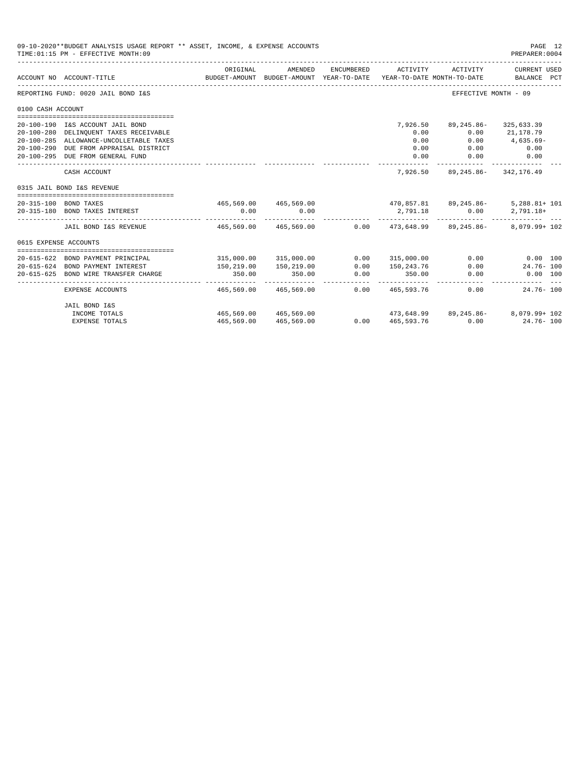|                       | 09-10-2020**BUDGET ANALYSIS USAGE REPORT ** ASSET, INCOME, & EXPENSE ACCOUNTS<br>TIME: 01:15 PM - EFFECTIVE MONTH: 09 |                       |                       |                 |                   |                                                      | PAGE 12<br>PREPARER: 0004                                                                       |
|-----------------------|-----------------------------------------------------------------------------------------------------------------------|-----------------------|-----------------------|-----------------|-------------------|------------------------------------------------------|-------------------------------------------------------------------------------------------------|
|                       | ACCOUNT NO ACCOUNT-TITLE                                                                                              | ORIGINAL              | AMENDED               | ENCUMBERED      | ACTIVITY          | ACTIVITY                                             | CURRENT USED<br>BUDGET-AMOUNT BUDGET-AMOUNT YEAR-TO-DATE YEAR-TO-DATE MONTH-TO-DATE BALANCE PCT |
|                       | REPORTING FUND: 0020 JAIL BOND I&S                                                                                    |                       |                       |                 |                   |                                                      | EFFECTIVE MONTH - 09                                                                            |
| 0100 CASH ACCOUNT     |                                                                                                                       |                       |                       |                 |                   |                                                      |                                                                                                 |
|                       |                                                                                                                       |                       |                       |                 |                   |                                                      |                                                                                                 |
|                       | 20-100-190 I&S ACCOUNT JAIL BOND                                                                                      |                       |                       |                 | 7,926.50          | 89,245.86-                                           | 325,633.39                                                                                      |
|                       | 20-100-280 DELINQUENT TAXES RECEIVABLE                                                                                |                       |                       |                 | 0.00              |                                                      | $0.00$ 21.178.79                                                                                |
|                       | 20-100-285 ALLOWANCE-UNCOLLETABLE TAXES                                                                               |                       |                       |                 | 0.00              | 0.00                                                 | $4,635.69-$                                                                                     |
|                       | 20-100-290 DUE FROM APPRAISAL DISTRICT                                                                                |                       |                       |                 | 0.00              |                                                      | $0.00$ 0.00                                                                                     |
|                       | 20-100-295 DUE FROM GENERAL FUND                                                                                      |                       |                       |                 | 0.00              | 0.00                                                 | 0.00                                                                                            |
|                       | CASH ACCOUNT                                                                                                          |                       |                       |                 |                   | 7,926.50 89,245.86- 342,176.49                       |                                                                                                 |
|                       | 0315 JAIL BOND I&S REVENUE                                                                                            |                       |                       |                 |                   |                                                      |                                                                                                 |
|                       | 20-315-100 BOND TAXES                                                                                                 |                       |                       |                 |                   | $465,569.00$ $465,569.00$ $470,857.81$ $89,245.86$ - | $5,288.81+101$                                                                                  |
|                       | 20-315-180 BOND TAXES INTEREST                                                                                        | 0.00                  | 0.00                  |                 | 2,791.18          | 0.00                                                 | 2,791.18+                                                                                       |
|                       | JAIL BOND I&S REVENUE 465,569.00 465,569.00 0.00 473,648.99 89,245.86-                                                |                       |                       |                 |                   |                                                      | $8.079.99 + 102$                                                                                |
| 0615 EXPENSE ACCOUNTS |                                                                                                                       |                       |                       |                 |                   |                                                      |                                                                                                 |
|                       |                                                                                                                       |                       |                       |                 |                   |                                                      |                                                                                                 |
|                       | 20-615-622 BOND PAYMENT PRINCIPAL                                                                                     |                       | 315,000.00 315,000.00 |                 | $0.00$ 315,000.00 |                                                      | $0.00$ $0.00$ $100$                                                                             |
|                       | 20-615-624 BOND PAYMENT INTEREST                                                                                      | 150,219.00            | 150,219.00            | 0.00            | 150,243.76        |                                                      | $0.00$ 24.76-100                                                                                |
| $20 - 615 - 625$      | BOND WIRE TRANSFER CHARGE                                                                                             | 350.00                | 350.00                | 0.00            | 350.00            | 0.00                                                 | $0.00$ 100                                                                                      |
|                       | EXPENSE ACCOUNTS                                                                                                      | 465,569.00            | 465,569.00            |                 | 0.00 465,593.76   | 0.00                                                 | $24.76 - 100$                                                                                   |
|                       | JAIL BOND I&S                                                                                                         |                       |                       |                 |                   |                                                      |                                                                                                 |
|                       | INCOME TOTALS                                                                                                         | 465,569.00 465,569.00 |                       |                 |                   |                                                      | $473,648.99$ $89,245.86  8,079.99 + 102$                                                        |
|                       | <b>EXPENSE TOTALS</b>                                                                                                 | 465,569.00            | 465,569.00            | 0.000465,593.76 |                   |                                                      | 0.00<br>$24.76 - 100$                                                                           |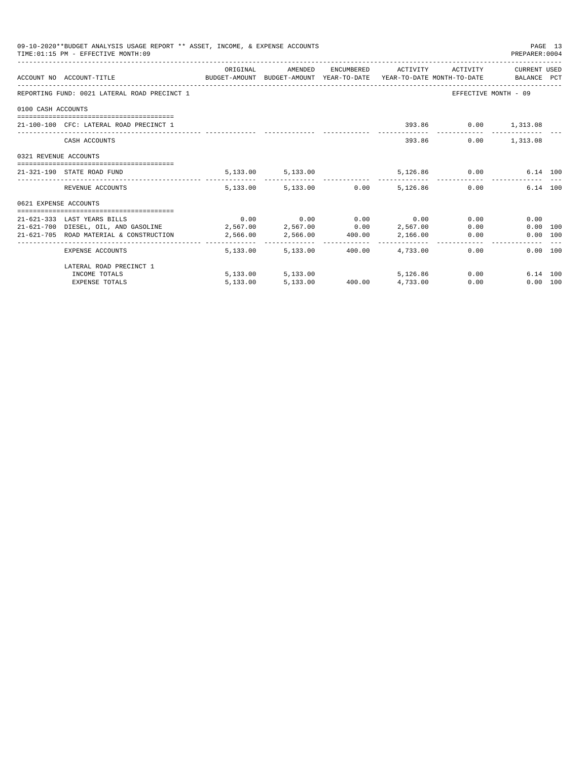| 09-10-2020**BUDGET ANALYSIS USAGE REPORT ** ASSET, INCOME, & EXPENSE ACCOUNTS<br>PAGE 13<br>TIME: 01:15 PM - EFFECTIVE MONTH: 09<br>PREPARER: 0004<br>ORIGINAL AMENDED ENCUMBERED ACTIVITY ACTIVITY CURRENT USED<br>ACCOUNT NO ACCOUNT-TITLE CONTROL BUDGET-AMOUNT BUDGET-AMOUNT YEAR-TO-DATE YEAR-TO-DATE MONTH-TO-DATE BALANCE PCT<br>REPORTING FUND: 0021 LATERAL ROAD PRECINCT 1<br>EFFECTIVE MONTH - 09<br>0100 CASH ACCOUNTS<br>393.86 0.00 1,313.08<br>21-100-100 CFC: LATERAL ROAD PRECINCT 1<br>393.86<br>$0.00$ 1,313.08<br>CASH ACCOUNTS<br>0321 REVENUE ACCOUNTS<br>5, 133.00 5, 133.00<br>5,126.86 0.00 6.14 100<br>21-321-190 STATE ROAD FUND<br>$5.133.00$ $5.133.00$ $0.00$ $5.126.86$ $0.00$<br>6.14 100<br>REVENUE ACCOUNTS<br>0621 EXPENSE ACCOUNTS<br>$0.00$ $0.00$ $0.00$ $0.00$ $0.00$<br>0.00<br>0.00<br>21-621-333 LAST YEARS BILLS<br>$21-621-700$ DIESEL, OIL, AND GASOLINE $2,567.00$ $2,567.00$ $0.00$ $2,567.00$<br>0.00<br>$0.00$ 100<br>21-621-705 ROAD MATERIAL & CONSTRUCTION<br>2,566.00<br>2,566.00<br>2,966.00<br>2,166.00<br>0.00<br>0.00 100<br>4,733.00<br>5.133.00 5.133.00<br>400.00<br>0.00<br>0.00 100<br>EXPENSE ACCOUNTS |          |                   |  |                          |      |                  |  |
|-----------------------------------------------------------------------------------------------------------------------------------------------------------------------------------------------------------------------------------------------------------------------------------------------------------------------------------------------------------------------------------------------------------------------------------------------------------------------------------------------------------------------------------------------------------------------------------------------------------------------------------------------------------------------------------------------------------------------------------------------------------------------------------------------------------------------------------------------------------------------------------------------------------------------------------------------------------------------------------------------------------------------------------------------------------------------------------------------------------------------------------------------------------------------|----------|-------------------|--|--------------------------|------|------------------|--|
|                                                                                                                                                                                                                                                                                                                                                                                                                                                                                                                                                                                                                                                                                                                                                                                                                                                                                                                                                                                                                                                                                                                                                                       |          |                   |  |                          |      |                  |  |
|                                                                                                                                                                                                                                                                                                                                                                                                                                                                                                                                                                                                                                                                                                                                                                                                                                                                                                                                                                                                                                                                                                                                                                       |          |                   |  |                          |      |                  |  |
|                                                                                                                                                                                                                                                                                                                                                                                                                                                                                                                                                                                                                                                                                                                                                                                                                                                                                                                                                                                                                                                                                                                                                                       |          |                   |  |                          |      |                  |  |
|                                                                                                                                                                                                                                                                                                                                                                                                                                                                                                                                                                                                                                                                                                                                                                                                                                                                                                                                                                                                                                                                                                                                                                       |          |                   |  |                          |      |                  |  |
|                                                                                                                                                                                                                                                                                                                                                                                                                                                                                                                                                                                                                                                                                                                                                                                                                                                                                                                                                                                                                                                                                                                                                                       |          |                   |  |                          |      |                  |  |
|                                                                                                                                                                                                                                                                                                                                                                                                                                                                                                                                                                                                                                                                                                                                                                                                                                                                                                                                                                                                                                                                                                                                                                       |          |                   |  |                          |      |                  |  |
|                                                                                                                                                                                                                                                                                                                                                                                                                                                                                                                                                                                                                                                                                                                                                                                                                                                                                                                                                                                                                                                                                                                                                                       |          |                   |  |                          |      |                  |  |
|                                                                                                                                                                                                                                                                                                                                                                                                                                                                                                                                                                                                                                                                                                                                                                                                                                                                                                                                                                                                                                                                                                                                                                       |          |                   |  |                          |      |                  |  |
|                                                                                                                                                                                                                                                                                                                                                                                                                                                                                                                                                                                                                                                                                                                                                                                                                                                                                                                                                                                                                                                                                                                                                                       |          |                   |  |                          |      |                  |  |
|                                                                                                                                                                                                                                                                                                                                                                                                                                                                                                                                                                                                                                                                                                                                                                                                                                                                                                                                                                                                                                                                                                                                                                       |          |                   |  |                          |      |                  |  |
|                                                                                                                                                                                                                                                                                                                                                                                                                                                                                                                                                                                                                                                                                                                                                                                                                                                                                                                                                                                                                                                                                                                                                                       |          |                   |  |                          |      |                  |  |
|                                                                                                                                                                                                                                                                                                                                                                                                                                                                                                                                                                                                                                                                                                                                                                                                                                                                                                                                                                                                                                                                                                                                                                       |          |                   |  |                          |      |                  |  |
|                                                                                                                                                                                                                                                                                                                                                                                                                                                                                                                                                                                                                                                                                                                                                                                                                                                                                                                                                                                                                                                                                                                                                                       |          |                   |  |                          |      |                  |  |
|                                                                                                                                                                                                                                                                                                                                                                                                                                                                                                                                                                                                                                                                                                                                                                                                                                                                                                                                                                                                                                                                                                                                                                       |          |                   |  |                          |      |                  |  |
| LATERAL ROAD PRECINCT 1                                                                                                                                                                                                                                                                                                                                                                                                                                                                                                                                                                                                                                                                                                                                                                                                                                                                                                                                                                                                                                                                                                                                               |          |                   |  |                          |      |                  |  |
| INCOME TOTALS                                                                                                                                                                                                                                                                                                                                                                                                                                                                                                                                                                                                                                                                                                                                                                                                                                                                                                                                                                                                                                                                                                                                                         |          | 5,133.00 5,133.00 |  | 5,126,86                 |      | 0.00<br>6.14 100 |  |
| <b>EXPENSE TOTALS</b>                                                                                                                                                                                                                                                                                                                                                                                                                                                                                                                                                                                                                                                                                                                                                                                                                                                                                                                                                                                                                                                                                                                                                 | 5,133.00 |                   |  | 5,133.00 400.00 4,733.00 | 0.00 | 0.00 100         |  |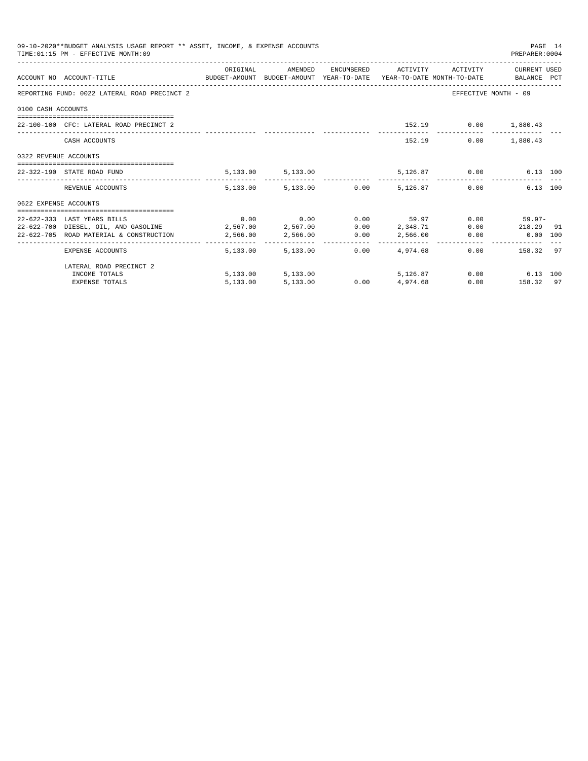|                       | 09-10-2020**BUDGET ANALYSIS USAGE REPORT ** ASSET, INCOME, & EXPENSE ACCOUNTS<br>TIME: 01:15 PM - EFFECTIVE MONTH: 09 |                                         |                        |                                                    |                      | PAGE 14<br>PREPARER: 0004 |  |
|-----------------------|-----------------------------------------------------------------------------------------------------------------------|-----------------------------------------|------------------------|----------------------------------------------------|----------------------|---------------------------|--|
|                       |                                                                                                                       | ORIGINAL                                | AMENDED                | ENCUMBERED ACTIVITY                                |                      | ACTIVITY CURRENT USED     |  |
|                       | ACCOUNT NO ACCOUNT-TITLE CONTROL PRODUCET-AMOUNT BUDGET-AMOUNT YEAR-TO-DATE YEAR-TO-DATE MONTH-TO-DATE BALANCE PCT    |                                         |                        |                                                    |                      |                           |  |
|                       | REPORTING FUND: 0022 LATERAL ROAD PRECINCT 2                                                                          |                                         |                        |                                                    |                      | EFFECTIVE MONTH - 09      |  |
| 0100 CASH ACCOUNTS    |                                                                                                                       |                                         |                        |                                                    |                      |                           |  |
|                       |                                                                                                                       |                                         |                        |                                                    |                      |                           |  |
|                       | 22-100-100 CFC: LATERAL ROAD PRECINCT 2                                                                               |                                         |                        |                                                    | 152.19 0.00 1,880.43 |                           |  |
|                       | CASH ACCOUNTS                                                                                                         |                                         |                        | 152.19                                             | 0.00                 | 1,880.43                  |  |
| 0322 REVENUE ACCOUNTS |                                                                                                                       |                                         |                        |                                                    |                      |                           |  |
|                       | 22-322-190 STATE ROAD FUND                                                                                            |                                         |                        | $5,133.00$ $5,133.00$ $5,126.87$ $0.00$ $6.13$ 100 |                      |                           |  |
|                       | REVENUE ACCOUNTS                                                                                                      |                                         |                        | 5,133.00 5,133.00 0.00 5,126.87                    |                      | 0.00<br>6.13 100          |  |
| 0622 EXPENSE ACCOUNTS |                                                                                                                       |                                         |                        |                                                    |                      |                           |  |
|                       | 22-622-333 LAST YEARS BILLS                                                                                           |                                         |                        | $0.00$ $0.00$ $0.00$ $0.00$ $59.97$                |                      | $0.00$ 59.97-             |  |
|                       | 22-622-700 DIESEL, OIL, AND GASOLINE 2,567.00 2,567.00 0.00 2,348.71                                                  |                                         |                        |                                                    |                      | $0.00$ 218.29 91          |  |
|                       | 22-622-705 ROAD MATERIAL & CONSTRUCTION                                                                               | $2,566.00$ $2,566.00$ $0.00$ $2,566.00$ |                        |                                                    |                      | $0.00$ $0.00$ $100$       |  |
|                       | EXPENSE ACCOUNTS                                                                                                      |                                         | 5,133.00 5,133.00 0.00 | 4,974,68                                           |                      | $0.00$ 158.32 97          |  |
|                       | LATERAL ROAD PRECINCT 2                                                                                               |                                         |                        |                                                    |                      |                           |  |
|                       | INCOME TOTALS                                                                                                         |                                         | 5, 133.00 5, 133.00    | 5,126.87                                           |                      | 0.00<br>6.13 100          |  |
|                       | <b>EXPENSE TOTALS</b>                                                                                                 | 5,133.00                                | 5,133.00               | $0.00$ 4,974.68                                    |                      | $0.00$ 158.32 97          |  |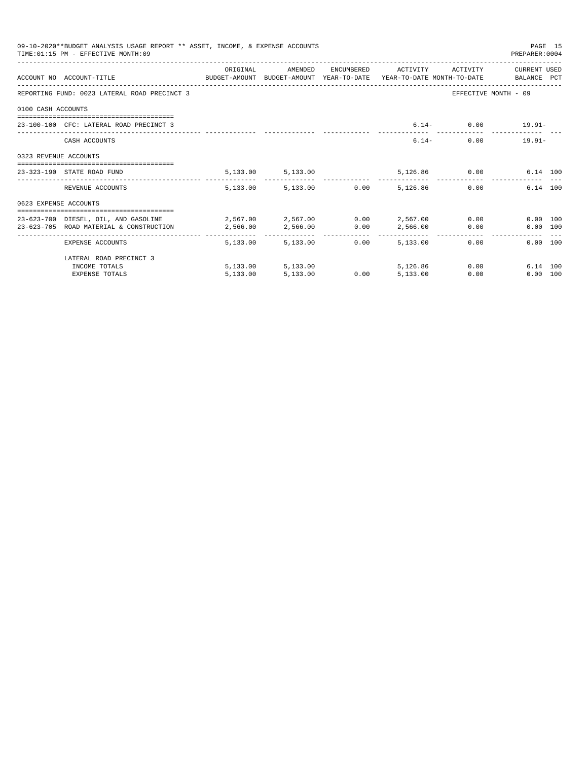|                       | 09-10-2020**BUDGET ANALYSIS USAGE REPORT ** ASSET, INCOME, & EXPENSE ACCOUNTS<br>TIME: 01:15 PM - EFFECTIVE MONTH: 09 |          |                        |      |                              |               | PREPARER: 0004       | PAGE 15 |
|-----------------------|-----------------------------------------------------------------------------------------------------------------------|----------|------------------------|------|------------------------------|---------------|----------------------|---------|
|                       |                                                                                                                       | ORIGINAL | AMENDED                |      | ENCUMBERED ACTIVITY ACTIVITY |               | CURRENT USED         |         |
|                       | ACCOUNT NO ACCOUNT-TITLE COMPUTE BUDGET-AMOUNT BUDGET-AMOUNT YEAR-TO-DATE YEAR-TO-DATE MONTH-TO-DATE BALANCE PCT      |          |                        |      |                              |               |                      |         |
|                       | REPORTING FUND: 0023 LATERAL ROAD PRECINCT 3                                                                          |          |                        |      |                              |               | EFFECTIVE MONTH - 09 |         |
| 0100 CASH ACCOUNTS    |                                                                                                                       |          |                        |      |                              |               |                      |         |
|                       | 23-100-100 CFC: LATERAL ROAD PRECINCT 3                                                                               |          |                        |      |                              |               | $6.14 - 0.00$ 19.91- |         |
|                       | CASH ACCOUNTS                                                                                                         |          |                        |      |                              | $6.14-$       | $0.00$ 19.91-        |         |
| 0323 REVENUE ACCOUNTS |                                                                                                                       |          |                        |      |                              |               |                      |         |
|                       | 23-323-190 STATE ROAD FUND                                                                                            |          | 5, 133.00 5, 133.00    |      |                              | 5,126.86 0.00 | 6.14 100             |         |
|                       | REVENUE ACCOUNTS                                                                                                      |          | 5,133.00 5,133.00 0.00 |      | 5,126.86                     |               | 6.14 100<br>0.00     |         |
| 0623 EXPENSE ACCOUNTS |                                                                                                                       |          |                        |      |                              |               |                      |         |
|                       | 23-623-700 DIESEL. OIL. AND GASOLINE $2.567.00$ $2.567.00$ $0.00$ $2.567.00$                                          |          |                        |      |                              |               | 0.00 100             |         |
|                       | 23-623-705 ROAD MATERIAL & CONSTRUCTION 2,566.00                                                                      |          | 2,566.00 0.00          |      | 2,566.00                     |               | 0.00<br>0.00 100     |         |
|                       | ______________________________________<br>EXPENSE ACCOUNTS                                                            |          | 5,133,00 5,133,00      | 0.00 | 5,133,00                     |               | 0.00<br>0.00 100     |         |
|                       | LATERAL ROAD PRECINCT 3                                                                                               |          |                        |      |                              |               |                      |         |
|                       | INCOME TOTALS                                                                                                         |          | 5,133.00 5,133.00      |      | 5,126,86                     |               | 0.00<br>6.14 100     |         |
|                       | <b>EXPENSE TOTALS</b>                                                                                                 | 5.133.00 | 5,133.00               | 0.00 | 5,133.00                     | 0.00          | $0.00$ 100           |         |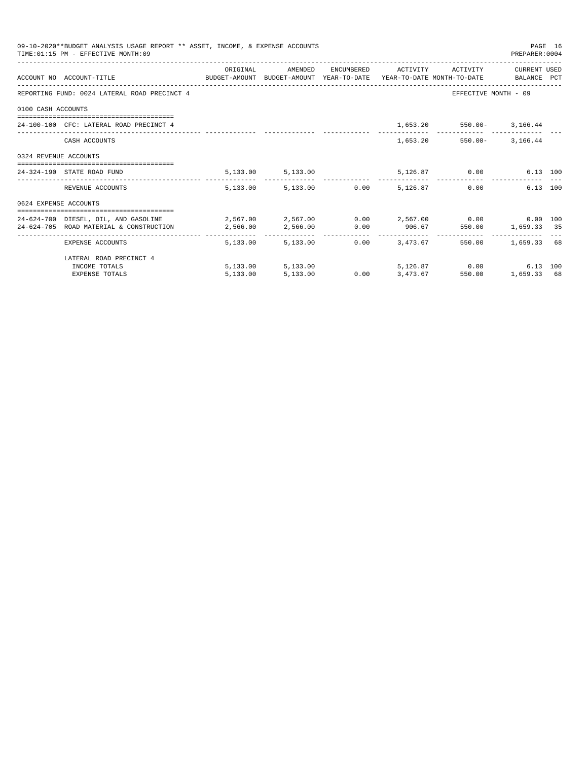|                       | 09-10-2020**BUDGET ANALYSIS USAGE REPORT ** ASSET, INCOME, & EXPENSE ACCOUNTS<br>TIME: 01:15 PM - EFFECTIVE MONTH: 09 |            |                                 |                  |                   |                                           | PREPARER: 0004       | PAGE 16 |
|-----------------------|-----------------------------------------------------------------------------------------------------------------------|------------|---------------------------------|------------------|-------------------|-------------------------------------------|----------------------|---------|
|                       |                                                                                                                       | ORIGINAL   | AMENDED                         |                  |                   | ENCUMBERED ACTIVITY ACTIVITY              | CURRENT USED         |         |
|                       | ACCOUNT NO ACCOUNT-TITLE CONTROL SUDGET-AMOUNT BUDGET-AMOUNT YEAR-TO-DATE YEAR-TO-DATE MONTH-TO-DATE BALANCE PCT      |            |                                 |                  |                   |                                           |                      |         |
|                       | REPORTING FUND: 0024 LATERAL ROAD PRECINCT 4                                                                          |            |                                 |                  |                   |                                           | EFFECTIVE MONTH - 09 |         |
| 0100 CASH ACCOUNTS    |                                                                                                                       |            |                                 |                  |                   |                                           |                      |         |
|                       | 24-100-100 CFC: LATERAL ROAD PRECINCT 4                                                                               |            |                                 |                  |                   | 1,653.20 550.00- 3,166.44                 |                      |         |
|                       | CASH ACCOUNTS                                                                                                         |            |                                 |                  |                   | 1,653.20 550.00- 3,166.44                 |                      |         |
| 0324 REVENUE ACCOUNTS |                                                                                                                       |            |                                 |                  |                   |                                           |                      |         |
|                       | 24-324-190 STATE ROAD FUND                                                                                            |            | 5, 133.00 5, 133.00             |                  |                   | 5,126.87 0.00                             | 6.13 100             |         |
|                       | REVENUE ACCOUNTS                                                                                                      |            | 5,133.00 5,133.00 0.00 5,126.87 |                  |                   |                                           | 6.13 100<br>0.00     |         |
| 0624 EXPENSE ACCOUNTS |                                                                                                                       |            |                                 |                  |                   |                                           |                      |         |
|                       | 24-624-700 DIESEL, OIL, AND GASOLINE $2,567.00$ $2,567.00$ $0.00$ $2,567.00$ $0.00$ $0.00$ $0.00$ $0.00$              |            |                                 |                  |                   |                                           |                      |         |
|                       | 24-624-705 ROAD MATERIAL & CONSTRUCTION 2,566.00                                                                      |            |                                 |                  |                   | $2,566.00$ 0.00 906.67 550.00 1,659.33 35 |                      |         |
|                       | EXPENSE ACCOUNTS                                                                                                      | -------- - | 5,133,00 5,133,00               |                  | $0.00$ $3.473.67$ |                                           | 550.00 1,659.33 68   |         |
|                       | LATERAL ROAD PRECINCT 4                                                                                               |            |                                 |                  |                   |                                           |                      |         |
|                       | INCOME TOTALS                                                                                                         |            | 5,133.00 5,133.00               |                  |                   | 5,126.87 0.00                             | 6.13 100             |         |
|                       | <b>EXPENSE TOTALS</b>                                                                                                 | 5,133.00   | 5,133.00                        | $0.00$ 3, 473.67 |                   | 550.00                                    | 1,659.33 68          |         |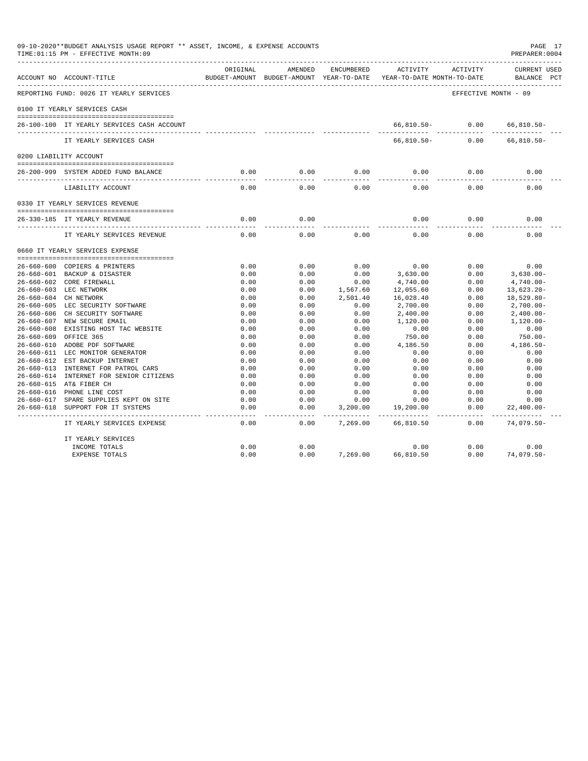|            | 09-10-2020**BUDGET ANALYSIS USAGE REPORT ** ASSET, INCOME, & EXPENSE ACCOUNTS<br>TIME: 01:15 PM - EFFECTIVE MONTH: 09 |                       |                                                     |                       |                                        |                      | PAGE 17<br>PREPARER:0004           |
|------------|-----------------------------------------------------------------------------------------------------------------------|-----------------------|-----------------------------------------------------|-----------------------|----------------------------------------|----------------------|------------------------------------|
|            | ACCOUNT NO ACCOUNT-TITLE                                                                                              | ORIGINAL              | AMENDED<br>BUDGET-AMOUNT BUDGET-AMOUNT YEAR-TO-DATE | ENCUMBERED            | ACTIVITY<br>YEAR-TO-DATE MONTH-TO-DATE | ACTIVITY             | <b>CURRENT USED</b><br>BALANCE PCT |
|            | REPORTING FUND: 0026 IT YEARLY SERVICES                                                                               |                       |                                                     |                       |                                        | EFFECTIVE MONTH - 09 |                                    |
|            | 0100 IT YEARLY SERVICES CASH                                                                                          |                       |                                                     |                       |                                        |                      |                                    |
|            | 26-100-100 IT YEARLY SERVICES CASH ACCOUNT                                                                            |                       |                                                     |                       | 66,810.50-                             | 0.00                 | $66, 810.50 -$                     |
|            | IT YEARLY SERVICES CASH                                                                                               |                       |                                                     |                       | $66, 810.50 -$                         | 0.00                 | $66, 810.50 -$                     |
|            | 0200 LIABILITY ACCOUNT                                                                                                |                       |                                                     |                       |                                        |                      |                                    |
|            |                                                                                                                       |                       |                                                     |                       |                                        |                      |                                    |
|            | 26-200-999 SYSTEM ADDED FUND BALANCE                                                                                  | 0.00                  | 0.00                                                | 0.00                  | 0.00                                   | 0.00                 | 0.00                               |
|            | LIABILITY ACCOUNT                                                                                                     | 0.00                  | 0.00                                                | 0.00                  | 0.00                                   | 0.00                 | 0.00                               |
|            | 0330 IT YEARLY SERVICES REVENUE                                                                                       |                       |                                                     |                       |                                        |                      |                                    |
|            |                                                                                                                       |                       |                                                     |                       |                                        |                      |                                    |
|            | 26-330-185 IT YEARLY REVENUE                                                                                          | 0.00<br>$\frac{1}{2}$ | 0.00<br>-----                                       |                       | 0.00                                   | 0.00                 | 0.00                               |
|            | IT YEARLY SERVICES REVENUE                                                                                            | 0.00                  | 0.00                                                | 0.00                  | 0.00                                   | 0.00                 | 0.00                               |
|            | 0660 IT YEARLY SERVICES EXPENSE                                                                                       |                       |                                                     |                       |                                        |                      |                                    |
|            |                                                                                                                       |                       |                                                     |                       |                                        |                      |                                    |
|            | 26-660-600 COPIERS & PRINTERS                                                                                         | 0.00                  | 0.00                                                | 0.00                  | 0.00                                   | 0.00                 | 0.00                               |
|            | 26-660-601 BACKUP & DISASTER                                                                                          | 0.00                  | 0.00                                                | 0.00                  | 3,630.00                               | 0.00                 | $3,630.00 -$                       |
|            | 26-660-602 CORE FIREWALL                                                                                              | 0.00                  | 0.00                                                | 0.00                  | 4,740.00                               | 0.00                 | $4,740.00 -$                       |
|            | 26-660-603 LEC NETWORK                                                                                                | 0.00                  | 0.00                                                | 1,567.60              | 12,055.60                              | 0.00                 | $13,623.20 -$                      |
|            | 26-660-604 CH NETWORK                                                                                                 | 0.00                  | 0.00                                                | 2,501.40              | 16,028.40                              | 0.00                 | 18,529.80-                         |
|            | 26-660-605 LEC SECURITY SOFTWARE                                                                                      | 0.00                  | 0.00                                                | 0.00                  | 2,700.00                               | 0.00                 | $2,700.00-$                        |
|            | 26-660-606 CH SECURITY SOFTWARE                                                                                       | 0.00                  | 0.00                                                | 0.00                  | 2,400.00                               | 0.00                 | $2,400.00-$                        |
|            | 26-660-607 NEW SECURE EMAIL                                                                                           | 0.00                  | 0.00                                                | 0.00                  | 1,120.00                               | 0.00                 | $1,120.00 -$                       |
|            | 26-660-608 EXISTING HOST TAC WEBSITE                                                                                  | 0.00                  | 0.00                                                | 0.00                  | 0.00                                   | 0.00                 | 0.00                               |
| 26-660-609 | OFFICE 365                                                                                                            | 0.00                  | 0.00                                                | 0.00                  | 750.00                                 | 0.00                 | 750.00-                            |
|            | 26-660-610 ADOBE PDF SOFTWARE                                                                                         | 0.00                  | 0.00                                                | 0.00                  | 4,186.50                               | 0.00                 | $4,186.50-$                        |
|            | 26-660-611 LEC MONITOR GENERATOR                                                                                      | 0.00                  | 0.00                                                | 0.00                  | 0.00                                   | 0.00                 | 0.00                               |
|            | 26-660-612 EST BACKUP INTERNET                                                                                        | 0.00                  | 0.00                                                | 0.00                  | 0.00                                   | 0.00                 | 0.00<br>0.00                       |
|            | 26-660-613 INTERNET FOR PATROL CARS                                                                                   | 0.00                  | 0.00                                                | 0.00                  | 0.00                                   | 0.00<br>0.00         |                                    |
|            | 26-660-614 INTERNET FOR SENIOR CITIZENS                                                                               | 0.00                  | 0.00                                                | 0.00                  | 0.00                                   |                      | 0.00                               |
|            | 26-660-615 AT& FIBER CH                                                                                               | 0.00                  | 0.00                                                | 0.00                  | 0.00                                   | 0.00                 | 0.00                               |
|            | 26-660-616 PHONE LINE COST                                                                                            | 0.00                  | 0.00                                                | 0.00                  | 0.00                                   | 0.00                 | 0.00                               |
| 26-660-618 | 26-660-617 SPARE SUPPLIES KEPT ON SITE<br>SUPPORT FOR IT SYSTEMS                                                      | 0.00<br>0.00          | 0.00<br>0.00                                        | 0.00<br>3,200.00      | 0.00<br>19,200.00                      | 0.00<br>0.00         | 0.00<br>$22,400.00-$               |
|            | -------------------------<br>IT YEARLY SERVICES EXPENSE                                                               | $- - - -$<br>0.00     | $- - - -$<br>0.00                                   | ---------<br>7,269.00 | -----------<br>66,810.50               | -----<br>0.00        | ----------<br>74,079.50-           |
|            | IT YEARLY SERVICES                                                                                                    |                       |                                                     |                       |                                        |                      |                                    |
|            | INCOME TOTALS                                                                                                         | 0.00                  | 0.00                                                |                       | 0.00                                   | 0.00                 | 0.00                               |
|            | <b>EXPENSE TOTALS</b>                                                                                                 | 0.00                  | 0.00                                                | 7,269.00              | 66,810.50                              | 0.00                 | $74,079.50 -$                      |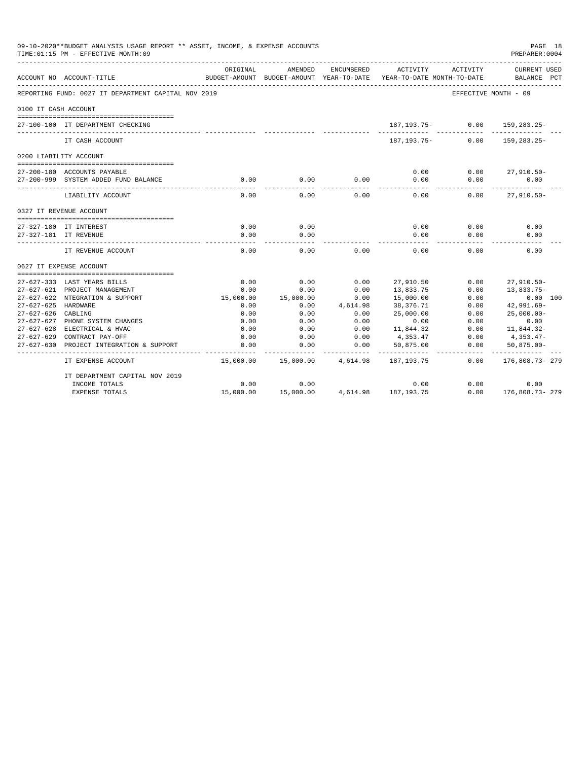| 09-10-2020**BUDGET ANALYSIS USAGE REPORT ** ASSET, INCOME, & EXPENSE ACCOUNTS<br>PAGE 18<br>PREPARER: 0004<br>TIME: 01:15 PM - EFFECTIVE MONTH: 09<br>ORIGINAL<br>ENCUMBERED<br>ACTIVITY<br>AMENDED<br>ACTIVITY<br>YEAR-TO-DATE<br>ACCOUNT NO ACCOUNT-TITLE<br>BUDGET-AMOUNT<br>BUDGET-AMOUNT<br>YEAR-TO-DATE MONTH-TO-DATE<br>BALANCE<br>REPORTING FUND: 0027 IT DEPARTMENT CAPITAL NOV 2019<br>EFFECTIVE MONTH - 09<br>0100 IT CASH ACCOUNT<br>0.00<br>187,193.75-<br>159, 283. 25-<br>27-100-100 IT DEPARTMENT CHECKING<br>$187.193.75-$<br>159, 283. 25-<br>0.00<br>IT CASH ACCOUNT<br>0200 LIABILITY ACCOUNT<br>0.00<br>0.00<br>$27,910.50 -$<br>27-200-180 ACCOUNTS PAYABLE<br>0.00<br>0.00<br>0.00<br>27-200-999 SYSTEM ADDED FUND BALANCE<br>0.00<br>0.00<br>0.00<br>0.00<br>0.00<br>0.00<br>0.00<br>0.00<br>$27,910.50 -$<br>LIABILITY ACCOUNT<br>0327 IT REVENUE ACCOUNT<br>0.00<br>0.00<br>0.00<br>0.00<br>0.00<br>27-327-180 IT INTEREST<br>0.00<br>0.00<br>0.00<br>0.00<br>0.00<br>27-327-181 IT REVENUE<br>IT REVENUE ACCOUNT<br>0.00<br>0.00<br>0.00<br>0.00<br>0.00<br>0.00<br>0627 IT EXPENSE ACCOUNT<br>0.00<br>0.00<br>0.00<br>27,910.50<br>0.00<br>27-627-333 LAST YEARS BILLS<br>27,910.50-<br>0.00<br>27-627-621 PROJECT MANAGEMENT<br>0.00<br>0.00<br>13,833.75<br>0.00<br>13,833.75-<br>27-627-622 NTEGRATION & SUPPORT<br>15,000.00<br>15,000.00<br>0.00<br>15,000.00<br>0.00<br>0.00 100<br>27-627-625 HARDWARE<br>4,614.98<br>38,376.71<br>$42,991.69-$<br>0.00<br>0.00<br>0.00<br>$27 - 627 - 626$<br>25,000.00<br>CABLING<br>0.00<br>0.00<br>0.00<br>0.00<br>$25,000.00 -$<br>0.00<br>27-627-627<br>PHONE SYSTEM CHANGES<br>0.00<br>0.00<br>0.00<br>0.00<br>0.00<br>11,844.32<br>27-627-628 ELECTRICAL & HVAC<br>0.00<br>0.00<br>0.00<br>0.00<br>11,844.32-<br>0.00<br>27-627-629 CONTRACT PAY-OFF<br>0.00<br>0.00<br>4,353.47<br>0.00<br>4,353.47-<br>0.00<br>0.00<br>0.00<br>$27 - 627 - 630$<br>PROJECT INTEGRATION & SUPPORT<br>0.00<br>50,875.00<br>$50,875.00 -$<br>----------<br>15,000.00<br>15,000.00<br>4,614.98<br>0.00<br>IT EXPENSE ACCOUNT<br>187,193.75 |                                |           |           |  |                     |      |                              |  |
|-----------------------------------------------------------------------------------------------------------------------------------------------------------------------------------------------------------------------------------------------------------------------------------------------------------------------------------------------------------------------------------------------------------------------------------------------------------------------------------------------------------------------------------------------------------------------------------------------------------------------------------------------------------------------------------------------------------------------------------------------------------------------------------------------------------------------------------------------------------------------------------------------------------------------------------------------------------------------------------------------------------------------------------------------------------------------------------------------------------------------------------------------------------------------------------------------------------------------------------------------------------------------------------------------------------------------------------------------------------------------------------------------------------------------------------------------------------------------------------------------------------------------------------------------------------------------------------------------------------------------------------------------------------------------------------------------------------------------------------------------------------------------------------------------------------------------------------------------------------------------------------------------------------------------------------------------------------------------------------------------------------------------------------------------------------------------------------------------------|--------------------------------|-----------|-----------|--|---------------------|------|------------------------------|--|
|                                                                                                                                                                                                                                                                                                                                                                                                                                                                                                                                                                                                                                                                                                                                                                                                                                                                                                                                                                                                                                                                                                                                                                                                                                                                                                                                                                                                                                                                                                                                                                                                                                                                                                                                                                                                                                                                                                                                                                                                                                                                                                     |                                |           |           |  |                     |      | CURRENT USED<br>$_{\rm PCT}$ |  |
|                                                                                                                                                                                                                                                                                                                                                                                                                                                                                                                                                                                                                                                                                                                                                                                                                                                                                                                                                                                                                                                                                                                                                                                                                                                                                                                                                                                                                                                                                                                                                                                                                                                                                                                                                                                                                                                                                                                                                                                                                                                                                                     |                                |           |           |  |                     |      |                              |  |
|                                                                                                                                                                                                                                                                                                                                                                                                                                                                                                                                                                                                                                                                                                                                                                                                                                                                                                                                                                                                                                                                                                                                                                                                                                                                                                                                                                                                                                                                                                                                                                                                                                                                                                                                                                                                                                                                                                                                                                                                                                                                                                     |                                |           |           |  |                     |      |                              |  |
|                                                                                                                                                                                                                                                                                                                                                                                                                                                                                                                                                                                                                                                                                                                                                                                                                                                                                                                                                                                                                                                                                                                                                                                                                                                                                                                                                                                                                                                                                                                                                                                                                                                                                                                                                                                                                                                                                                                                                                                                                                                                                                     |                                |           |           |  |                     |      |                              |  |
|                                                                                                                                                                                                                                                                                                                                                                                                                                                                                                                                                                                                                                                                                                                                                                                                                                                                                                                                                                                                                                                                                                                                                                                                                                                                                                                                                                                                                                                                                                                                                                                                                                                                                                                                                                                                                                                                                                                                                                                                                                                                                                     |                                |           |           |  |                     |      |                              |  |
|                                                                                                                                                                                                                                                                                                                                                                                                                                                                                                                                                                                                                                                                                                                                                                                                                                                                                                                                                                                                                                                                                                                                                                                                                                                                                                                                                                                                                                                                                                                                                                                                                                                                                                                                                                                                                                                                                                                                                                                                                                                                                                     |                                |           |           |  |                     |      |                              |  |
|                                                                                                                                                                                                                                                                                                                                                                                                                                                                                                                                                                                                                                                                                                                                                                                                                                                                                                                                                                                                                                                                                                                                                                                                                                                                                                                                                                                                                                                                                                                                                                                                                                                                                                                                                                                                                                                                                                                                                                                                                                                                                                     |                                |           |           |  |                     |      |                              |  |
|                                                                                                                                                                                                                                                                                                                                                                                                                                                                                                                                                                                                                                                                                                                                                                                                                                                                                                                                                                                                                                                                                                                                                                                                                                                                                                                                                                                                                                                                                                                                                                                                                                                                                                                                                                                                                                                                                                                                                                                                                                                                                                     |                                |           |           |  |                     |      |                              |  |
|                                                                                                                                                                                                                                                                                                                                                                                                                                                                                                                                                                                                                                                                                                                                                                                                                                                                                                                                                                                                                                                                                                                                                                                                                                                                                                                                                                                                                                                                                                                                                                                                                                                                                                                                                                                                                                                                                                                                                                                                                                                                                                     |                                |           |           |  |                     |      |                              |  |
|                                                                                                                                                                                                                                                                                                                                                                                                                                                                                                                                                                                                                                                                                                                                                                                                                                                                                                                                                                                                                                                                                                                                                                                                                                                                                                                                                                                                                                                                                                                                                                                                                                                                                                                                                                                                                                                                                                                                                                                                                                                                                                     |                                |           |           |  |                     |      |                              |  |
|                                                                                                                                                                                                                                                                                                                                                                                                                                                                                                                                                                                                                                                                                                                                                                                                                                                                                                                                                                                                                                                                                                                                                                                                                                                                                                                                                                                                                                                                                                                                                                                                                                                                                                                                                                                                                                                                                                                                                                                                                                                                                                     |                                |           |           |  |                     |      |                              |  |
|                                                                                                                                                                                                                                                                                                                                                                                                                                                                                                                                                                                                                                                                                                                                                                                                                                                                                                                                                                                                                                                                                                                                                                                                                                                                                                                                                                                                                                                                                                                                                                                                                                                                                                                                                                                                                                                                                                                                                                                                                                                                                                     |                                |           |           |  |                     |      |                              |  |
|                                                                                                                                                                                                                                                                                                                                                                                                                                                                                                                                                                                                                                                                                                                                                                                                                                                                                                                                                                                                                                                                                                                                                                                                                                                                                                                                                                                                                                                                                                                                                                                                                                                                                                                                                                                                                                                                                                                                                                                                                                                                                                     |                                |           |           |  |                     |      |                              |  |
|                                                                                                                                                                                                                                                                                                                                                                                                                                                                                                                                                                                                                                                                                                                                                                                                                                                                                                                                                                                                                                                                                                                                                                                                                                                                                                                                                                                                                                                                                                                                                                                                                                                                                                                                                                                                                                                                                                                                                                                                                                                                                                     |                                |           |           |  |                     |      |                              |  |
|                                                                                                                                                                                                                                                                                                                                                                                                                                                                                                                                                                                                                                                                                                                                                                                                                                                                                                                                                                                                                                                                                                                                                                                                                                                                                                                                                                                                                                                                                                                                                                                                                                                                                                                                                                                                                                                                                                                                                                                                                                                                                                     |                                |           |           |  |                     |      |                              |  |
|                                                                                                                                                                                                                                                                                                                                                                                                                                                                                                                                                                                                                                                                                                                                                                                                                                                                                                                                                                                                                                                                                                                                                                                                                                                                                                                                                                                                                                                                                                                                                                                                                                                                                                                                                                                                                                                                                                                                                                                                                                                                                                     |                                |           |           |  |                     |      |                              |  |
|                                                                                                                                                                                                                                                                                                                                                                                                                                                                                                                                                                                                                                                                                                                                                                                                                                                                                                                                                                                                                                                                                                                                                                                                                                                                                                                                                                                                                                                                                                                                                                                                                                                                                                                                                                                                                                                                                                                                                                                                                                                                                                     |                                |           |           |  |                     |      |                              |  |
|                                                                                                                                                                                                                                                                                                                                                                                                                                                                                                                                                                                                                                                                                                                                                                                                                                                                                                                                                                                                                                                                                                                                                                                                                                                                                                                                                                                                                                                                                                                                                                                                                                                                                                                                                                                                                                                                                                                                                                                                                                                                                                     |                                |           |           |  |                     |      |                              |  |
|                                                                                                                                                                                                                                                                                                                                                                                                                                                                                                                                                                                                                                                                                                                                                                                                                                                                                                                                                                                                                                                                                                                                                                                                                                                                                                                                                                                                                                                                                                                                                                                                                                                                                                                                                                                                                                                                                                                                                                                                                                                                                                     |                                |           |           |  |                     |      |                              |  |
|                                                                                                                                                                                                                                                                                                                                                                                                                                                                                                                                                                                                                                                                                                                                                                                                                                                                                                                                                                                                                                                                                                                                                                                                                                                                                                                                                                                                                                                                                                                                                                                                                                                                                                                                                                                                                                                                                                                                                                                                                                                                                                     |                                |           |           |  |                     |      |                              |  |
|                                                                                                                                                                                                                                                                                                                                                                                                                                                                                                                                                                                                                                                                                                                                                                                                                                                                                                                                                                                                                                                                                                                                                                                                                                                                                                                                                                                                                                                                                                                                                                                                                                                                                                                                                                                                                                                                                                                                                                                                                                                                                                     |                                |           |           |  |                     |      |                              |  |
|                                                                                                                                                                                                                                                                                                                                                                                                                                                                                                                                                                                                                                                                                                                                                                                                                                                                                                                                                                                                                                                                                                                                                                                                                                                                                                                                                                                                                                                                                                                                                                                                                                                                                                                                                                                                                                                                                                                                                                                                                                                                                                     |                                |           |           |  |                     |      |                              |  |
|                                                                                                                                                                                                                                                                                                                                                                                                                                                                                                                                                                                                                                                                                                                                                                                                                                                                                                                                                                                                                                                                                                                                                                                                                                                                                                                                                                                                                                                                                                                                                                                                                                                                                                                                                                                                                                                                                                                                                                                                                                                                                                     |                                |           |           |  |                     |      |                              |  |
|                                                                                                                                                                                                                                                                                                                                                                                                                                                                                                                                                                                                                                                                                                                                                                                                                                                                                                                                                                                                                                                                                                                                                                                                                                                                                                                                                                                                                                                                                                                                                                                                                                                                                                                                                                                                                                                                                                                                                                                                                                                                                                     |                                |           |           |  |                     |      |                              |  |
|                                                                                                                                                                                                                                                                                                                                                                                                                                                                                                                                                                                                                                                                                                                                                                                                                                                                                                                                                                                                                                                                                                                                                                                                                                                                                                                                                                                                                                                                                                                                                                                                                                                                                                                                                                                                                                                                                                                                                                                                                                                                                                     |                                |           |           |  |                     |      |                              |  |
|                                                                                                                                                                                                                                                                                                                                                                                                                                                                                                                                                                                                                                                                                                                                                                                                                                                                                                                                                                                                                                                                                                                                                                                                                                                                                                                                                                                                                                                                                                                                                                                                                                                                                                                                                                                                                                                                                                                                                                                                                                                                                                     |                                |           |           |  |                     |      |                              |  |
|                                                                                                                                                                                                                                                                                                                                                                                                                                                                                                                                                                                                                                                                                                                                                                                                                                                                                                                                                                                                                                                                                                                                                                                                                                                                                                                                                                                                                                                                                                                                                                                                                                                                                                                                                                                                                                                                                                                                                                                                                                                                                                     |                                |           |           |  |                     |      | 176,808.73- 279              |  |
|                                                                                                                                                                                                                                                                                                                                                                                                                                                                                                                                                                                                                                                                                                                                                                                                                                                                                                                                                                                                                                                                                                                                                                                                                                                                                                                                                                                                                                                                                                                                                                                                                                                                                                                                                                                                                                                                                                                                                                                                                                                                                                     | IT DEPARTMENT CAPITAL NOV 2019 |           |           |  |                     |      |                              |  |
|                                                                                                                                                                                                                                                                                                                                                                                                                                                                                                                                                                                                                                                                                                                                                                                                                                                                                                                                                                                                                                                                                                                                                                                                                                                                                                                                                                                                                                                                                                                                                                                                                                                                                                                                                                                                                                                                                                                                                                                                                                                                                                     | INCOME TOTALS                  | 0.00      | 0.00      |  | 0.00                | 0.00 | 0.00                         |  |
|                                                                                                                                                                                                                                                                                                                                                                                                                                                                                                                                                                                                                                                                                                                                                                                                                                                                                                                                                                                                                                                                                                                                                                                                                                                                                                                                                                                                                                                                                                                                                                                                                                                                                                                                                                                                                                                                                                                                                                                                                                                                                                     | <b>EXPENSE TOTALS</b>          | 15,000.00 | 15,000.00 |  | 4,614.98 187,193.75 | 0.00 | 176,808.73-279               |  |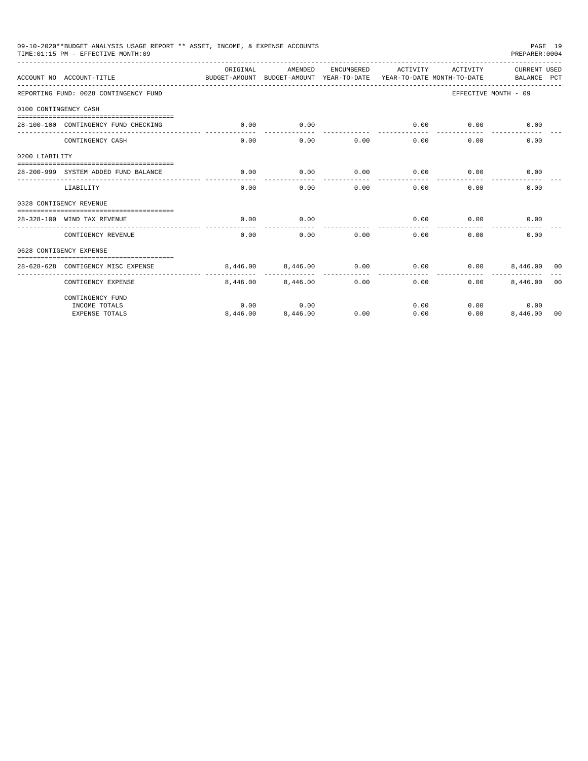|                       | 09-10-2020**BUDGET ANALYSIS USAGE REPORT ** ASSET, INCOME, & EXPENSE ACCOUNTS<br>TIME: 01:15 PM - EFFECTIVE MONTH: 09 |                                                                                 |          |            |                     |          | PREPARER: 0004              | PAGE 19        |
|-----------------------|-----------------------------------------------------------------------------------------------------------------------|---------------------------------------------------------------------------------|----------|------------|---------------------|----------|-----------------------------|----------------|
|                       | ACCOUNT NO ACCOUNT-TITLE                                                                                              | ORTGINAL<br>BUDGET-AMOUNT BUDGET-AMOUNT YEAR-TO-DATE YEAR-TO-DATE MONTH-TO-DATE | AMENDED  | ENCUMBERED | ACTIVITY            | ACTIVITY | CURRENT USED<br>BALANCE PCT |                |
|                       | REPORTING FUND: 0028 CONTINGENCY FUND                                                                                 |                                                                                 |          |            |                     |          | EFFECTIVE MONTH - 09        |                |
| 0100 CONTINGENCY CASH |                                                                                                                       |                                                                                 |          |            |                     |          |                             |                |
|                       | 28-100-100 CONTINGENCY FUND CHECKING                                                                                  | 0.00                                                                            | 0.00     |            | 0.00<br>----------- | 0.00     | 0.00                        |                |
|                       | CONTINGENCY CASH                                                                                                      | 0.00                                                                            | 0.00     | 0.00       | 0.00                | 0.00     | 0.00                        |                |
| 0200 LIABILITY        |                                                                                                                       |                                                                                 |          |            |                     |          |                             |                |
|                       | 28-200-999 SYSTEM ADDED FUND BALANCE                                                                                  | 0.00                                                                            | 0.00     | 0.00       | 0.00                | 0.00     | 0.00                        |                |
|                       | LIABILITY                                                                                                             | 0.00                                                                            | 0.00     | 0.00       | 0.00                | 0.00     | 0.00                        |                |
|                       | 0328 CONTIGENCY REVENUE                                                                                               |                                                                                 |          |            |                     |          |                             |                |
|                       | 28-328-100 WIND TAX REVENUE                                                                                           | 0.00                                                                            | 0.00     |            | 0.00                | 0.00     | 0.00                        |                |
|                       | CONTIGENCY REVENUE                                                                                                    | 0.00                                                                            | 0.00     | 0.00       | 0.00                | 0.00     | 0.00                        |                |
|                       | 0628 CONTIGENCY EXPENSE                                                                                               |                                                                                 |          |            |                     |          |                             |                |
|                       | 28-628-628 CONTIGENCY MISC EXPENSE                                                                                    | 8,446,00                                                                        | 8,446.00 | 0.00       | 0.00                | 0.00     | 8,446,00 00                 |                |
|                       | CONTIGENCY EXPENSE                                                                                                    | 8,446.00                                                                        | 8,446,00 | 0.00       | 0.00                | 0.00     | 8,446.00                    | 0 <sub>0</sub> |
|                       | CONTINGENCY FUND                                                                                                      |                                                                                 |          |            |                     |          |                             |                |
|                       | INCOME TOTALS                                                                                                         | 0.00                                                                            | 0.00     |            | 0.00                |          | 0.00<br>0.00                |                |
|                       | <b>EXPENSE TOTALS</b>                                                                                                 | 8,446.00                                                                        | 8,446.00 | 0.00       | 0.00                | 0.00     | 8,446.00                    | 00             |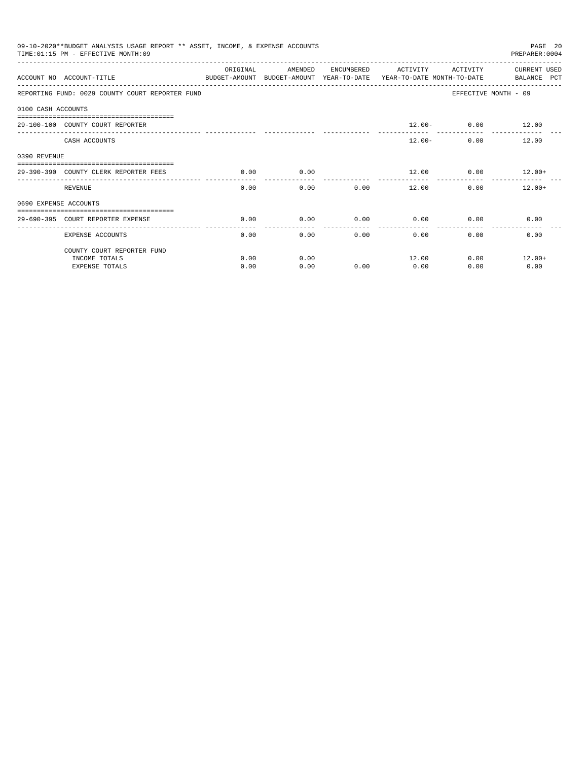|                    | 09-10-2020**BUDGET ANALYSIS USAGE REPORT ** ASSET, INCOME, & EXPENSE ACCOUNTS<br>PAGE 20<br>TIME: 01:15 PM - EFFECTIVE MONTH: 09<br>PREPARER: 0004<br>ORIGINAL<br>AMENDED<br>ENCUMBERED<br>ACTIVITY<br>ACTIVITY<br>CURRENT USED<br>ACCOUNT NO ACCOUNT-TITLE<br>BUDGET-AMOUNT BUDGET-AMOUNT YEAR-TO-DATE YEAR-TO-DATE MONTH-TO-DATE<br>BALANCE PCT<br>REPORTING FUND: 0029 COUNTY COURT REPORTER FUND<br>EFFECTIVE MONTH - 09<br>$12.00 - 0.00$ 12.00<br>29-100-100 COUNTY COURT REPORTER<br>CASH ACCOUNTS<br>$12.00 -$<br>0.00<br>12.00<br>0.00<br>29-390-390 COUNTY CLERK REPORTER FEES<br>0.00<br>$12.00$ 0.00 $12.00+$<br>0.00<br>REVENUE<br>0.00<br>0.00<br>12.00<br>0.00<br>$12.00+$<br>0690 EXPENSE ACCOUNTS<br>0.00<br>0.00<br>0.00<br>0.00<br>0.00<br>0.00<br>29-690-395 COURT REPORTER EXPENSE |      |      |      |       |              |          |
|--------------------|---------------------------------------------------------------------------------------------------------------------------------------------------------------------------------------------------------------------------------------------------------------------------------------------------------------------------------------------------------------------------------------------------------------------------------------------------------------------------------------------------------------------------------------------------------------------------------------------------------------------------------------------------------------------------------------------------------------------------------------------------------------------------------------------------------|------|------|------|-------|--------------|----------|
|                    |                                                                                                                                                                                                                                                                                                                                                                                                                                                                                                                                                                                                                                                                                                                                                                                                         |      |      |      |       |              |          |
|                    |                                                                                                                                                                                                                                                                                                                                                                                                                                                                                                                                                                                                                                                                                                                                                                                                         |      |      |      |       |              |          |
| 0100 CASH ACCOUNTS |                                                                                                                                                                                                                                                                                                                                                                                                                                                                                                                                                                                                                                                                                                                                                                                                         |      |      |      |       |              |          |
|                    |                                                                                                                                                                                                                                                                                                                                                                                                                                                                                                                                                                                                                                                                                                                                                                                                         |      |      |      |       |              |          |
|                    |                                                                                                                                                                                                                                                                                                                                                                                                                                                                                                                                                                                                                                                                                                                                                                                                         |      |      |      |       |              |          |
| 0390 REVENUE       |                                                                                                                                                                                                                                                                                                                                                                                                                                                                                                                                                                                                                                                                                                                                                                                                         |      |      |      |       |              |          |
|                    |                                                                                                                                                                                                                                                                                                                                                                                                                                                                                                                                                                                                                                                                                                                                                                                                         |      |      |      |       |              |          |
|                    |                                                                                                                                                                                                                                                                                                                                                                                                                                                                                                                                                                                                                                                                                                                                                                                                         |      |      |      |       |              |          |
|                    |                                                                                                                                                                                                                                                                                                                                                                                                                                                                                                                                                                                                                                                                                                                                                                                                         |      |      |      |       |              |          |
|                    |                                                                                                                                                                                                                                                                                                                                                                                                                                                                                                                                                                                                                                                                                                                                                                                                         |      |      |      |       |              |          |
|                    | <b>EXPENSE ACCOUNTS</b>                                                                                                                                                                                                                                                                                                                                                                                                                                                                                                                                                                                                                                                                                                                                                                                 | 0.00 | 0.00 |      | 0.00  | 0.00<br>0.00 | 0.00     |
|                    | COUNTY COURT REPORTER FUND                                                                                                                                                                                                                                                                                                                                                                                                                                                                                                                                                                                                                                                                                                                                                                              |      |      |      |       |              |          |
|                    | INCOME TOTALS                                                                                                                                                                                                                                                                                                                                                                                                                                                                                                                                                                                                                                                                                                                                                                                           | 0.00 | 0.00 |      | 12.00 | 0.00         | $12.00+$ |
|                    | <b>EXPENSE TOTALS</b>                                                                                                                                                                                                                                                                                                                                                                                                                                                                                                                                                                                                                                                                                                                                                                                   | 0.00 | 0.00 | 0.00 | 0.00  | 0.00         | 0.00     |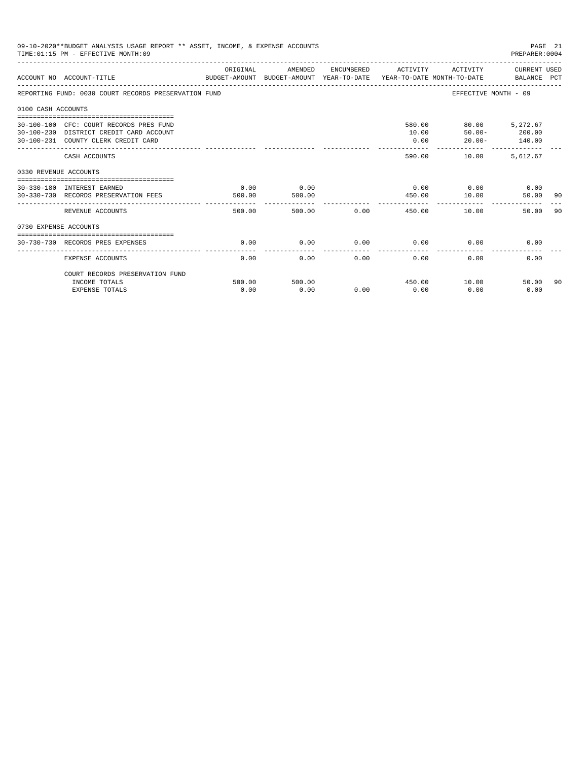|                       | 09-10-2020**BUDGET ANALYSIS USAGE REPORT ** ASSET, INCOME, & EXPENSE ACCOUNTS<br>TIME: 01:15 PM - EFFECTIVE MONTH: 09                                              |                |                |      |                     |                                                 | PAGE 21<br>PREPARER:0004 |     |
|-----------------------|--------------------------------------------------------------------------------------------------------------------------------------------------------------------|----------------|----------------|------|---------------------|-------------------------------------------------|--------------------------|-----|
|                       | ACCOUNT NO ACCOUNT-TITLE<br>BUDGET-AMOUNT BUDGET-AMOUNT YEAR-TO-DATE YEAR-TO-DATE MONTH-TO-DATE BALANCE PCT                                                        | ORIGINAL       | AMENDED        |      | ENCUMBERED ACTIVITY |                                                 | ACTIVITY CURRENT USED    |     |
|                       | REPORTING FUND: 0030 COURT RECORDS PRESERVATION FUND                                                                                                               |                |                |      |                     |                                                 | EFFECTIVE MONTH - 09     |     |
| 0100 CASH ACCOUNTS    |                                                                                                                                                                    |                |                |      |                     |                                                 |                          |     |
|                       | -------------------------------------<br>30-100-100 CFC: COURT RECORDS PRES FUND<br>30-100-230 DISTRICT CREDIT CARD ACCOUNT<br>30-100-231 COUNTY CLERK CREDIT CARD |                |                |      | 10.00<br>0.00       | 580.00 80.00 5,272.67<br>$50.00 -$<br>$20.00 -$ | 200.00<br>140.00         |     |
|                       | CASH ACCOUNTS                                                                                                                                                      |                |                |      | --------<br>590.00  | 10.00                                           | 5.612.67                 |     |
| 0330 REVENUE ACCOUNTS |                                                                                                                                                                    |                |                |      |                     |                                                 |                          |     |
|                       | --------------------------------<br>30-330-180 INTEREST EARNED<br>30-330-730 RECORDS PRESERVATION FEES                                                             | 0.00<br>500.00 | 0.00<br>500.00 |      | 450.00              | $0.00$ $0.00$ $0.00$ $0.00$<br>10.00            | 50.00                    | -90 |
|                       | REVENUE ACCOUNTS                                                                                                                                                   | 500.00         | 500.00         | 0.00 |                     | 450.00<br>10.00                                 | 50.00                    | 90  |
| 0730 EXPENSE ACCOUNTS |                                                                                                                                                                    |                |                |      |                     |                                                 |                          |     |
|                       | 30-730-730 RECORDS PRES EXPENSES                                                                                                                                   | 0.00           | 0.00           | 0.00 | 0.00                | 0.00                                            | 0.00                     |     |
|                       | <b>EXPENSE ACCOUNTS</b>                                                                                                                                            | 0.00           | 0.00           | 0.00 | 0.00                | 0.00                                            | 0.00                     |     |
|                       | COURT RECORDS PRESERVATION FUND                                                                                                                                    |                |                |      |                     |                                                 |                          |     |
|                       | INCOME TOTALS<br><b>EXPENSE TOTALS</b>                                                                                                                             | 500.00<br>0.00 | 500.00<br>0.00 | 0.00 | 450.00<br>0.00      | 10.00<br>0.00                                   | 50.00<br>0.00            | 90  |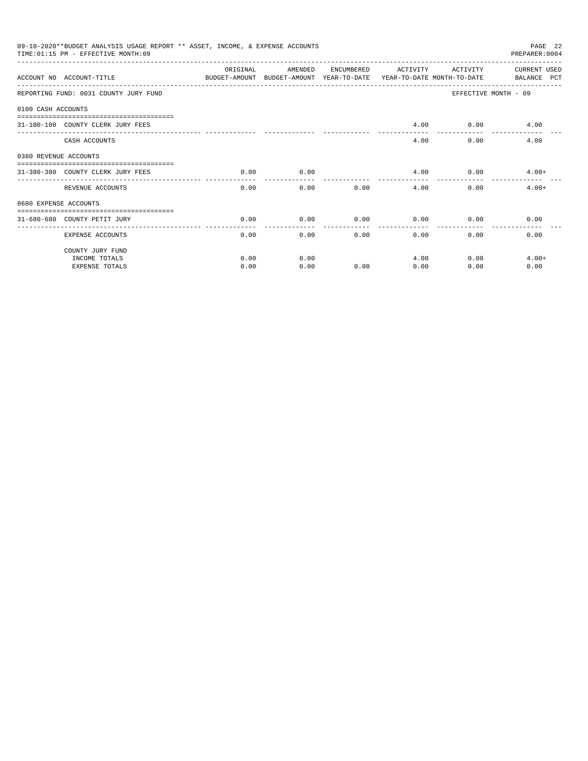|                       | 09-10-2020**BUDGET ANALYSIS USAGE REPORT ** ASSET, INCOME, & EXPENSE ACCOUNTS<br>TIME: 01:15 PM - EFFECTIVE MONTH: 09 |                    |                                                                                |            |          |              | PAGE 22<br>PREPARER: 0004   |
|-----------------------|-----------------------------------------------------------------------------------------------------------------------|--------------------|--------------------------------------------------------------------------------|------------|----------|--------------|-----------------------------|
|                       | ACCOUNT NO ACCOUNT-TITLE                                                                                              | ORIGINAL           | AMENDED<br>BUDGET-AMOUNT BUDGET-AMOUNT YEAR-TO-DATE YEAR-TO-DATE_MONTH-TO-DATE | ENCUMBERED | ACTIVITY | ACTIVITY     | CURRENT USED<br>BALANCE PCT |
|                       | REPORTING FUND: 0031 COUNTY JURY FUND                                                                                 |                    |                                                                                |            |          |              | EFFECTIVE MONTH - 09        |
| 0100 CASH ACCOUNTS    |                                                                                                                       |                    |                                                                                |            |          |              |                             |
|                       | 31-100-100 COUNTY CLERK JURY FEES                                                                                     |                    |                                                                                |            | 4.00     |              | $0.00$ 4.00                 |
|                       | CASH ACCOUNTS                                                                                                         |                    |                                                                                |            | 4.00     | 0.00         | 4.00                        |
| 0380 REVENUE ACCOUNTS |                                                                                                                       |                    |                                                                                |            |          |              |                             |
|                       | 31-380-380 COUNTY CLERK JURY FEES                                                                                     | 0.00               | 0.00                                                                           |            | 4.00     |              | $0.00$ 4.00+                |
|                       | REVENUE ACCOUNTS                                                                                                      | ----------<br>0.00 | 0.00                                                                           | 0.00       | 4.00     | 0.00         | $4.00+$                     |
| 0680 EXPENSE ACCOUNTS |                                                                                                                       |                    |                                                                                |            |          |              |                             |
|                       | 31-680-680 COUNTY PETIT JURY                                                                                          | 0.00               | 0.00                                                                           | 0.00       | 0.00     | 0.00         | 0.00                        |
|                       | <b>EXPENSE ACCOUNTS</b>                                                                                               | 0.00               | 0.00                                                                           |            | 0.00     | 0.00<br>0.00 | 0.00                        |
|                       | COUNTY JURY FUND                                                                                                      |                    |                                                                                |            |          |              |                             |
|                       | INCOME TOTALS                                                                                                         | 0.00               | 0.00                                                                           |            | 4.00     | 0.00         | $4.00+$                     |
|                       | <b>EXPENSE TOTALS</b>                                                                                                 | 0.00               | 0.00                                                                           | 0.00       | 0.00     | 0.00         | 0.00                        |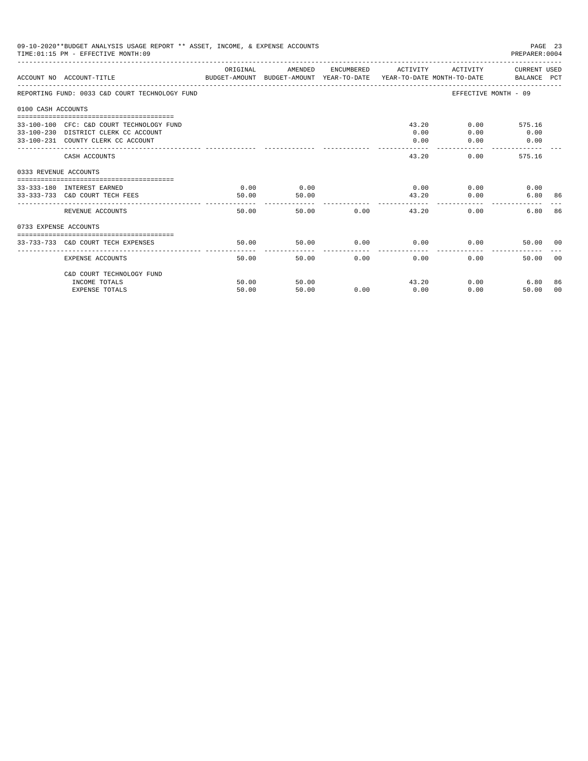| 09-10-2020**BUDGET ANALYSIS USAGE REPORT ** ASSET, INCOME, & EXPENSE ACCOUNTS<br>PAGE 23<br>TIME: 01:15 PM - EFFECTIVE MONTH: 09<br>PREPARER: 0004<br>ORIGINAL<br>ACTIVITY CURRENT USED<br>AMENDED<br>ENCUMBERED ACTIVITY<br>ACCOUNT NO ACCOUNT-TITLE COMPUTER THE BUDGET-AMOUNT BUDGET-AMOUNT YEAR-TO-DATE YEAR-TO-DATE MONTH-TO-DATE BALANCE PCT<br>EFFECTIVE MONTH - 09<br>REPORTING FUND: 0033 C&D COURT TECHNOLOGY FUND<br>0100 CASH ACCOUNTS<br>43.20<br>33-100-100 CFC: C&D COURT TECHNOLOGY FUND<br>$0.00$ and $0.00$<br>575.16<br>0.00<br>0.00<br>33-100-230 DISTRICT CLERK CC ACCOUNT<br>0.00<br>33-100-231 COUNTY CLERK CC ACCOUNT<br>0.00<br>0.00<br>0.00<br>43.20<br>0.00<br>575.16<br>CASH ACCOUNTS<br>0333 REVENUE ACCOUNTS<br>0.00<br>0.00<br>$0.00$ 0.00<br>33-333-180 INTEREST EARNED<br>0.00<br>50.00<br>33-333-733 C&D COURT TECH FEES<br>50.00<br>43.20<br>0.00<br>6.80 86<br>50.00 0.00<br>6.80<br>REVENUE ACCOUNTS<br>50.00<br>43.20<br>0.00<br>0733 EXPENSE ACCOUNTS<br>50.00<br>$0.00$ $0.00$ $0.00$ $0.00$<br>33-733-733 C&D COURT TECH EXPENSES<br>50.00<br>50.00 00<br>50.00<br>50.00<br>0.00<br>0.00<br>0.00<br>EXPENSE ACCOUNTS<br>50.00 |                           |                |                |      |      |       |              |                |
|------------------------------------------------------------------------------------------------------------------------------------------------------------------------------------------------------------------------------------------------------------------------------------------------------------------------------------------------------------------------------------------------------------------------------------------------------------------------------------------------------------------------------------------------------------------------------------------------------------------------------------------------------------------------------------------------------------------------------------------------------------------------------------------------------------------------------------------------------------------------------------------------------------------------------------------------------------------------------------------------------------------------------------------------------------------------------------------------------------------------------------------------------------------------|---------------------------|----------------|----------------|------|------|-------|--------------|----------------|
|                                                                                                                                                                                                                                                                                                                                                                                                                                                                                                                                                                                                                                                                                                                                                                                                                                                                                                                                                                                                                                                                                                                                                                        |                           |                |                |      |      |       |              |                |
|                                                                                                                                                                                                                                                                                                                                                                                                                                                                                                                                                                                                                                                                                                                                                                                                                                                                                                                                                                                                                                                                                                                                                                        |                           |                |                |      |      |       |              |                |
|                                                                                                                                                                                                                                                                                                                                                                                                                                                                                                                                                                                                                                                                                                                                                                                                                                                                                                                                                                                                                                                                                                                                                                        |                           |                |                |      |      |       |              |                |
|                                                                                                                                                                                                                                                                                                                                                                                                                                                                                                                                                                                                                                                                                                                                                                                                                                                                                                                                                                                                                                                                                                                                                                        |                           |                |                |      |      |       |              |                |
|                                                                                                                                                                                                                                                                                                                                                                                                                                                                                                                                                                                                                                                                                                                                                                                                                                                                                                                                                                                                                                                                                                                                                                        |                           |                |                |      |      |       |              |                |
|                                                                                                                                                                                                                                                                                                                                                                                                                                                                                                                                                                                                                                                                                                                                                                                                                                                                                                                                                                                                                                                                                                                                                                        |                           |                |                |      |      |       |              |                |
|                                                                                                                                                                                                                                                                                                                                                                                                                                                                                                                                                                                                                                                                                                                                                                                                                                                                                                                                                                                                                                                                                                                                                                        |                           |                |                |      |      |       |              |                |
|                                                                                                                                                                                                                                                                                                                                                                                                                                                                                                                                                                                                                                                                                                                                                                                                                                                                                                                                                                                                                                                                                                                                                                        |                           |                |                |      |      |       |              | 86             |
|                                                                                                                                                                                                                                                                                                                                                                                                                                                                                                                                                                                                                                                                                                                                                                                                                                                                                                                                                                                                                                                                                                                                                                        |                           |                |                |      |      |       |              |                |
|                                                                                                                                                                                                                                                                                                                                                                                                                                                                                                                                                                                                                                                                                                                                                                                                                                                                                                                                                                                                                                                                                                                                                                        |                           |                |                |      |      |       |              |                |
|                                                                                                                                                                                                                                                                                                                                                                                                                                                                                                                                                                                                                                                                                                                                                                                                                                                                                                                                                                                                                                                                                                                                                                        |                           |                |                |      |      |       |              | 0 <sup>0</sup> |
|                                                                                                                                                                                                                                                                                                                                                                                                                                                                                                                                                                                                                                                                                                                                                                                                                                                                                                                                                                                                                                                                                                                                                                        | C&D COURT TECHNOLOGY FUND |                |                |      |      |       |              |                |
|                                                                                                                                                                                                                                                                                                                                                                                                                                                                                                                                                                                                                                                                                                                                                                                                                                                                                                                                                                                                                                                                                                                                                                        | INCOME TOTALS             | 50.00<br>50.00 | 50.00<br>50.00 | 0.00 | 0.00 | 43.20 | 0.00<br>6.80 | 86             |
|                                                                                                                                                                                                                                                                                                                                                                                                                                                                                                                                                                                                                                                                                                                                                                                                                                                                                                                                                                                                                                                                                                                                                                        | <b>EXPENSE TOTALS</b>     |                |                |      |      | 0.00  | 50.00        | 00             |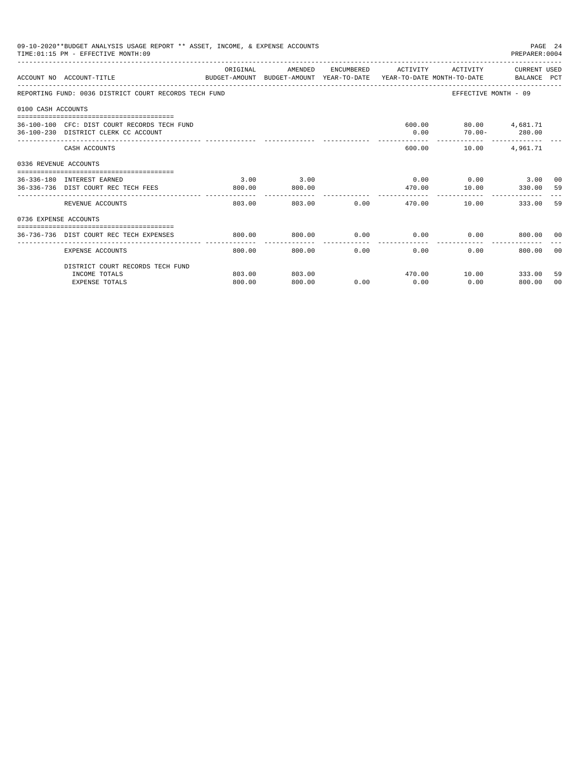|                       | 09-10-2020**BUDGET ANALYSIS USAGE REPORT ** ASSET, INCOME, & EXPENSE ACCOUNTS<br>TIME: 01:15 PM - EFFECTIVE MONTH: 09 |                       |                        |            |                             |                                                                                 | PAGE 24<br>PREPARER: 0004 |                |
|-----------------------|-----------------------------------------------------------------------------------------------------------------------|-----------------------|------------------------|------------|-----------------------------|---------------------------------------------------------------------------------|---------------------------|----------------|
|                       | ACCOUNT NO ACCOUNT-TITLE                                                                                              | ORIGINAL              | AMENDED                | ENCUMBERED | ACTIVITY                    | BUDGET-AMOUNT BUDGET-AMOUNT YEAR-TO-DATE YEAR-TO-DATE MONTH-TO-DATE BALANCE PCT | ACTIVITY CURRENT USED     |                |
|                       | REPORTING FUND: 0036 DISTRICT COURT RECORDS TECH FUND                                                                 |                       |                        |            |                             | EFFECTIVE MONTH - 09                                                            |                           |                |
| 0100 CASH ACCOUNTS    |                                                                                                                       |                       |                        |            |                             |                                                                                 |                           |                |
|                       | 36-100-100 CFC: DIST COURT RECORDS TECH FUND<br>36-100-230 DISTRICT CLERK CC ACCOUNT                                  |                       |                        |            | 0.00                        | 600.00 80.00 4,681.71<br>$70.00 - 280.00$                                       |                           |                |
|                       | CASH ACCOUNTS                                                                                                         |                       |                        |            | 600.00                      | 10.00                                                                           | 4,961.71                  |                |
| 0336 REVENUE ACCOUNTS |                                                                                                                       |                       |                        |            |                             |                                                                                 |                           |                |
|                       | 36-336-180 INTEREST EARNED                                                                                            | 3.00                  | 3.00                   |            |                             | $0.00$ $0.00$ $3.00$ $00$                                                       |                           |                |
|                       | 36-336-736 DIST COURT REC TECH FEES                                                                                   | 800.00<br>----------- | 800.00<br>------------ |            | 470.00<br>--------          | 10.00 330.00<br>------------                                                    |                           | 59             |
|                       | REVENUE ACCOUNTS                                                                                                      | 803.00                | 803.00                 |            | $0.00$ and $0.00$<br>470.00 | 10.00                                                                           | 333.00                    | 59             |
| 0736 EXPENSE ACCOUNTS |                                                                                                                       |                       |                        |            |                             |                                                                                 |                           |                |
|                       | 36-736-736 DIST COURT REC TECH EXPENSES                                                                               | 800.00                | 800.00                 |            |                             | $0.00$ $0.00$ $0.00$ $0.00$ $0.00$ $0.00$ $0.00$                                |                           |                |
|                       | <b>EXPENSE ACCOUNTS</b>                                                                                               | 800.00                | 800.00                 | .<br>0.00  | ------------<br>0.00        | 0.00                                                                            | 800.00                    | 00             |
|                       | DISTRICT COURT RECORDS TECH FUND                                                                                      |                       |                        |            |                             |                                                                                 |                           |                |
|                       | INCOME TOTALS                                                                                                         | 803.00                | 803.00                 |            |                             | 470.00    10.00    333.00                                                       |                           | 59             |
|                       | <b>EXPENSE TOTALS</b>                                                                                                 | 800.00                | 800.00                 | 0.00       | 0.00                        | 0.00                                                                            | 800.00                    | 0 <sup>0</sup> |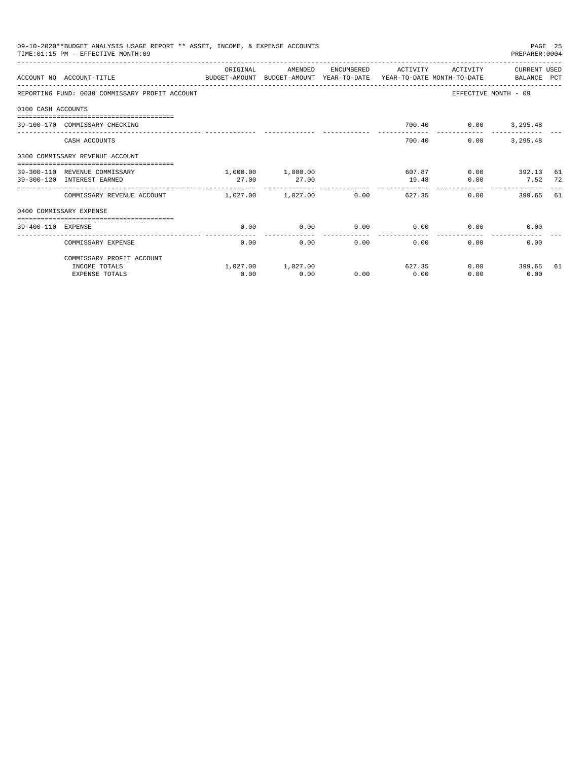|                    | 09-10-2020**BUDGET ANALYSIS USAGE REPORT ** ASSET, INCOME, & EXPENSE ACCOUNTS<br>TIME: 01:15 PM - EFFECTIVE MONTH: 09 |                       |                   |      |                     |          | PREPARER: 0004           | PAGE 25 |
|--------------------|-----------------------------------------------------------------------------------------------------------------------|-----------------------|-------------------|------|---------------------|----------|--------------------------|---------|
|                    | ACCOUNT NO ACCOUNT-TITLE CONTROL SUDGET-AMOUNT BUDGET-AMOUNT YEAR-TO-DATE YEAR-TO-DATE MONTH-TO-DATE BALANCE PCT      | ORIGINAL              | AMENDED           |      | ENCUMBERED ACTIVITY | ACTIVITY | CURRENT USED             |         |
|                    | REPORTING FUND: 0039 COMMISSARY PROFIT ACCOUNT                                                                        |                       |                   |      |                     |          | EFFECTIVE MONTH - 09     |         |
| 0100 CASH ACCOUNTS |                                                                                                                       |                       |                   |      |                     |          |                          |         |
|                    | 39-100-170 COMMISSARY CHECKING                                                                                        |                       |                   |      |                     |          | 700.40   0.00   3,295.48 |         |
|                    | CASH ACCOUNTS                                                                                                         |                       |                   |      | 700.40              | 0.00     | 3,295.48                 |         |
|                    | 0300 COMMISSARY REVENUE ACCOUNT<br>-----------------------------------                                                |                       |                   |      |                     |          |                          |         |
|                    | 39-300-110 REVENUE COMMISSARY                                                                                         |                       | 1,000.00 1,000.00 |      | 607.87              |          | $0.00$ 392.13            | 61      |
|                    | 39-300-120 INTEREST EARNED                                                                                            | 27.00                 | 27.00             |      | 19.48               | 0.00     | 7.52                     | 72      |
|                    | COMMISSARY REVENUE ACCOUNT                                                                                            | $1,027,00$ $1,027,00$ |                   | 0.00 | 627.35              |          | 0.00<br>399.65 61        |         |
|                    | 0400 COMMISSARY EXPENSE                                                                                               |                       |                   |      |                     |          |                          |         |
| 39-400-110 EXPENSE |                                                                                                                       | 0.00                  | 0.00              | 0.00 | 0.00                | 0.00     | 0.00                     |         |
|                    |                                                                                                                       |                       |                   |      |                     |          |                          |         |
|                    | COMMISSARY EXPENSE                                                                                                    | 0.00                  | 0.00              | 0.00 | 0.00                | 0.00     | 0.00                     |         |
|                    | COMMISSARY PROFIT ACCOUNT                                                                                             |                       |                   |      |                     |          |                          |         |
|                    | INCOME TOTALS                                                                                                         |                       | 1,027.00 1,027.00 |      | 627.35              |          | $0.00$ 399.65            | 61      |
|                    | <b>EXPENSE TOTALS</b>                                                                                                 | 0.00                  | 0.00              | 0.00 | 0.00                | 0.00     | 0.00                     |         |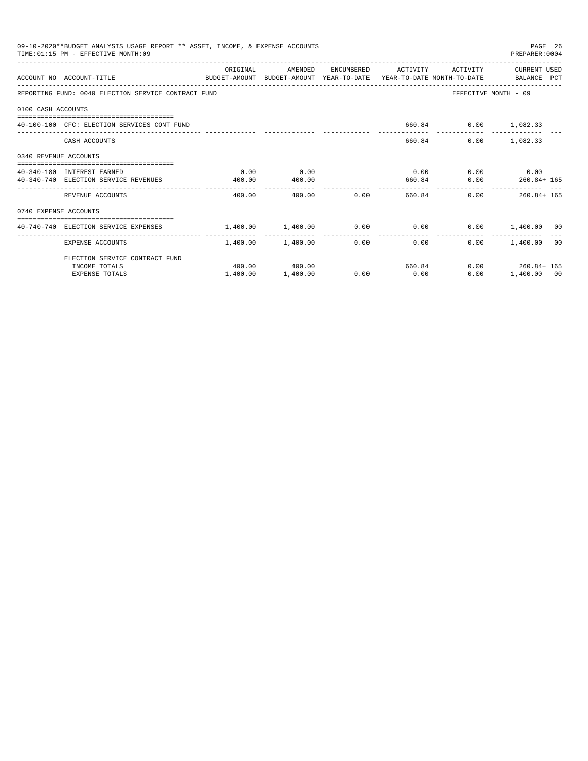| 09-10-2020**BUDGET ANALYSIS USAGE REPORT ** ASSET, INCOME, & EXPENSE ACCOUNTS<br>PAGE 26<br>TIME: 01:15 PM - EFFECTIVE MONTH: 09<br>PREPARER:0004<br>ORIGINAL<br>AMENDED<br>ENCUMBERED ACTIVITY ACTIVITY<br>CURRENT USED<br>ACCOUNT NO ACCOUNT-TITLE COMPUTE SUDGET-AMOUNT BUDGET-AMOUNT YEAR-TO-DATE YEAR-TO-DATE MONTH-TO-DATE BALANCE PCT<br>REPORTING FUND: 0040 ELECTION SERVICE CONTRACT FUND<br>EFFECTIVE MONTH - 09<br>0100 CASH ACCOUNTS<br>40-100-100 CFC: ELECTION SERVICES CONT FUND<br>660.84 0.00 1,082.33<br>660.84<br>$0.00$ 1,082.33<br>CASH ACCOUNTS<br>0340 REVENUE ACCOUNTS<br>0.00<br>$0.00$ $0.00$ $0.00$ $0.00$<br>0.00<br>40-340-180 INTEREST EARNED<br>660.84 0.00 260.84+ 165<br>40-340-740 ELECTION SERVICE REVENUES<br>400.00<br>400.00<br>0.00<br>400.00<br>$0.00$ 260.84+165<br>REVENUE ACCOUNTS<br>400.00<br>660.84<br>0740 EXPENSE ACCOUNTS<br>$1,400.00$ $0.00$ $0.00$ $0.00$ $0.00$ $0.00$ $0.00$ $0.00$ $0.00$ $0.00$ $0.00$ $0.00$ $0.00$ $0.00$<br>--------------<br>$1.400.00$ $1.400.00$<br>0.00<br>$0.00$ and $0.00$ |          |               |      |      |        |                       |  |
|--------------------------------------------------------------------------------------------------------------------------------------------------------------------------------------------------------------------------------------------------------------------------------------------------------------------------------------------------------------------------------------------------------------------------------------------------------------------------------------------------------------------------------------------------------------------------------------------------------------------------------------------------------------------------------------------------------------------------------------------------------------------------------------------------------------------------------------------------------------------------------------------------------------------------------------------------------------------------------------------------------------------------------------------------------------|----------|---------------|------|------|--------|-----------------------|--|
|                                                                                                                                                                                                                                                                                                                                                                                                                                                                                                                                                                                                                                                                                                                                                                                                                                                                                                                                                                                                                                                              |          |               |      |      |        |                       |  |
|                                                                                                                                                                                                                                                                                                                                                                                                                                                                                                                                                                                                                                                                                                                                                                                                                                                                                                                                                                                                                                                              |          |               |      |      |        |                       |  |
|                                                                                                                                                                                                                                                                                                                                                                                                                                                                                                                                                                                                                                                                                                                                                                                                                                                                                                                                                                                                                                                              |          |               |      |      |        |                       |  |
|                                                                                                                                                                                                                                                                                                                                                                                                                                                                                                                                                                                                                                                                                                                                                                                                                                                                                                                                                                                                                                                              |          |               |      |      |        |                       |  |
|                                                                                                                                                                                                                                                                                                                                                                                                                                                                                                                                                                                                                                                                                                                                                                                                                                                                                                                                                                                                                                                              |          |               |      |      |        |                       |  |
|                                                                                                                                                                                                                                                                                                                                                                                                                                                                                                                                                                                                                                                                                                                                                                                                                                                                                                                                                                                                                                                              |          |               |      |      |        |                       |  |
|                                                                                                                                                                                                                                                                                                                                                                                                                                                                                                                                                                                                                                                                                                                                                                                                                                                                                                                                                                                                                                                              |          |               |      |      |        |                       |  |
|                                                                                                                                                                                                                                                                                                                                                                                                                                                                                                                                                                                                                                                                                                                                                                                                                                                                                                                                                                                                                                                              |          |               |      |      |        |                       |  |
|                                                                                                                                                                                                                                                                                                                                                                                                                                                                                                                                                                                                                                                                                                                                                                                                                                                                                                                                                                                                                                                              |          |               |      |      |        |                       |  |
|                                                                                                                                                                                                                                                                                                                                                                                                                                                                                                                                                                                                                                                                                                                                                                                                                                                                                                                                                                                                                                                              |          |               |      |      |        |                       |  |
|                                                                                                                                                                                                                                                                                                                                                                                                                                                                                                                                                                                                                                                                                                                                                                                                                                                                                                                                                                                                                                                              |          |               |      |      |        |                       |  |
|                                                                                                                                                                                                                                                                                                                                                                                                                                                                                                                                                                                                                                                                                                                                                                                                                                                                                                                                                                                                                                                              |          |               |      |      |        |                       |  |
| EXPENSE ACCOUNTS                                                                                                                                                                                                                                                                                                                                                                                                                                                                                                                                                                                                                                                                                                                                                                                                                                                                                                                                                                                                                                             |          |               |      |      |        | $0.00$ 1,400.00 00    |  |
| ELECTION SERVICE CONTRACT FUND                                                                                                                                                                                                                                                                                                                                                                                                                                                                                                                                                                                                                                                                                                                                                                                                                                                                                                                                                                                                                               |          |               |      |      |        |                       |  |
| INCOME TOTALS                                                                                                                                                                                                                                                                                                                                                                                                                                                                                                                                                                                                                                                                                                                                                                                                                                                                                                                                                                                                                                                |          | 400.00 400.00 |      |      | 660.84 | $0.00$ $260.84 + 165$ |  |
| <b>EXPENSE TOTALS</b>                                                                                                                                                                                                                                                                                                                                                                                                                                                                                                                                                                                                                                                                                                                                                                                                                                                                                                                                                                                                                                        | 1,400.00 | 1,400.00      | 0.00 | 0.00 | 0.00   | 1,400.00 00           |  |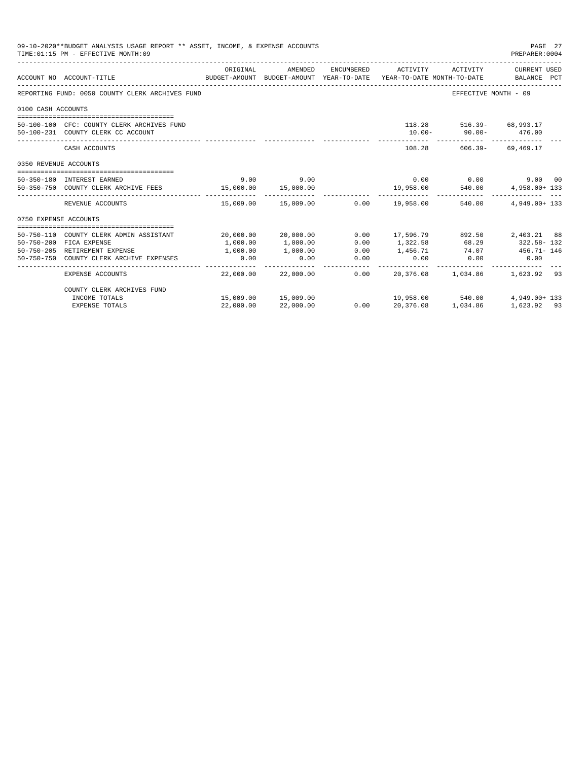|                       | 09-10-2020**BUDGET ANALYSIS USAGE REPORT ** ASSET, INCOME, & EXPENSE ACCOUNTS<br>TIME: 01:15 PM - EFFECTIVE MONTH: 09 |           |                                       |                         |                     |                                   | PAGE 27<br>PREPARER: 0004 |
|-----------------------|-----------------------------------------------------------------------------------------------------------------------|-----------|---------------------------------------|-------------------------|---------------------|-----------------------------------|---------------------------|
|                       | BUDGET-AMOUNT BUDGET-AMOUNT YEAR-TO-DATE YEAR-TO-DATE MONTH-TO-DATE BALANCE PCT<br>ACCOUNT NO ACCOUNT-TITLE           | ORIGINAL  | AMENDED                               |                         | ENCUMBERED ACTIVITY | ACTIVITY                          | CURRENT USED              |
|                       |                                                                                                                       |           |                                       |                         |                     |                                   |                           |
|                       | REPORTING FUND: 0050 COUNTY CLERK ARCHIVES FUND                                                                       |           |                                       |                         |                     | EFFECTIVE MONTH - 09              |                           |
| 0100 CASH ACCOUNTS    |                                                                                                                       |           |                                       |                         |                     |                                   |                           |
|                       | 50-100-100 CFC: COUNTY CLERK ARCHIVES FUND                                                                            |           |                                       |                         |                     | 118.28 516.39- 68.993.17          |                           |
|                       | 50-100-231 COUNTY CLERK CC ACCOUNT                                                                                    |           |                                       |                         |                     | $10.00 - 90.00 - 476.00$          |                           |
|                       | CASH ACCOUNTS                                                                                                         |           |                                       |                         |                     | 108.28 606.39- 69.469.17          |                           |
| 0350 REVENUE ACCOUNTS |                                                                                                                       |           |                                       |                         |                     |                                   |                           |
|                       | 50-350-180 INTEREST EARNED                                                                                            | 9.00      | 9.00                                  |                         |                     | $0.00$ $0.00$                     | 9.00 00                   |
|                       | 50-350-750 COUNTY CLERK ARCHIVE FEES 15,000.00 15,000.00                                                              |           |                                       |                         |                     | 19,958.00 540.00                  | 4,958.00+ 133             |
|                       | REVENUE ACCOUNTS                                                                                                      |           | 15,009.00 15,009.00                   |                         | $0.00$ 19,958.00    | 540.00                            | $4.949.00 + 133$          |
| 0750 EXPENSE ACCOUNTS |                                                                                                                       |           |                                       |                         |                     |                                   |                           |
|                       | 50-750-110 COUNTY CLERK ADMIN ASSISTANT                                                                               |           | 20,000.00 20,000.00                   |                         |                     | 0.00 17,596.79 892.50 2,403.21 88 |                           |
|                       | 50-750-200 FICA EXPENSE                                                                                               | 1,000.00  | 1,000.00                              | 0.00                    | 1,322.58            |                                   | 68.29 322.58 - 132        |
|                       | 50-750-205 RETIREMENT EXPENSE                                                                                         | 1,000.00  | 1,000.00                              | 0.00                    |                     | 1,456.71 74.07 456.71 - 146       |                           |
|                       | 50-750-750 COUNTY CLERK ARCHIVE EXPENSES                                                                              | 0.00      | 0.00                                  | 0.00                    | 0.00                | $0.00$ 0.00                       |                           |
|                       | <b>EXPENSE ACCOUNTS</b>                                                                                               |           | --------------<br>22,000.00 22,000.00 | _______________<br>0.00 | .                   | 20,376.08 1,034.86 1,623.92 93    |                           |
|                       | COUNTY CLERK ARCHIVES FUND                                                                                            |           |                                       |                         |                     |                                   |                           |
|                       | INCOME TOTALS                                                                                                         |           | 15,009.00 15,009.00                   |                         |                     | 19,958.00 540.00                  | 4,949.00+ 133             |
|                       | <b>EXPENSE TOTALS</b>                                                                                                 | 22,000.00 | 22,000.00                             | 0.00                    | 20,376.08           | 1,034.86                          | 1,623.92 93               |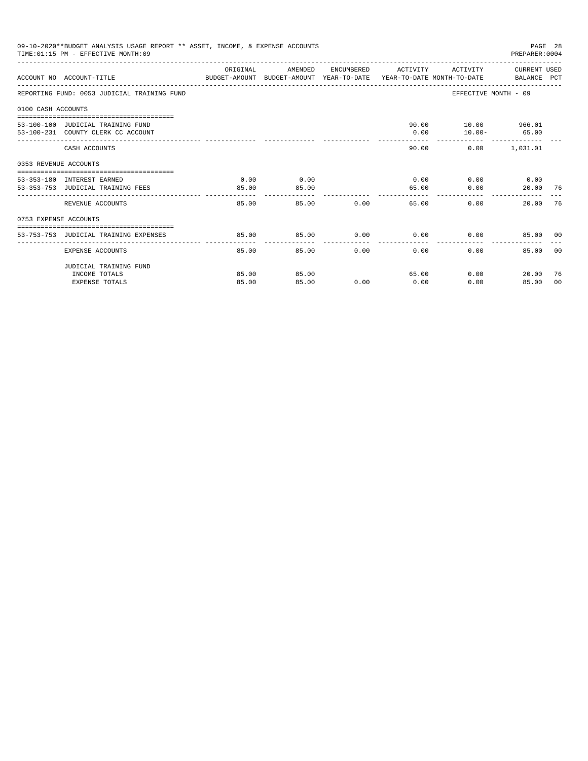|                       | 09-10-2020**BUDGET ANALYSIS USAGE REPORT ** ASSET, INCOME, & EXPENSE ACCOUNTS<br>TIME: 01:15 PM - EFFECTIVE MONTH: 09 |          |         |       | PREPARER: 0004      |                             |                            | PAGE 28 |  |
|-----------------------|-----------------------------------------------------------------------------------------------------------------------|----------|---------|-------|---------------------|-----------------------------|----------------------------|---------|--|
|                       | ACCOUNT NO ACCOUNT-TITLE CONTROL SUDGET-AMOUNT BUDGET-AMOUNT YEAR-TO-DATE YEAR-TO-DATE MONTH-TO-DATE BALANCE PCT      | ORIGINAL | AMENDED |       | ENCUMBERED ACTIVITY | ACTIVITY                    | CURRENT USED               |         |  |
|                       | REPORTING FUND: 0053 JUDICIAL TRAINING FUND                                                                           |          |         |       |                     |                             | EFFECTIVE MONTH - 09       |         |  |
| 0100 CASH ACCOUNTS    |                                                                                                                       |          |         |       |                     |                             |                            |         |  |
|                       |                                                                                                                       |          |         |       |                     | 90.00 10.00 966.01          |                            |         |  |
|                       | 53-100-100 JUDICIAL TRAINING FUND<br>53-100-231 COUNTY CLERK CC ACCOUNT                                               |          |         |       | 0.00                |                             | $10.00 - 65.00$            |         |  |
|                       |                                                                                                                       |          |         |       |                     |                             |                            |         |  |
|                       | CASH ACCOUNTS                                                                                                         |          |         |       | 90.00               |                             | $0.00$ 1,031.01            |         |  |
| 0353 REVENUE ACCOUNTS |                                                                                                                       |          |         |       |                     |                             |                            |         |  |
|                       | 53-353-180 INTEREST EARNED                                                                                            | 0.00     | 0.00    |       |                     | $0.00$ $0.00$ $0.00$ $0.00$ |                            |         |  |
|                       | 53-353-753 JUDICIAL TRAINING FEES                                                                                     | 85.00    | 85.00   |       | 65.00               | 0.00                        | 20.00 76                   |         |  |
|                       |                                                                                                                       | -------  |         |       |                     |                             |                            |         |  |
|                       | REVENUE ACCOUNTS                                                                                                      | 85.00    |         | 85.00 | 0.00                | 65.00<br>0.00               | 20.00                      | 76      |  |
| 0753 EXPENSE ACCOUNTS |                                                                                                                       |          |         |       |                     |                             |                            |         |  |
|                       |                                                                                                                       |          |         |       |                     |                             |                            |         |  |
|                       | 53-753-753 JUDICIAL TRAINING EXPENSES                                                                                 | 85.00    | 85.00   |       |                     | $0.00$ $0.00$ $0.00$        | 85.00 00                   |         |  |
|                       | EXPENSE ACCOUNTS                                                                                                      | 85.00    | 85.00   | 0.00  | 0.00                | $0.00 -$                    | 85.00                      | - 0.0   |  |
|                       | JUDICIAL TRAINING FUND                                                                                                |          |         |       |                     |                             |                            |         |  |
|                       | INCOME TOTALS                                                                                                         | 85.00    | 85.00   |       | 65.00               |                             | $0.00$ and $0.00$<br>20.00 | -76     |  |
|                       | <b>EXPENSE TOTALS</b>                                                                                                 | 85.00    | 85.00   | 0.00  | 0.00                | 0.00                        | 85.00                      | 00      |  |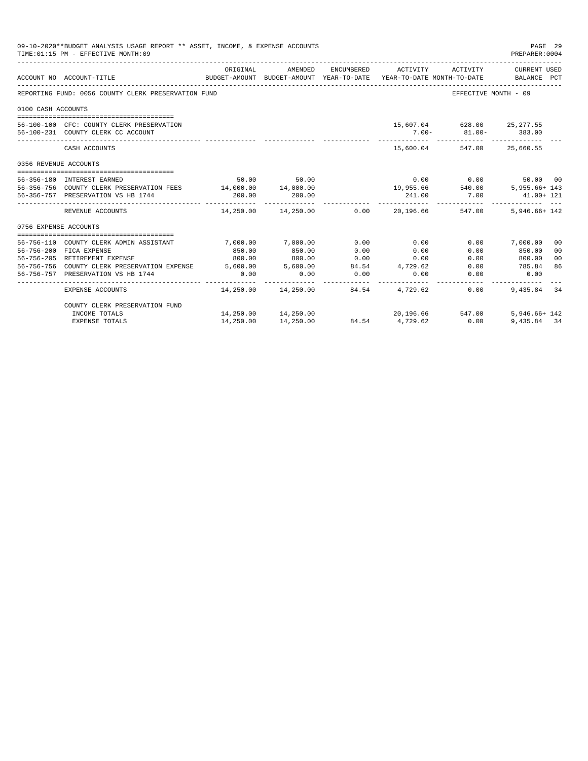|                       | 09-10-2020**BUDGET ANALYSIS USAGE REPORT ** ASSET, INCOME, & EXPENSE ACCOUNTS<br>TIME: 01:15 PM - EFFECTIVE MONTH: 09 |             |                                                     |                 |                                    |                            | PAGE 29<br>PREPARER: 0004                                                                       |
|-----------------------|-----------------------------------------------------------------------------------------------------------------------|-------------|-----------------------------------------------------|-----------------|------------------------------------|----------------------------|-------------------------------------------------------------------------------------------------|
|                       | ACCOUNT NO ACCOUNT-TITLE                                                                                              | ORIGINAL    | AMENDED                                             |                 | ENCUMBERED ACTIVITY                | ACTIVITY                   | CURRENT USED<br>BUDGET-AMOUNT BUDGET-AMOUNT YEAR-TO-DATE YEAR-TO-DATE MONTH-TO-DATE BALANCE PCT |
|                       | REPORTING FUND: 0056 COUNTY CLERK PRESERVATION FUND                                                                   |             |                                                     |                 |                                    |                            | EFFECTIVE MONTH - 09                                                                            |
| 0100 CASH ACCOUNTS    |                                                                                                                       |             |                                                     |                 |                                    |                            |                                                                                                 |
|                       |                                                                                                                       |             |                                                     |                 |                                    |                            |                                                                                                 |
|                       | 56-100-100 CFC: COUNTY CLERK PRESERVATION                                                                             |             |                                                     |                 |                                    | 15,607.04 628.00 25,277.55 |                                                                                                 |
|                       | 56-100-231 COUNTY CLERK CC ACCOUNT                                                                                    |             |                                                     |                 |                                    | $7.00 - 81.00 - 383.00$    |                                                                                                 |
|                       | CASH ACCOUNTS                                                                                                         |             |                                                     |                 | - - - - - - - - - - <sup>-</sup> - | 15,600.04 547.00 25,660.55 |                                                                                                 |
| 0356 REVENUE ACCOUNTS |                                                                                                                       |             |                                                     |                 |                                    |                            |                                                                                                 |
|                       | 56-356-180 INTEREST EARNED                                                                                            |             | 50.00 50.00                                         |                 |                                    | $0.00$ 0.00                | 50.00 00                                                                                        |
|                       | 56-356-756 COUNTY CLERK PRESERVATION FEES 14,000.00 14,000.00                                                         |             |                                                     |                 |                                    |                            | $19,955.66$ $540.00$ $5,955.66 + 143$                                                           |
|                       | 56-356-757 PRESERVATION VS HB 1744                                                                                    | 200.00      | 200.00                                              |                 | 241.00                             | 7.00                       | 41.00+ 121                                                                                      |
|                       | REVENUE ACCOUNTS                                                                                                      | ----------- | $14,250.00$ $14,250.00$ $0.00$ $20,196.66$ $547.00$ |                 | -----------                        | -------------              | 5,946.66+ 142                                                                                   |
| 0756 EXPENSE ACCOUNTS |                                                                                                                       |             |                                                     |                 |                                    |                            |                                                                                                 |
|                       |                                                                                                                       |             |                                                     |                 |                                    |                            |                                                                                                 |
|                       | 56-756-110 COUNTY CLERK ADMIN ASSISTANT                                                                               | 7,000.00    | 7,000.00                                            | 0.00            | 0.00                               |                            | $0.00$ 7,000.00<br>00                                                                           |
|                       | 56-756-200 FICA EXPENSE                                                                                               | 850.00      | 850.00                                              | 0.00            | 0.00                               | 0.00                       | 850.00<br>0 <sub>0</sub>                                                                        |
|                       | 56-756-205 RETIREMENT EXPENSE                                                                                         | 800.00      | 800.00                                              | $0.00$ 0.00     |                                    |                            | $0.00$ 800.00<br>0 <sup>0</sup>                                                                 |
|                       | 56-756-756 COUNTY CLERK PRESERVATION EXPENSE 5,600.00 5,600.00 84.54 4,729.62                                         |             |                                                     |                 |                                    |                            | 86<br>0.00 785.84                                                                               |
|                       | 56-756-757 PRESERVATION VS HB 1744                                                                                    | 0.00        | 0.00                                                | 0.00<br>------- | 0.00                               | -----------                | $0.00$ 0.00                                                                                     |
|                       | EXPENSE ACCOUNTS                                                                                                      |             | $14.250.00$ $14.250.00$ $84.54$ $4.729.62$          |                 |                                    | 0.00                       | 9,435.84 34                                                                                     |
|                       | COUNTY CLERK PRESERVATION FUND                                                                                        |             |                                                     |                 |                                    |                            |                                                                                                 |
|                       | INCOME TOTALS                                                                                                         |             | 14,250.00  14,250.00                                |                 |                                    | 20,196.66 547.00           | $5.946.66 + 142$                                                                                |
|                       | EXPENSE TOTALS                                                                                                        | 14,250.00   | 14,250.00                                           | 84.54           | 4,729.62                           | 0.00                       | 9,435.84 34                                                                                     |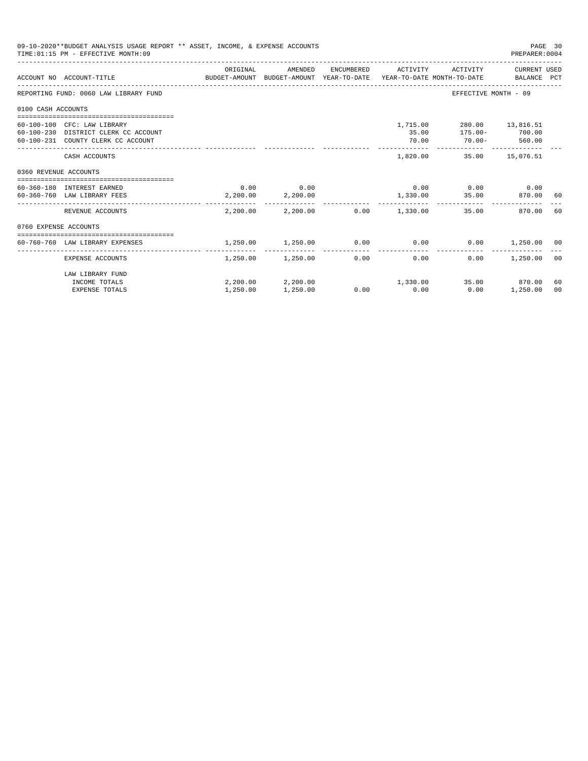|                       | 09-10-2020**BUDGET ANALYSIS USAGE REPORT ** ASSET, INCOME, & EXPENSE ACCOUNTS<br>TIME: 01:15 PM - EFFECTIVE MONTH: 09 |                   |                                         |                     |                                                                                                          | PAGE 30<br>PREPARER: 0004 |                |
|-----------------------|-----------------------------------------------------------------------------------------------------------------------|-------------------|-----------------------------------------|---------------------|----------------------------------------------------------------------------------------------------------|---------------------------|----------------|
|                       | ACCOUNT NO ACCOUNT-TITLE CONTROL SUDGET-AMOUNT BUDGET-AMOUNT YEAR-TO-DATE YEAR-TO-DATE MONTH-TO-DATE BALANCE PCT      | ORIGINAL          | AMENDED                                 | ENCUMBERED ACTIVITY |                                                                                                          | ACTIVITY CURRENT USED     |                |
|                       | REPORTING FUND: 0060 LAW LIBRARY FUND                                                                                 |                   |                                         |                     | EFFECTIVE MONTH - 09                                                                                     |                           |                |
| 0100 CASH ACCOUNTS    |                                                                                                                       |                   |                                         |                     |                                                                                                          |                           |                |
|                       | 60-100-100 CFC: LAW LIBRARY<br>60-100-230 DISTRICT CLERK CC ACCOUNT<br>60-100-231 COUNTY CLERK CC ACCOUNT             |                   |                                         | 70.00               | 1,715.00 280.00 13,816.51<br>35.00 175.00- 700.00<br>$70.00 - 560.00$<br>_______________________________ |                           |                |
|                       | CASH ACCOUNTS                                                                                                         |                   |                                         |                     | 1,820.00 35.00 15,076.51                                                                                 |                           |                |
| 0360 REVENUE ACCOUNTS |                                                                                                                       |                   |                                         |                     |                                                                                                          |                           |                |
|                       | 60-360-180 INTEREST EARNED<br>60-360-760 LAW LIBRARY FEES                                                             | 2,200.00 2,200.00 | $0.00$ 0.00                             |                     | $0.00$ $0.00$ $0.00$ $0.00$<br>1,330.00 35.00                                                            | 870.00                    | 60             |
|                       | REVENUE ACCOUNTS                                                                                                      |                   | $2.200.00$ $2.200.00$ $0.00$ $1.330.00$ |                     | 35.00                                                                                                    | 870.00                    | 60             |
|                       | 0760 EXPENSE ACCOUNTS                                                                                                 |                   |                                         |                     |                                                                                                          |                           |                |
|                       | 60-760-760 LAW LIBRARY EXPENSES                                                                                       | 1,250.00          | 1,250.00                                |                     | $0.00$ $0.00$ $0.00$ $0.00$ $1,250.00$ $00$                                                              |                           |                |
|                       | EXPENSE ACCOUNTS                                                                                                      |                   | $1,250.00$ $1,250.00$ 0.00              | 0.00                | 0.00                                                                                                     | 1,250.00                  | 0 <sup>0</sup> |
|                       | LAW LIBRARY FUND<br>INCOME TOTALS                                                                                     |                   | $2,200.00$ $2,200.00$ $1,330.00$        |                     |                                                                                                          | 35.00 870.00              | 60<br>00       |
|                       | <b>EXPENSE TOTALS</b>                                                                                                 | 1,250.00          | 1,250.00                                | $0.00$ 0.00         | 0.00                                                                                                     | 1,250.00                  |                |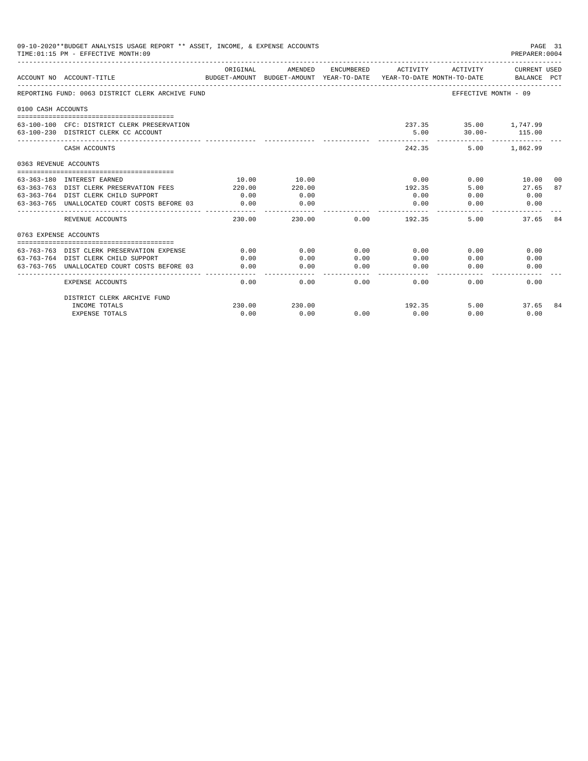|                       | 09-10-2020**BUDGET ANALYSIS USAGE REPORT ** ASSET, INCOME, & EXPENSE ACCOUNTS<br>TIME: 01:15 PM - EFFECTIVE MONTH: 09 |                           |                                       |            |                                        |                                    | PAGE 31<br>PREPARER: 0004          |       |
|-----------------------|-----------------------------------------------------------------------------------------------------------------------|---------------------------|---------------------------------------|------------|----------------------------------------|------------------------------------|------------------------------------|-------|
|                       | ACCOUNT NO ACCOUNT-TITLE                                                                                              | ORIGINAL<br>BUDGET-AMOUNT | AMENDED<br>BUDGET-AMOUNT YEAR-TO-DATE | ENCUMBERED | ACTIVITY<br>YEAR-TO-DATE MONTH-TO-DATE | ACTIVITY                           | <b>CURRENT USED</b><br>BALANCE PCT |       |
|                       | REPORTING FUND: 0063 DISTRICT CLERK ARCHIVE FUND                                                                      |                           |                                       |            |                                        |                                    | EFFECTIVE MONTH - 09               |       |
| 0100 CASH ACCOUNTS    |                                                                                                                       |                           |                                       |            |                                        |                                    |                                    |       |
|                       | 63-100-100 CFC: DISTRICT CLERK PRESERVATION<br>63-100-230 DISTRICT CLERK CC ACCOUNT                                   |                           |                                       |            | 5.00                                   | 237.35 35.00 1,747.99<br>$30.00 -$ | 115.00                             |       |
|                       | CASH ACCOUNTS                                                                                                         |                           |                                       |            | 242.35                                 | 5.00                               | 1,862.99                           |       |
| 0363 REVENUE ACCOUNTS |                                                                                                                       |                           |                                       |            |                                        |                                    |                                    |       |
|                       |                                                                                                                       |                           |                                       |            |                                        |                                    |                                    |       |
|                       | 63-363-180 INTEREST EARNED                                                                                            | 10.00                     | 10.00                                 |            | 0.00                                   | 0.00                               | 10.00                              | - 0.0 |
|                       | 63-363-763 DIST CLERK PRESERVATION FEES                                                                               | 220.00                    | 220.00                                |            | 192.35                                 | 5.00                               | 27.65                              | 87    |
|                       | 63-363-764 DIST CLERK CHILD SUPPORT                                                                                   | 0.00                      | 0.00                                  |            | 0.00                                   | 0.00                               | 0.00                               |       |
|                       | 63-363-765 UNALLOCATED COURT COSTS BEFORE 03                                                                          | 0.00<br>-------------     | 0.00<br>--------                      |            | 0.00                                   | 0.00                               | 0.00                               |       |
|                       | REVENUE ACCOUNTS                                                                                                      | 230.00                    | 230.00                                | 0.00       | 192.35                                 | 5.00                               | 37.65                              | 84    |
| 0763 EXPENSE ACCOUNTS |                                                                                                                       |                           |                                       |            |                                        |                                    |                                    |       |
|                       |                                                                                                                       |                           |                                       |            |                                        |                                    |                                    |       |
|                       | 63-763-763 DIST CLERK PRESERVATION EXPENSE                                                                            | 0.00                      | 0.00                                  | 0.00       | 0.00                                   | 0.00                               | 0.00                               |       |
|                       | 63-763-764 DIST CLERK CHILD SUPPORT                                                                                   | 0.00                      | 0.00                                  | 0.00       | 0.00                                   | 0.00                               | 0.00                               |       |
| 63-763-765            | UNALLOCATED COURT COSTS BEFORE 03                                                                                     | 0.00                      | 0.00                                  | 0.00       | 0.00                                   | 0.00                               | 0.00                               |       |
|                       | <b>EXPENSE ACCOUNTS</b>                                                                                               | 0.00                      | 0.00                                  | 0.00       | 0.00                                   | 0.00                               | 0.00                               |       |
|                       | DISTRICT CLERK ARCHIVE FUND                                                                                           |                           |                                       |            |                                        |                                    |                                    |       |
|                       | INCOME TOTALS                                                                                                         | 230.00                    | 230.00                                |            | 192.35                                 | 5.00                               | 37.65                              | -84   |
|                       | <b>EXPENSE TOTALS</b>                                                                                                 | 0.00                      | 0.00                                  | 0.00       | 0.00                                   | 0.00                               | 0.00                               |       |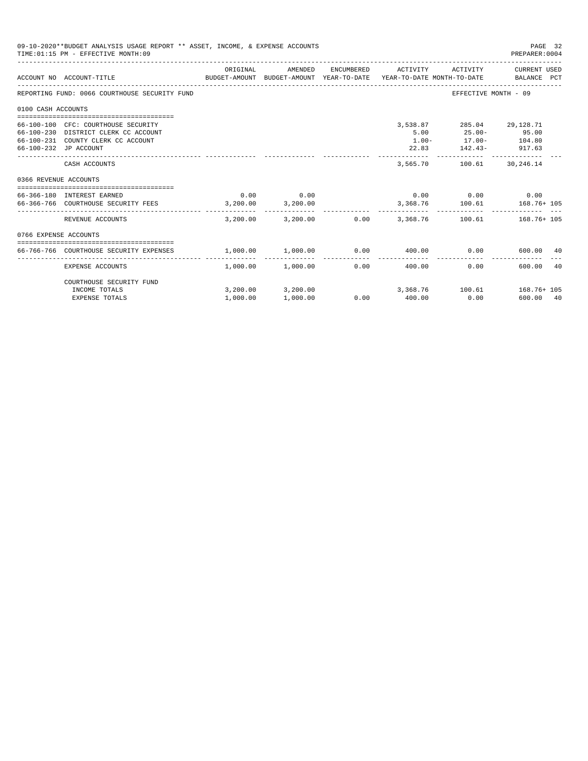|                       | 09-10-2020**BUDGET ANALYSIS USAGE REPORT ** ASSET, INCOME, & EXPENSE ACCOUNTS<br>TIME: 01:15 PM - EFFECTIVE MONTH: 09                      |          |                                   |                       |                         |                                                                                                 | PAGE 32<br>PREPARER: 0004                                           |
|-----------------------|--------------------------------------------------------------------------------------------------------------------------------------------|----------|-----------------------------------|-----------------------|-------------------------|-------------------------------------------------------------------------------------------------|---------------------------------------------------------------------|
|                       | BUDGET-AMOUNT BUDGET-AMOUNT YEAR-TO-DATE YEAR-TO-DATE MONTH-TO-DATE BALANCE PCT<br>ACCOUNT NO ACCOUNT-TITLE                                | ORIGINAL | AMENDED                           | ENCUMBERED            | ACTIVITY                | ACTIVITY                                                                                        | CURRENT USED                                                        |
|                       | REPORTING FUND: 0066 COURTHOUSE SECURITY FUND                                                                                              |          |                                   |                       |                         |                                                                                                 | EFFECTIVE MONTH - 09                                                |
| 0100 CASH ACCOUNTS    |                                                                                                                                            |          |                                   |                       |                         |                                                                                                 |                                                                     |
|                       | 66-100-100 CFC: COURTHOUSE SECURITY<br>66-100-230 DISTRICT CLERK CC ACCOUNT<br>66-100-231 COUNTY CLERK CC ACCOUNT<br>66-100-232 JP ACCOUNT |          |                                   |                       | 5.00                    | 3,538.87 285.04 29,128.71<br>$25.00 - 95.00$<br>$1.00 - 17.00 - 104.80$<br>22.83 142.43- 917.63 |                                                                     |
|                       | CASH ACCOUNTS                                                                                                                              |          |                                   |                       | 3,565.70                | ------------- -------------                                                                     | 100.61 30,246.14                                                    |
| 0366 REVENUE ACCOUNTS |                                                                                                                                            |          |                                   |                       |                         |                                                                                                 |                                                                     |
|                       | 66-366-180 INTEREST EARNED<br>66-366-766 COURTHOUSE SECURITY FEES 3,200.00 3,200.00                                                        | 0.00     | 0.00                              |                       |                         | $0.00$ $0.00$ $0.00$ $0.00$                                                                     | 3,368.76    100.61    168.76+ 105                                   |
|                       | REVENUE ACCOUNTS                                                                                                                           |          |                                   |                       | --------------          | -------------                                                                                   | $3,200.00$ $3,200.00$ $0.00$ $3,368.76$ $100.61$ $168.76+105$       |
| 0766 EXPENSE ACCOUNTS |                                                                                                                                            |          |                                   |                       |                         |                                                                                                 |                                                                     |
|                       | 66-766-766 COURTHOUSE SECURITY EXPENSES                                                                                                    | 1,000.00 | $1,000.00$ $0.00$ $400.00$ $0.00$ |                       |                         |                                                                                                 | 600.00 40                                                           |
|                       | EXPENSE ACCOUNTS                                                                                                                           |          | $1,000.00$ $1,000.00$             | -------------<br>0.00 | -------------<br>400.00 | 0.00                                                                                            | 600.00<br>40                                                        |
|                       | COURTHOUSE SECURITY FUND                                                                                                                   |          |                                   |                       |                         |                                                                                                 |                                                                     |
|                       | INCOME TOTALS<br><b>EXPENSE TOTALS</b>                                                                                                     | 1,000.00 | 1,000.00                          |                       | $0.00$ 400.00           | 0.00                                                                                            | $3,200.00$ $3,200.00$ $3,368.76$ $100.61$ $168.76+105$<br>600.00 40 |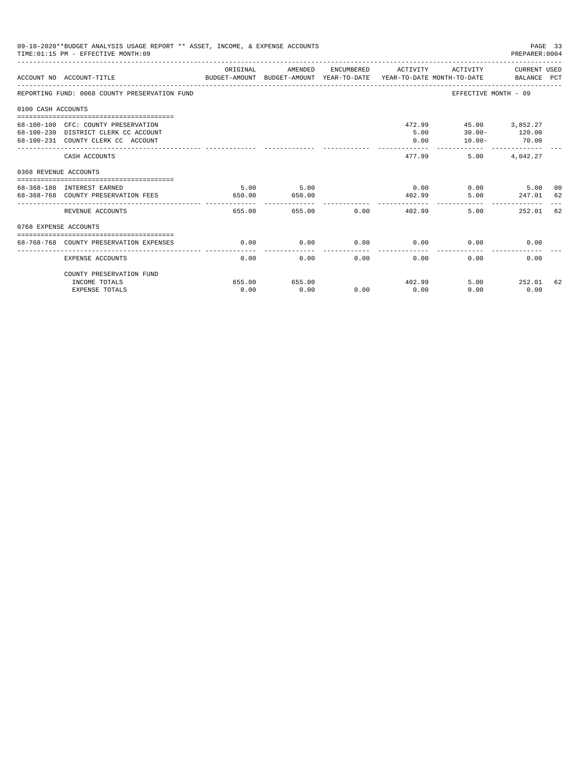| 09-10-2020**BUDGET ANALYSIS USAGE REPORT ** ASSET, INCOME, & EXPENSE ACCOUNTS<br>PAGE 33<br>TIME: 01:15 PM - EFFECTIVE MONTH: 09<br>PREPARER: 0004<br>ACTIVITY CURRENT USED<br>ORIGINAL<br>AMENDED<br>ENCUMBERED ACTIVITY<br>ACCOUNT NO ACCOUNT-TITLE COMPARENT AND BUDGET-AMOUNT BUDGET-AMOUNT YEAR-TO-DATE YEAR-TO-DATE MONTH-TO-DATE BALANCE PCT<br>REPORTING FUND: 0068 COUNTY PRESERVATION FUND<br>EFFECTIVE MONTH - 09<br>0100 CASH ACCOUNTS<br>472.99  45.00  3,852.27<br>68-100-100 CFC: COUNTY PRESERVATION<br>$30.00 - 120.00$<br>68-100-230 DISTRICT CLERK CC ACCOUNT<br>5.00<br>70.00<br>68-100-231 COUNTY CLERK CC ACCOUNT<br>0.00<br>$10.00 -$<br>------------<br>-------------<br>477.99<br>5.00 4.042.27<br>CASH ACCOUNTS<br>0368 REVENUE ACCOUNTS<br>5.00<br>0.00<br>$0.00$ 5.00<br>5.00<br>68-368-180 INTEREST EARNED<br>5.00 247.01 62<br>68-368-768 COUNTY PRESERVATION FEES<br>650.00<br>650.00<br>402.99<br>-------------<br>655.00 0.00<br>5.00<br>252.01<br>REVENUE ACCOUNTS<br>655.00<br>402.99<br>0768 EXPENSE ACCOUNTS<br>0.00<br>$0.00$ 0.00<br>68-768-768 COUNTY PRESERVATION EXPENSES<br>0.00<br>0.00<br>0.00<br>0.00<br>0.00<br>0.00<br>0.00<br>0.00<br>0.00<br><b>EXPENSE ACCOUNTS</b> |                          |        |        |      |      |        |             |    |
|------------------------------------------------------------------------------------------------------------------------------------------------------------------------------------------------------------------------------------------------------------------------------------------------------------------------------------------------------------------------------------------------------------------------------------------------------------------------------------------------------------------------------------------------------------------------------------------------------------------------------------------------------------------------------------------------------------------------------------------------------------------------------------------------------------------------------------------------------------------------------------------------------------------------------------------------------------------------------------------------------------------------------------------------------------------------------------------------------------------------------------------------------------------------------------------------------------------------|--------------------------|--------|--------|------|------|--------|-------------|----|
|                                                                                                                                                                                                                                                                                                                                                                                                                                                                                                                                                                                                                                                                                                                                                                                                                                                                                                                                                                                                                                                                                                                                                                                                                        |                          |        |        |      |      |        |             |    |
|                                                                                                                                                                                                                                                                                                                                                                                                                                                                                                                                                                                                                                                                                                                                                                                                                                                                                                                                                                                                                                                                                                                                                                                                                        |                          |        |        |      |      |        |             |    |
|                                                                                                                                                                                                                                                                                                                                                                                                                                                                                                                                                                                                                                                                                                                                                                                                                                                                                                                                                                                                                                                                                                                                                                                                                        |                          |        |        |      |      |        |             |    |
|                                                                                                                                                                                                                                                                                                                                                                                                                                                                                                                                                                                                                                                                                                                                                                                                                                                                                                                                                                                                                                                                                                                                                                                                                        |                          |        |        |      |      |        |             |    |
|                                                                                                                                                                                                                                                                                                                                                                                                                                                                                                                                                                                                                                                                                                                                                                                                                                                                                                                                                                                                                                                                                                                                                                                                                        |                          |        |        |      |      |        |             |    |
|                                                                                                                                                                                                                                                                                                                                                                                                                                                                                                                                                                                                                                                                                                                                                                                                                                                                                                                                                                                                                                                                                                                                                                                                                        |                          |        |        |      |      |        |             |    |
|                                                                                                                                                                                                                                                                                                                                                                                                                                                                                                                                                                                                                                                                                                                                                                                                                                                                                                                                                                                                                                                                                                                                                                                                                        |                          |        |        |      |      |        |             | 00 |
|                                                                                                                                                                                                                                                                                                                                                                                                                                                                                                                                                                                                                                                                                                                                                                                                                                                                                                                                                                                                                                                                                                                                                                                                                        |                          |        |        |      |      |        |             | 62 |
|                                                                                                                                                                                                                                                                                                                                                                                                                                                                                                                                                                                                                                                                                                                                                                                                                                                                                                                                                                                                                                                                                                                                                                                                                        |                          |        |        |      |      |        |             |    |
|                                                                                                                                                                                                                                                                                                                                                                                                                                                                                                                                                                                                                                                                                                                                                                                                                                                                                                                                                                                                                                                                                                                                                                                                                        |                          |        |        |      |      |        |             |    |
|                                                                                                                                                                                                                                                                                                                                                                                                                                                                                                                                                                                                                                                                                                                                                                                                                                                                                                                                                                                                                                                                                                                                                                                                                        |                          |        |        |      |      |        |             |    |
|                                                                                                                                                                                                                                                                                                                                                                                                                                                                                                                                                                                                                                                                                                                                                                                                                                                                                                                                                                                                                                                                                                                                                                                                                        | COUNTY PRESERVATION FUND |        |        |      |      |        |             |    |
|                                                                                                                                                                                                                                                                                                                                                                                                                                                                                                                                                                                                                                                                                                                                                                                                                                                                                                                                                                                                                                                                                                                                                                                                                        | INCOME TOTALS            | 655.00 | 655.00 |      |      | 402.99 | 5.00 252.01 | 62 |
|                                                                                                                                                                                                                                                                                                                                                                                                                                                                                                                                                                                                                                                                                                                                                                                                                                                                                                                                                                                                                                                                                                                                                                                                                        | <b>EXPENSE TOTALS</b>    | 0.00   | 0.00   | 0.00 | 0.00 | 0.00   | 0.00        |    |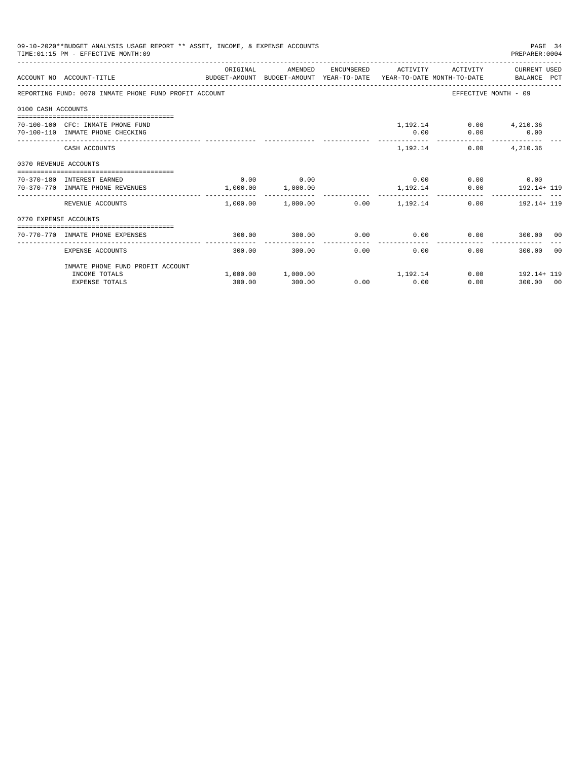|                    | 09-10-2020**BUDGET ANALYSIS USAGE REPORT ** ASSET, INCOME, & EXPENSE ACCOUNTS<br>PAGE 34<br>TIME: 01:15 PM - EFFECTIVE MONTH: 09<br>PREPARER: 0004<br>ORIGINAL<br>AMENDED<br>ENCUMBERED ACTIVITY ACTIVITY CURRENT USED<br>ACCOUNT NO ACCOUNT-TITLE CONTROL PROTECT-AMOUNT BUDGET-AMOUNT YEAR-TO-DATE YEAR-TO-DATE MONTH-TO-DATE BALANCE PCT<br>REPORTING FUND: 0070 INMATE PHONE FUND PROFIT ACCOUNT<br>EFFECTIVE MONTH - 09<br>1,192.14 0.00 4,210.36<br>70-100-100 CFC: INMATE PHONE FUND<br>0.00<br>$0.00$ 0.00<br>70-100-110 INMATE PHONE CHECKING<br>1, 192.14 0.00 4, 210.36<br>CASH ACCOUNTS<br>0370 REVENUE ACCOUNTS<br>$0.00$ 0.00<br>$0.00$ 0.00 0.00 0.00<br>70-370-180 INTEREST EARNED<br>1,000.00 1,000.00<br>1, 192.14 0.00 192.14+ 119<br>70-370-770 INMATE PHONE REVENUES<br>---------<br>-------------<br>--------------<br>$1,000.00$ $1,000.00$ $0.00$ $1,192.14$<br>REVENUE ACCOUNTS<br>$0.00$ 192.14+ 119<br>0770 EXPENSE ACCOUNTS |        |                                            |      |                       |                             |                                         |       |
|--------------------|---------------------------------------------------------------------------------------------------------------------------------------------------------------------------------------------------------------------------------------------------------------------------------------------------------------------------------------------------------------------------------------------------------------------------------------------------------------------------------------------------------------------------------------------------------------------------------------------------------------------------------------------------------------------------------------------------------------------------------------------------------------------------------------------------------------------------------------------------------------------------------------------------------------------------------------------------------|--------|--------------------------------------------|------|-----------------------|-----------------------------|-----------------------------------------|-------|
|                    |                                                                                                                                                                                                                                                                                                                                                                                                                                                                                                                                                                                                                                                                                                                                                                                                                                                                                                                                                         |        |                                            |      |                       |                             |                                         |       |
|                    |                                                                                                                                                                                                                                                                                                                                                                                                                                                                                                                                                                                                                                                                                                                                                                                                                                                                                                                                                         |        |                                            |      |                       |                             |                                         |       |
| 0100 CASH ACCOUNTS |                                                                                                                                                                                                                                                                                                                                                                                                                                                                                                                                                                                                                                                                                                                                                                                                                                                                                                                                                         |        |                                            |      |                       |                             |                                         |       |
|                    |                                                                                                                                                                                                                                                                                                                                                                                                                                                                                                                                                                                                                                                                                                                                                                                                                                                                                                                                                         |        |                                            |      |                       |                             |                                         |       |
|                    |                                                                                                                                                                                                                                                                                                                                                                                                                                                                                                                                                                                                                                                                                                                                                                                                                                                                                                                                                         |        |                                            |      |                       |                             |                                         |       |
|                    |                                                                                                                                                                                                                                                                                                                                                                                                                                                                                                                                                                                                                                                                                                                                                                                                                                                                                                                                                         |        |                                            |      |                       |                             |                                         |       |
|                    |                                                                                                                                                                                                                                                                                                                                                                                                                                                                                                                                                                                                                                                                                                                                                                                                                                                                                                                                                         |        |                                            |      |                       |                             |                                         |       |
|                    |                                                                                                                                                                                                                                                                                                                                                                                                                                                                                                                                                                                                                                                                                                                                                                                                                                                                                                                                                         |        |                                            |      |                       |                             |                                         |       |
|                    |                                                                                                                                                                                                                                                                                                                                                                                                                                                                                                                                                                                                                                                                                                                                                                                                                                                                                                                                                         |        |                                            |      |                       |                             |                                         |       |
|                    | 70-770-770 INMATE PHONE EXPENSES                                                                                                                                                                                                                                                                                                                                                                                                                                                                                                                                                                                                                                                                                                                                                                                                                                                                                                                        | 300.00 | 300.00                                     |      |                       | $0.00$ $0.00$ $0.00$ $0.00$ | 300.00 00                               |       |
|                    | EXPENSE ACCOUNTS                                                                                                                                                                                                                                                                                                                                                                                                                                                                                                                                                                                                                                                                                                                                                                                                                                                                                                                                        | 300.00 | 300.00                                     | 0.00 | -------------<br>0.00 |                             | 0.00<br>300.00                          | - 0.0 |
|                    | INMATE PHONE FUND PROFIT ACCOUNT                                                                                                                                                                                                                                                                                                                                                                                                                                                                                                                                                                                                                                                                                                                                                                                                                                                                                                                        |        |                                            |      |                       |                             |                                         |       |
|                    | INCOME TOTALS<br><b>EXPENSE TOTALS</b>                                                                                                                                                                                                                                                                                                                                                                                                                                                                                                                                                                                                                                                                                                                                                                                                                                                                                                                  | 300.00 | $1,000.00$ $1,000.00$ $1,192.14$<br>300.00 |      | $0.00$ 0.00           |                             | $0.00$ 192.14+ 119<br>0.00<br>300.00 00 |       |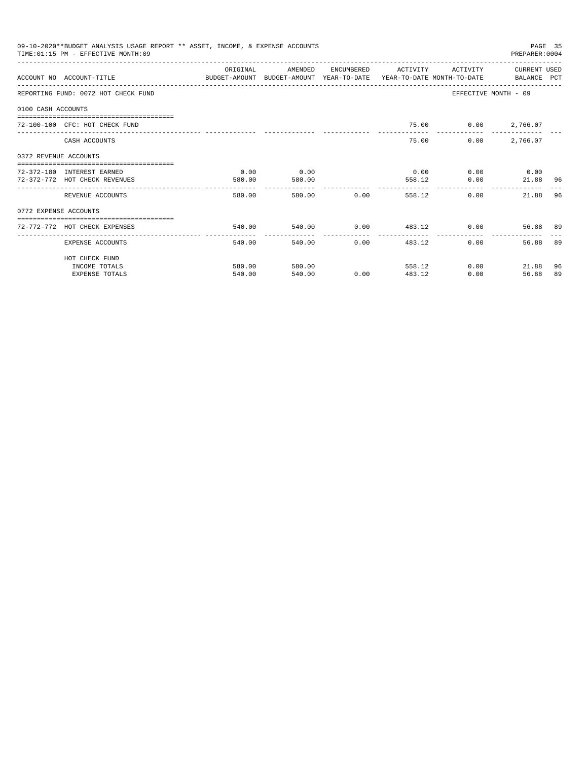| 09-10-2020**BUDGET ANALYSIS USAGE REPORT ** ASSET, INCOME, & EXPENSE ACCOUNTS<br>PAGE 35<br>TIME: 01:15 PM - EFFECTIVE MONTH: 09<br>PREPARER: 0004<br>CURRENT USED<br>OR TGTNAL<br>AMENDED<br>ENCUMBERED<br><b>ACTIVITY</b><br><b>ACTIVITY</b><br>ACCOUNT NO ACCOUNT-TITLE COMPUTER ANOUNT BUDGET-AMOUNT HEAR-TO-DATE YEAR-TO-DATE MONTH-TO-DATE BALANCE PCT<br>EFFECTIVE MONTH - 09<br>REPORTING FUND: 0072 HOT CHECK FUND<br>0100 CASH ACCOUNTS<br>75.00 0.00 2,766.07<br>72-100-100 CFC: HOT CHECK FUND<br>75.00<br>0.00<br>2,766.07<br>CASH ACCOUNTS<br>0372 REVENUE ACCOUNTS<br>0.00<br>0.00<br>72-372-180 INTEREST EARNED<br>0.00<br>$0.00$ 0.00<br>72-372-772 HOT CHECK REVENUES<br>0.00<br>580.00<br>580.00<br>558.12<br>21.88 96<br>-------------- ------------ ----------<br>--------------<br>580.00 0.00<br>0.00<br>96<br>580.00<br>558.12<br>REVENUE ACCOUNTS<br>21.88<br>0772 EXPENSE ACCOUNTS<br>$540.00$ 0.00 $483.12$ 0.00<br>540.00<br>72-772-772 HOT CHECK EXPENSES<br>56.88 89<br>---------------<br>-------------<br>------------<br>0.00<br>0.00<br>89<br>EXPENSE ACCOUNTS<br>540.00<br>540.00<br>483.12<br>56.88<br>HOT CHECK FUND |                       |        |        |      |        |      |               |    |
|-----------------------------------------------------------------------------------------------------------------------------------------------------------------------------------------------------------------------------------------------------------------------------------------------------------------------------------------------------------------------------------------------------------------------------------------------------------------------------------------------------------------------------------------------------------------------------------------------------------------------------------------------------------------------------------------------------------------------------------------------------------------------------------------------------------------------------------------------------------------------------------------------------------------------------------------------------------------------------------------------------------------------------------------------------------------------------------------------------------------------------------------------------------|-----------------------|--------|--------|------|--------|------|---------------|----|
|                                                                                                                                                                                                                                                                                                                                                                                                                                                                                                                                                                                                                                                                                                                                                                                                                                                                                                                                                                                                                                                                                                                                                           |                       |        |        |      |        |      |               |    |
|                                                                                                                                                                                                                                                                                                                                                                                                                                                                                                                                                                                                                                                                                                                                                                                                                                                                                                                                                                                                                                                                                                                                                           |                       |        |        |      |        |      |               |    |
|                                                                                                                                                                                                                                                                                                                                                                                                                                                                                                                                                                                                                                                                                                                                                                                                                                                                                                                                                                                                                                                                                                                                                           |                       |        |        |      |        |      |               |    |
|                                                                                                                                                                                                                                                                                                                                                                                                                                                                                                                                                                                                                                                                                                                                                                                                                                                                                                                                                                                                                                                                                                                                                           |                       |        |        |      |        |      |               |    |
|                                                                                                                                                                                                                                                                                                                                                                                                                                                                                                                                                                                                                                                                                                                                                                                                                                                                                                                                                                                                                                                                                                                                                           |                       |        |        |      |        |      |               |    |
|                                                                                                                                                                                                                                                                                                                                                                                                                                                                                                                                                                                                                                                                                                                                                                                                                                                                                                                                                                                                                                                                                                                                                           |                       |        |        |      |        |      |               |    |
|                                                                                                                                                                                                                                                                                                                                                                                                                                                                                                                                                                                                                                                                                                                                                                                                                                                                                                                                                                                                                                                                                                                                                           |                       |        |        |      |        |      |               |    |
|                                                                                                                                                                                                                                                                                                                                                                                                                                                                                                                                                                                                                                                                                                                                                                                                                                                                                                                                                                                                                                                                                                                                                           |                       |        |        |      |        |      |               |    |
|                                                                                                                                                                                                                                                                                                                                                                                                                                                                                                                                                                                                                                                                                                                                                                                                                                                                                                                                                                                                                                                                                                                                                           |                       |        |        |      |        |      |               |    |
|                                                                                                                                                                                                                                                                                                                                                                                                                                                                                                                                                                                                                                                                                                                                                                                                                                                                                                                                                                                                                                                                                                                                                           |                       |        |        |      |        |      |               |    |
|                                                                                                                                                                                                                                                                                                                                                                                                                                                                                                                                                                                                                                                                                                                                                                                                                                                                                                                                                                                                                                                                                                                                                           |                       |        |        |      |        |      |               |    |
|                                                                                                                                                                                                                                                                                                                                                                                                                                                                                                                                                                                                                                                                                                                                                                                                                                                                                                                                                                                                                                                                                                                                                           |                       |        |        |      |        |      |               |    |
|                                                                                                                                                                                                                                                                                                                                                                                                                                                                                                                                                                                                                                                                                                                                                                                                                                                                                                                                                                                                                                                                                                                                                           |                       |        |        |      |        |      |               |    |
|                                                                                                                                                                                                                                                                                                                                                                                                                                                                                                                                                                                                                                                                                                                                                                                                                                                                                                                                                                                                                                                                                                                                                           | INCOME TOTALS         | 580.00 | 580.00 |      | 558.12 |      | 0.00<br>21.88 | 96 |
|                                                                                                                                                                                                                                                                                                                                                                                                                                                                                                                                                                                                                                                                                                                                                                                                                                                                                                                                                                                                                                                                                                                                                           | <b>EXPENSE TOTALS</b> | 540.00 | 540.00 | 0.00 | 483.12 | 0.00 | 56.88         | 89 |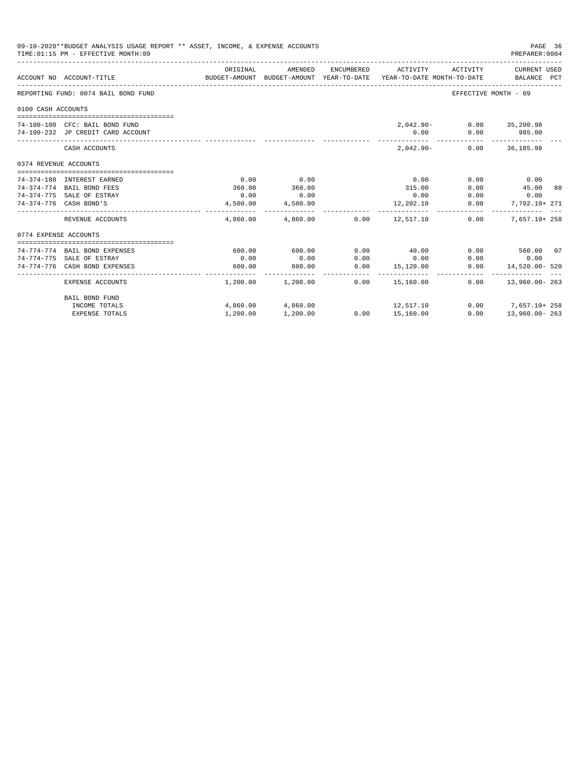|                       | 09-10-2020**BUDGET ANALYSIS USAGE REPORT ** ASSET, INCOME, & EXPENSE ACCOUNTS<br>TIME: 01:15 PM - EFFECTIVE MONTH: 09 |          |                         |            |                                                                                 |                          | PAGE 36<br>PREPARER: 0004   |  |
|-----------------------|-----------------------------------------------------------------------------------------------------------------------|----------|-------------------------|------------|---------------------------------------------------------------------------------|--------------------------|-----------------------------|--|
|                       | ACCOUNT NO ACCOUNT-TITLE                                                                                              | ORIGINAL | AMENDED                 | ENCUMBERED | ACTIVITY<br>BUDGET-AMOUNT BUDGET-AMOUNT YEAR-TO-DATE YEAR-TO-DATE MONTH-TO-DATE | ACTIVITY                 | CURRENT USED<br>BALANCE PCT |  |
|                       | REPORTING FUND: 0074 BAIL BOND FUND                                                                                   |          |                         |            |                                                                                 | EFFECTIVE MONTH - 09     |                             |  |
| 0100 CASH ACCOUNTS    |                                                                                                                       |          |                         |            |                                                                                 |                          |                             |  |
|                       |                                                                                                                       |          |                         |            |                                                                                 |                          |                             |  |
|                       | 74-100-100 CFC: BAIL BOND FUND                                                                                        |          |                         |            |                                                                                 | 2,042.90- 0.00 35,200.98 |                             |  |
|                       | 74-100-232 JP CREDIT CARD ACCOUNT                                                                                     |          |                         |            | 0.00                                                                            | 0.00                     | 985.00                      |  |
|                       | CASH ACCOUNTS                                                                                                         |          |                         |            | $2.042.90-$                                                                     |                          | $0.00$ 36,185.98            |  |
| 0374 REVENUE ACCOUNTS |                                                                                                                       |          |                         |            |                                                                                 |                          |                             |  |
|                       |                                                                                                                       |          |                         |            |                                                                                 |                          |                             |  |
|                       | 74-374-180 INTEREST EARNED                                                                                            | 0.00     | 0.00                    |            | 0.00                                                                            | 0.00                     | 0.00                        |  |
|                       | 74-374-774 BAIL BOND FEES                                                                                             | 360.00   | 360.00                  |            | 315.00                                                                          | 0.00                     | 45.00 88                    |  |
|                       | 74-374-775 SALE OF ESTRAY                                                                                             | 0.00     | 0.00                    |            | 0.00                                                                            | 0.00                     | 0.00                        |  |
|                       | 74-374-776 CASH BOND'S                                                                                                | 4,500.00 | 4,500.00                |            | 12,202.10                                                                       | 0.00                     | 7.702.10+ 271               |  |
|                       | REVENUE ACCOUNTS                                                                                                      |          | --------------          |            | $4,860.00$ $4,860.00$ $0.00$ $12,517.10$                                        | 0.00                     | 7.657.10+ 258               |  |
| 0774 EXPENSE ACCOUNTS |                                                                                                                       |          |                         |            |                                                                                 |                          |                             |  |
|                       |                                                                                                                       |          |                         |            |                                                                                 |                          |                             |  |
|                       | 74-774-774 BAIL BOND EXPENSES                                                                                         | 600.00   | 600.00                  | 0.00       | 40.00                                                                           |                          | $0.00$ 560.00 07            |  |
|                       | 74-774-775 SALE OF ESTRAY                                                                                             | 0.00     | 0.00                    | 0.00       | 0.00                                                                            | 0.00                     | 0.00                        |  |
|                       | 74-774-776 CASH BOND EXPENSES                                                                                         | 600.00   | 600.00<br>------------- | 0.00       | 15,120.00<br>______________________________                                     | 0.00                     | 14,520.00- 520              |  |
|                       | EXPENSE ACCOUNTS                                                                                                      |          | $1,200.00$ $1,200.00$   | 0.00       | 15,160.00                                                                       | 0.00                     | $13,960,00 - 263$           |  |
|                       | BAIL BOND FUND                                                                                                        |          |                         |            |                                                                                 |                          |                             |  |
|                       | INCOME TOTALS                                                                                                         |          | 4,860.00 4,860.00       |            | 12, 517.10                                                                      |                          | $0.00$ 7,657.10+258         |  |
|                       | <b>EXPENSE TOTALS</b>                                                                                                 | 1,200.00 | 1,200.00                |            | 0.00 15,160.00                                                                  | 0.00                     | 13,960.00-263               |  |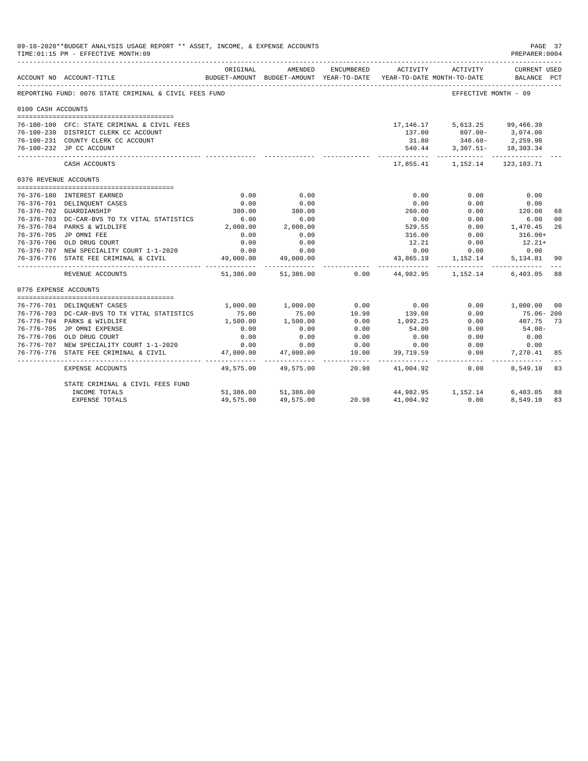| 09-10-2020**BUDGET ANALYSIS USAGE REPORT ** ASSET, INCOME, & EXPENSE ACCOUNTS<br>TIME: 01:15 PM - EFFECTIVE MONTH: 09 |                                                           |                   |                                                     |               |                   |                                                         |                             | PAGE 37<br>PREPARER: 0004 |
|-----------------------------------------------------------------------------------------------------------------------|-----------------------------------------------------------|-------------------|-----------------------------------------------------|---------------|-------------------|---------------------------------------------------------|-----------------------------|---------------------------|
|                                                                                                                       | ACCOUNT NO ACCOUNT-TITLE                                  | ORIGINAL          | AMENDED<br>BUDGET-AMOUNT BUDGET-AMOUNT YEAR-TO-DATE | ENCUMBERED    | ACTIVITY          | ACTIVITY<br>YEAR-TO-DATE MONTH-TO-DATE                  | CURRENT USED<br>BALANCE PCT |                           |
|                                                                                                                       | REPORTING FUND: 0076 STATE CRIMINAL & CIVIL FEES FUND     |                   |                                                     |               |                   | EFFECTIVE MONTH - 09                                    |                             |                           |
| 0100 CASH ACCOUNTS                                                                                                    |                                                           |                   |                                                     |               |                   |                                                         |                             |                           |
|                                                                                                                       | 76-100-100 CFC: STATE CRIMINAL & CIVIL FEES               |                   |                                                     |               |                   | 17, 146. 17 5, 613. 25 99, 466. 39                      |                             |                           |
|                                                                                                                       | 76-100-230 DISTRICT CLERK CC ACCOUNT                      |                   |                                                     |               | 137.00            | $807.00 - 3,074.00$                                     |                             |                           |
|                                                                                                                       | 76-100-231 COUNTY CLERK CC ACCOUNT                        |                   |                                                     |               | 31.80             | $346.60 -$                                              | 2,259.98                    |                           |
|                                                                                                                       | 76-100-232 JP CC ACCOUNT                                  |                   |                                                     |               |                   | 540.44 3,307.51- 18,303.34                              |                             |                           |
|                                                                                                                       | CASH ACCOUNTS                                             |                   |                                                     |               | .                 | ------------ ---------<br>17,855.41 1,152.14 123,103.71 |                             |                           |
| 0376 REVENUE ACCOUNTS                                                                                                 |                                                           |                   |                                                     |               |                   |                                                         |                             |                           |
|                                                                                                                       | 76-376-180 INTEREST EARNED                                | 0.00              | 0.00                                                |               | 0.00              | 0.00                                                    | 0.00                        |                           |
|                                                                                                                       | 76-376-701 DELINQUENT CASES                               | 0.00              | 0.00                                                |               | 0.00              | 0.00                                                    | 0.00                        |                           |
|                                                                                                                       | 76-376-702 GUARDIANSHIP                                   | 380.00            | 380.00                                              |               | 260.00            | 0.00                                                    | 120.00                      | 68                        |
|                                                                                                                       | 76-376-703 DC-CAR-BVS TO TX VITAL STATISTICS              | 6.00              | 6.00                                                |               | 0.00              | 0.00                                                    | 6.00                        | 0 <sub>0</sub>            |
|                                                                                                                       | 76-376-704 PARKS & WILDLIFE                               | 2,000.00          | 2,000.00                                            |               | 529.55            | 0.00                                                    | 1,470.45                    | 26                        |
|                                                                                                                       | 76-376-705 JP OMNI FEE                                    | 0.00              | 0.00                                                |               | 316.00            | 0.00                                                    | $316.00+$                   |                           |
|                                                                                                                       | 76-376-706 OLD DRUG COURT                                 | 0.00              | 0.00                                                |               | 12.21             | 0.00                                                    | $12.21+$                    |                           |
|                                                                                                                       | 76-376-707 NEW SPECIALITY COURT 1-1-2020                  | 0.00              | 0.00                                                |               | 0.00              | 0.00                                                    | 0.00                        |                           |
|                                                                                                                       | 76-376-776 STATE FEE CRIMINAL & CIVIL                     | 49,000.00         | 49,000.00                                           |               | 43,865.19         |                                                         | 1, 152.14 5, 134.81         | 90                        |
|                                                                                                                       | REVENUE ACCOUNTS                                          | .                 | 51,386.00 51,386.00                                 | 0.00          | .                 | 44.982.95 1.152.14 6.403.05                             | . <i>.</i> .                | 88                        |
| 0776 EXPENSE ACCOUNTS                                                                                                 |                                                           |                   |                                                     |               |                   |                                                         |                             |                           |
|                                                                                                                       |                                                           |                   |                                                     |               |                   |                                                         |                             |                           |
|                                                                                                                       | 76-776-701 DELINQUENT CASES                               |                   | 1,000.00 1,000.00                                   | 0.00          | 0.00              | 0.00                                                    | 1,000.00 00                 |                           |
|                                                                                                                       | 76-776-703 DC-CAR-BVS TO TX VITAL STATISTICS              | 75.00             | 75.00                                               | 10.98         | 139.08            | 0.00                                                    | 75.06-200                   |                           |
|                                                                                                                       | 76-776-704 PARKS & WILDLIFE<br>76-776-705 JP OMNI EXPENSE | 1,500.00<br>0.00  | 1,500.00                                            | 0.00<br>0.00  | 1,092.25          | 0.00                                                    | 407.75<br>$54.00 -$         | 73                        |
|                                                                                                                       | 76-776-706 OLD DRUG COURT                                 | 0.00              | 0.00                                                | 0.00          | 54.00             | 0.00<br>0.00                                            | 0.00                        |                           |
|                                                                                                                       | 76-776-707 NEW SPECIALITY COURT 1-1-2020                  |                   | 0.00                                                |               | 0.00              |                                                         |                             |                           |
|                                                                                                                       | 76-776-776 STATE FEE CRIMINAL & CIVIL                     | 0.00<br>47,000.00 | 0.00<br>47,000.00                                   | 0.00<br>10.00 | 0.00<br>39,719.59 | 0.00<br>0.00                                            | 0.00<br>7,270.41            | 85                        |
|                                                                                                                       |                                                           | ______________    | .                                                   | ------- -     | -----------       | ------------                                            |                             |                           |
|                                                                                                                       | EXPENSE ACCOUNTS                                          | 49,575.00         | 49,575.00                                           | 20.98         | 41,004.92         | 0.00                                                    | 8,549.10                    | 83                        |
|                                                                                                                       | STATE CRIMINAL & CIVIL FEES FUND                          |                   |                                                     |               |                   |                                                         |                             |                           |
|                                                                                                                       | INCOME TOTALS                                             |                   | 51,386.00 51,386.00                                 |               |                   | 44,982.95 1,152.14 6,403.05                             |                             | 88                        |
|                                                                                                                       | <b>EXPENSE TOTALS</b>                                     | 49,575.00         | 49,575.00                                           | 20.98         | 41,004.92         | 0.00                                                    | 8,549.10                    | 83                        |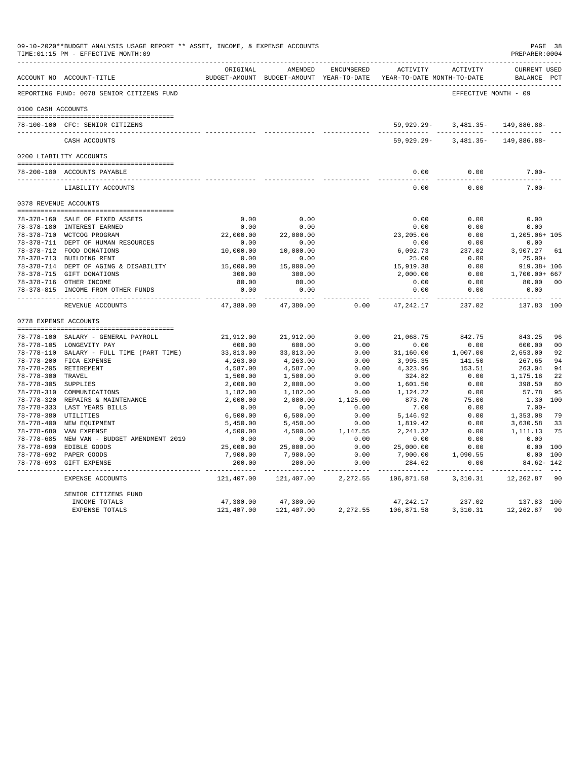|                      | 09-10-2020**BUDGET ANALYSIS USAGE REPORT ** ASSET, INCOME, & EXPENSE ACCOUNTS<br>TIME: 01:15 PM - EFFECTIVE MONTH: 09 |                          |                                                     |                       |                                               |                         | PAGE 38<br>PREPARER: 0004          |                |
|----------------------|-----------------------------------------------------------------------------------------------------------------------|--------------------------|-----------------------------------------------------|-----------------------|-----------------------------------------------|-------------------------|------------------------------------|----------------|
|                      | ACCOUNT NO ACCOUNT-TITLE                                                                                              | ORIGINAL                 | AMENDED<br>BUDGET-AMOUNT BUDGET-AMOUNT YEAR-TO-DATE | ENCUMBERED            | <b>ACTIVITY</b><br>YEAR-TO-DATE MONTH-TO-DATE | ACTIVITY                | <b>CURRENT USED</b><br>BALANCE PCT |                |
|                      | REPORTING FUND: 0078 SENIOR CITIZENS FUND                                                                             |                          |                                                     |                       |                                               | EFFECTIVE MONTH - 09    |                                    |                |
| 0100 CASH ACCOUNTS   |                                                                                                                       |                          |                                                     |                       |                                               |                         |                                    |                |
|                      |                                                                                                                       |                          |                                                     |                       |                                               |                         |                                    |                |
|                      | 78-100-100 CFC: SENIOR CITIZENS                                                                                       |                          |                                                     |                       | 59,929.29-                                    |                         | $3,481.35 - 149.886.88 -$          |                |
|                      | CASH ACCOUNTS                                                                                                         |                          |                                                     |                       | $59,929.29 -$                                 | $3,481.35-$             | 149,886.88-                        |                |
|                      | 0200 LIABILITY ACCOUNTS                                                                                               |                          |                                                     |                       |                                               |                         |                                    |                |
|                      | 78-200-180 ACCOUNTS PAYABLE                                                                                           |                          |                                                     |                       | 0.00                                          | 0.00                    | $7.00 -$                           |                |
|                      | LIABILITY ACCOUNTS                                                                                                    |                          |                                                     |                       | $- - - -$<br>0.00                             | 0.00                    | $7.00 -$                           |                |
|                      | 0378 REVENUE ACCOUNTS                                                                                                 |                          |                                                     |                       |                                               |                         |                                    |                |
|                      |                                                                                                                       |                          |                                                     |                       |                                               |                         |                                    |                |
|                      | 78-378-160 SALE OF FIXED ASSETS                                                                                       | 0.00                     | 0.00                                                |                       | 0.00                                          | 0.00                    | 0.00                               |                |
|                      | 78-378-180 INTEREST EARNED                                                                                            | 0.00                     | 0.00                                                |                       | 0.00                                          | 0.00                    | 0.00                               |                |
|                      | 78-378-710 WCTCOG PROGRAM                                                                                             | 22,000.00                | 22,000.00                                           |                       | 23, 205.06                                    | 0.00                    | 1,205.06+ 105                      |                |
|                      | 78-378-711 DEPT OF HUMAN RESOURCES<br>78-378-712 FOOD DONATIONS                                                       | 0.00                     | 0.00                                                |                       | 0.00                                          | 0.00                    | 0.00                               |                |
|                      | 78-378-713 BUILDING RENT                                                                                              | 10,000.00<br>0.00        | 10,000.00<br>0.00                                   |                       | 6,092.73<br>25.00                             | 237.02<br>0.00          | 3,907.27<br>$25.00+$               | 61             |
|                      | 78-378-714 DEPT OF AGING & DISABILITY                                                                                 | 15,000.00                | 15,000.00                                           |                       | 15,919.38                                     | 0.00                    | $919.38 + 106$                     |                |
|                      | 78-378-715 GIFT DONATIONS                                                                                             | 300.00                   | 300.00                                              |                       | 2,000.00                                      | 0.00                    | 1,700.00+ 667                      |                |
|                      | 78-378-716 OTHER INCOME                                                                                               | 80.00                    | 80.00                                               |                       | 0.00                                          | 0.00                    | 80.00                              | 00             |
|                      | 78-378-815 INCOME FROM OTHER FUNDS                                                                                    | 0.00                     | 0.00                                                |                       | 0.00                                          | 0.00                    | 0.00                               |                |
|                      | REVENUE ACCOUNTS                                                                                                      | -----------<br>47,380.00 | $- - - - - -$<br>47,380.00                          | 0.00                  | ----------<br>47,242.17                       | $- - - - - -$<br>237.02 | 137.83 100                         |                |
|                      | 0778 EXPENSE ACCOUNTS                                                                                                 |                          |                                                     |                       |                                               |                         |                                    |                |
|                      |                                                                                                                       |                          |                                                     |                       |                                               |                         |                                    |                |
|                      | 78-778-100 SALARY - GENERAL PAYROLL                                                                                   | 21,912.00                | 21,912.00                                           | 0.00                  | 21,068.75                                     | 842.75                  | 843.25                             | 96             |
|                      | 78-778-105 LONGEVITY PAY                                                                                              | 600.00                   | 600.00                                              | 0.00                  | 0.00                                          | 0.00                    | 600.00                             | 0 <sub>0</sub> |
|                      | 78-778-110 SALARY - FULL TIME (PART TIME)                                                                             | 33,813.00                | 33,813.00                                           | 0.00                  | 31,160.00                                     | 1,007.00                | 2,653.00                           | 92             |
|                      | 78-778-200 FICA EXPENSE                                                                                               | 4,263.00                 | 4,263.00                                            | 0.00                  | 3,995.35                                      | 141.50                  | 267.65                             | 94             |
| 78-778-300 TRAVEL    | 78-778-205 RETIREMENT                                                                                                 | 4,587.00<br>1,500.00     | 4,587.00<br>1,500.00                                | 0.00<br>0.00          | 4,323.96<br>324.82                            | 153.51<br>0.00          | 263.04<br>1,175.18                 | 94<br>22       |
| 78-778-305 SUPPLIES  |                                                                                                                       | 2,000.00                 | 2,000.00                                            | 0.00                  | 1,601.50                                      | 0.00                    | 398.50                             | 80             |
|                      | 78-778-310 COMMUNICATIONS                                                                                             | 1,182.00                 | 1,182.00                                            | 0.00                  | 1,124.22                                      | 0.00                    | 57.78                              | 95             |
|                      | 78-778-320 REPAIRS & MAINTENANCE                                                                                      | 2,000.00                 | 2,000.00                                            | 1,125.00              | 873.70                                        | 75.00                   | 1.30 100                           |                |
|                      | 78-778-333 LAST YEARS BILLS                                                                                           | 0.00                     | 0.00                                                | 0.00                  | 7.00                                          | 0.00                    | $7.00 -$                           |                |
| 78-778-380 UTILITIES |                                                                                                                       | 6,500.00                 | 6,500.00                                            | 0.00                  | 5,146.92                                      | 0.00                    | 1,353.08                           | 79             |
|                      | 78-778-400 NEW EQUIPMENT                                                                                              | 5,450.00                 | 5,450.00                                            | 0.00                  | 1,819.42                                      | 0.00                    | 3,630.58                           | 33             |
|                      | 78-778-680 VAN EXPENSE                                                                                                | 4,500.00                 | 4,500.00                                            | 1,147.55              | 2,241.32                                      | 0.00                    | 1,111.13                           | 75             |
|                      | 78-778-685 NEW VAN - BUDGET AMENDMENT 2019                                                                            | 0.00                     | 0.00                                                | 0.00                  | 0.00                                          | 0.00                    | 0.00                               |                |
|                      | 78-778-690 EDIBLE GOODS                                                                                               | 25,000.00                | 25,000.00                                           | 0.00                  | 25,000.00                                     | 0.00                    | 0.00 100                           |                |
|                      | 78-778-692 PAPER GOODS                                                                                                | 7,900.00                 | 7,900.00                                            | 0.00                  | 7,900.00                                      | 1,090.55                | 0.00 100                           |                |
|                      | 78-778-693 GIFT EXPENSE                                                                                               | 200.00<br>-------------  | 200.00<br>. _ _ _ _ _ _ _ _ _ _ _ _                 | 0.00<br>------------- | 284.62<br>--------------                      | 0.00<br>------------    | $84.62 - 142$<br>____________      |                |
|                      | EXPENSE ACCOUNTS                                                                                                      | 121,407.00               | 121,407.00                                          | 2,272.55              | 106,871.58                                    | 3,310.31                | 12,262.87                          | 90             |
|                      | SENIOR CITIZENS FUND                                                                                                  |                          |                                                     |                       |                                               |                         |                                    |                |
|                      | INCOME TOTALS                                                                                                         | 47,380.00                | 47,380.00                                           |                       | 47,242.17                                     | 237.02                  | 137.83 100                         |                |
|                      | <b>EXPENSE TOTALS</b>                                                                                                 | 121,407.00               | 121,407.00                                          | 2,272.55              | 106,871.58                                    | 3,310.31                | 12,262.87                          | 90             |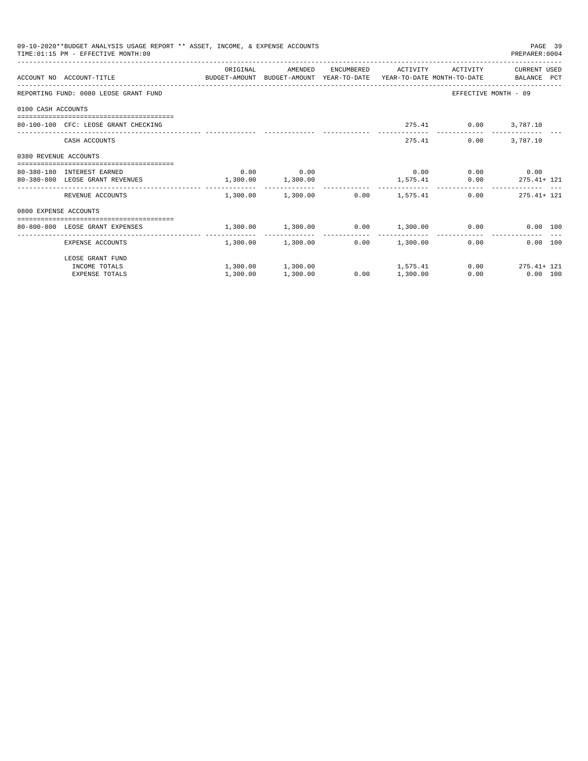|                       | 09-10-2020**BUDGET ANALYSIS USAGE REPORT ** ASSET, INCOME, & EXPENSE ACCOUNTS<br>TIME: 01:15 PM - EFFECTIVE MONTH: 09 |                                                                    |                   |      |                                         |                             | PAGE 39<br>PREPARER:0004 |  |
|-----------------------|-----------------------------------------------------------------------------------------------------------------------|--------------------------------------------------------------------|-------------------|------|-----------------------------------------|-----------------------------|--------------------------|--|
|                       |                                                                                                                       | ORIGINAL                                                           | AMENDED           |      | ENCUMBERED ACTIVITY                     |                             | ACTIVITY CURRENT USED    |  |
|                       | ACCOUNT NO ACCOUNT-TITLE CONTROL BUDGET-AMOUNT BUDGET-AMOUNT YEAR-TO-DATE YEAR-TO-DATE MONTH-TO-DATE BALANCE PCT      |                                                                    |                   |      |                                         |                             |                          |  |
|                       | REPORTING FUND: 0080 LEOSE GRANT FUND                                                                                 |                                                                    |                   |      |                                         | EFFECTIVE MONTH - 09        |                          |  |
| 0100 CASH ACCOUNTS    |                                                                                                                       |                                                                    |                   |      |                                         |                             |                          |  |
|                       | 80-100-100 CFC: LEOSE GRANT CHECKING                                                                                  |                                                                    |                   |      |                                         | 275.41 0.00 3,787.10        |                          |  |
|                       | CASH ACCOUNTS                                                                                                         |                                                                    |                   |      | 275.41                                  | 0.00                        | 3,787.10                 |  |
| 0380 REVENUE ACCOUNTS |                                                                                                                       |                                                                    |                   |      |                                         |                             |                          |  |
|                       | 80-380-180 INTEREST EARNED                                                                                            |                                                                    | $0.00$ 0.00       |      |                                         | $0.00$ $0.00$ $0.00$ $0.00$ |                          |  |
|                       | 80-380-800 LEOSE GRANT REVENUES 1,300.00 1,300.00                                                                     |                                                                    |                   |      |                                         | 1,575.41 0.00 275.41+ 121   |                          |  |
|                       | REVENUE ACCOUNTS                                                                                                      |                                                                    |                   |      | $1,300.00$ $1,300.00$ $0.00$ $1,575.41$ |                             | $0.00$ 275.41+ 121       |  |
| 0800 EXPENSE ACCOUNTS |                                                                                                                       |                                                                    |                   |      |                                         |                             |                          |  |
|                       | -----------------------------------<br>80-800-800 LEOSE GRANT EXPENSES                                                | $1,300.00$ $1,300.00$ $0.00$ $1,300.00$ $0.00$ $0.00$ $0.00$ $100$ |                   |      |                                         |                             |                          |  |
|                       | ------------------------------------ --- -<br>EXPENSE ACCOUNTS                                                        |                                                                    | 1,300.00 1,300.00 |      | $0.00$ 1,300.00                         | $0.00$ and $0.00$           | $0.00$ 100               |  |
|                       | LEOSE GRANT FUND                                                                                                      |                                                                    |                   |      |                                         |                             |                          |  |
|                       | INCOME TOTALS                                                                                                         |                                                                    |                   |      | $1,300.00$ $1,300.00$ $1,575.41$        |                             | $0.00$ 275.41+ 121       |  |
|                       | <b>EXPENSE TOTALS</b>                                                                                                 | 1,300.00                                                           | 1,300.00          | 0.00 | 1,300.00                                | 0.00                        | $0.00$ 100               |  |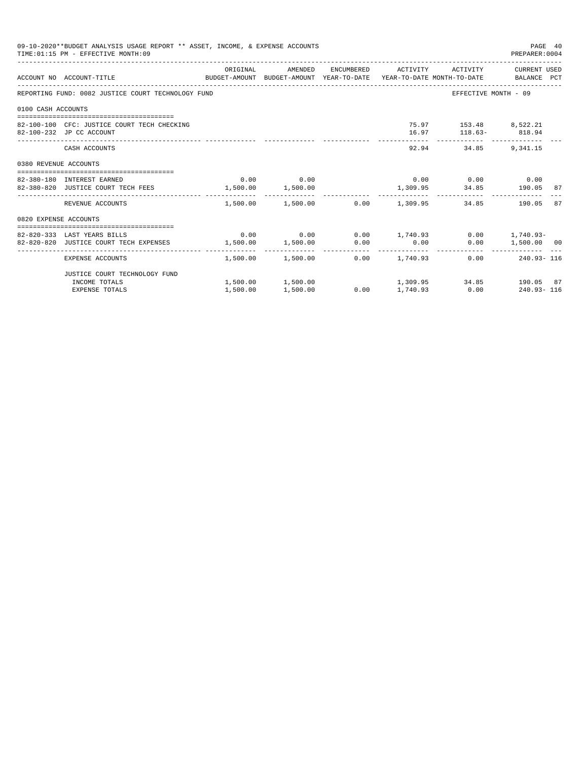| 09-10-2020**BUDGET ANALYSIS USAGE REPORT ** ASSET, INCOME, & EXPENSE ACCOUNTS<br>PAGE 40<br>TIME: 01:15 PM - EFFECTIVE MONTH: 09<br>PREPARER: 0004 |                                                                                                                   |          |             |  |                                                            |                                               |                    |    |
|----------------------------------------------------------------------------------------------------------------------------------------------------|-------------------------------------------------------------------------------------------------------------------|----------|-------------|--|------------------------------------------------------------|-----------------------------------------------|--------------------|----|
|                                                                                                                                                    | ACCOUNT NO ACCOUNT-TITLE COMPUTER SUDGET-AMOUNT BUDGET-AMOUNT YEAR-TO-DATE YEAR-TO-DATE MONTH-TO-DATE BALANCE PCT |          |             |  | ORIGINAL AMENDED ENCUMBERED ACTIVITY ACTIVITY CURRENT USED |                                               |                    |    |
|                                                                                                                                                    | REPORTING FUND: 0082 JUSTICE COURT TECHNOLOGY FUND                                                                |          |             |  |                                                            | EFFECTIVE MONTH - 09                          |                    |    |
| 0100 CASH ACCOUNTS                                                                                                                                 |                                                                                                                   |          |             |  |                                                            |                                               |                    |    |
|                                                                                                                                                    | 82-100-100 CFC: JUSTICE COURT TECH CHECKING<br>82-100-232 JP CC ACCOUNT                                           |          |             |  |                                                            | 75.97 153.48 8,522.21<br>16.97 118.63- 818.94 |                    |    |
|                                                                                                                                                    | CASH ACCOUNTS                                                                                                     |          |             |  |                                                            | 92.94 34.85 9.341.15                          |                    |    |
| 0380 REVENUE ACCOUNTS                                                                                                                              |                                                                                                                   |          |             |  |                                                            |                                               |                    |    |
|                                                                                                                                                    | 82-380-180 INTEREST EARNED                                                                                        |          | $0.00$ 0.00 |  |                                                            | $0.00$ 0.00 0.00                              |                    |    |
|                                                                                                                                                    | 82-380-820 JUSTICE COURT TECH FEES $1,500.00$ $1,500.00$ $1,500.00$ $1,309.95$ $34.85$ $190.05$ $87.5$            |          |             |  |                                                            |                                               |                    |    |
|                                                                                                                                                    | REVENUE ACCOUNTS                                                                                                  |          |             |  | $1.500.00$ $1.500.00$ $0.00$ $1.309.95$                    |                                               | 34.85 190.05       | 87 |
| 0820 EXPENSE ACCOUNTS                                                                                                                              |                                                                                                                   |          |             |  |                                                            |                                               |                    |    |
|                                                                                                                                                    | 82-820-333 LAST YEARS BILLS                                                                                       |          |             |  | $0.00$ $0.00$ $0.00$ $1,740.93$ $0.00$ $1,740.93$ $0.00$   |                                               |                    |    |
|                                                                                                                                                    | 82-820-820 JUSTICE COURT TECH EXPENSES $1,500.00$ $1,500.00$ $0.00$ $0.00$                                        |          |             |  |                                                            |                                               | $0.00$ 1,500.00 00 |    |
|                                                                                                                                                    | EXPENSE ACCOUNTS                                                                                                  |          |             |  | $1,500.00$ $1,500.00$ $0.00$ $1,740.93$                    |                                               | $0.00$ 240.93-116  |    |
|                                                                                                                                                    | JUSTICE COURT TECHNOLOGY FUND                                                                                     |          |             |  |                                                            |                                               |                    |    |
|                                                                                                                                                    | INCOME TOTALS                                                                                                     |          |             |  | $1,500.00$ $1,500.00$ $1,309.95$ $34.85$ $190.05$ $87$     |                                               |                    |    |
|                                                                                                                                                    | <b>EXPENSE TOTALS</b>                                                                                             | 1,500.00 | 1,500.00    |  | $0.00$ 1,740.93 0.00 240.93 116                            |                                               |                    |    |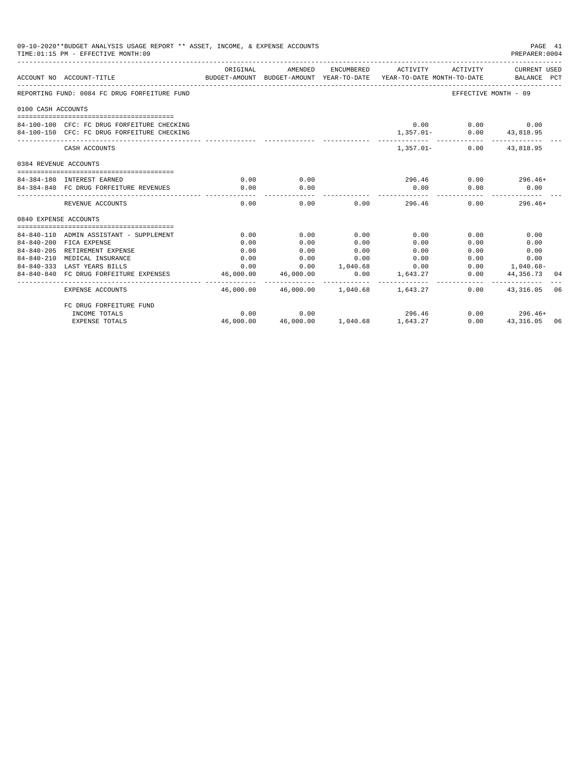|                       | 09-10-2020**BUDGET ANALYSIS USAGE REPORT ** ASSET, INCOME, & EXPENSE ACCOUNTS<br>TIME: 01:15 PM - EFFECTIVE MONTH: 09 |                                                                                             |                                          |                     |                             |                                           | PAGE 41<br>PREPARER:0004  |    |
|-----------------------|-----------------------------------------------------------------------------------------------------------------------|---------------------------------------------------------------------------------------------|------------------------------------------|---------------------|-----------------------------|-------------------------------------------|---------------------------|----|
|                       | ACCOUNT NO ACCOUNT-TITLE                                                                                              | ORIGINAL<br>BUDGET-AMOUNT BUDGET-AMOUNT YEAR-TO-DATE YEAR-TO-DATE MONTH-TO-DATE BALANCE PCT | AMENDED                                  |                     |                             | ENCUMBERED ACTIVITY ACTIVITY CURRENT USED |                           |    |
|                       | REPORTING FUND: 0084 FC DRUG FORFEITURE FUND                                                                          |                                                                                             |                                          |                     |                             |                                           | EFFECTIVE MONTH - 09      |    |
| 0100 CASH ACCOUNTS    |                                                                                                                       |                                                                                             |                                          |                     |                             |                                           |                           |    |
|                       |                                                                                                                       |                                                                                             |                                          |                     |                             |                                           |                           |    |
|                       | 84-100-100 CFC: FC DRUG FORFEITURE CHECKING                                                                           |                                                                                             |                                          |                     |                             | $0.00$ $0.00$ $0.00$                      |                           |    |
|                       | 84-100-150 CFC: FC DRUG FORFEITURE CHECKING                                                                           |                                                                                             |                                          |                     |                             | 1,357.01- 0.00 43,818.95                  |                           |    |
|                       | CASH ACCOUNTS                                                                                                         |                                                                                             |                                          |                     |                             | $1,357.01 - 0.00$ 43,818.95               |                           |    |
| 0384 REVENUE ACCOUNTS |                                                                                                                       |                                                                                             |                                          |                     |                             |                                           |                           |    |
|                       |                                                                                                                       |                                                                                             |                                          |                     |                             |                                           |                           |    |
|                       | 84-384-180 INTEREST EARNED                                                                                            | 0.00                                                                                        | 0.00                                     |                     |                             | $296.46$ 0.00 296.46+                     |                           |    |
|                       | 84-384-840 FC DRUG FORFEITURE REVENUES                                                                                | 0.00                                                                                        | 0.00                                     |                     | 0.00                        | 0.00                                      | 0.00                      |    |
|                       | REVENUE ACCOUNTS                                                                                                      | 0.00                                                                                        | 0.00                                     |                     | $0.00$ 296.46               |                                           | 0.00<br>$296.46+$         |    |
| 0840 EXPENSE ACCOUNTS |                                                                                                                       |                                                                                             |                                          |                     |                             |                                           |                           |    |
|                       |                                                                                                                       |                                                                                             |                                          |                     |                             |                                           |                           |    |
|                       | 84-840-110 ADMIN ASSISTANT - SUPPLEMENT                                                                               | 0.00                                                                                        | 0.00                                     | 0.00                | 0.00                        | 0.00                                      | 0.00                      |    |
|                       | 84-840-200 FICA EXPENSE                                                                                               | 0.00                                                                                        | 0.00                                     | 0.00                | 0.00                        | 0.00                                      | 0.00                      |    |
|                       | 84-840-205 RETIREMENT EXPENSE                                                                                         | 0.00                                                                                        | 0.00                                     | 0.00                | 0.00                        | 0.00                                      | 0.00                      |    |
|                       | 84-840-210 MEDICAL INSURANCE                                                                                          | 0.00                                                                                        | 0.00                                     | 0.00                | 0.00                        |                                           | $0.00$ and $0.00$<br>0.00 |    |
|                       | 84-840-333 LAST YEARS BILLS                                                                                           | 0.00                                                                                        | $0.00$ $1.040.68$ $0.00$                 |                     |                             |                                           | $0.00$ 1,040.68-          |    |
|                       | 84-840-840 FC DRUG FORFEITURE EXPENSES                                                                                | 46,000.00<br>-----------                                                                    | 46,000.00<br>-------------               | 0.00<br>----------- | 1,643.27                    | ------------ <b>-</b>                     | $0.00$ $44,356.73$<br>.   | 04 |
|                       | <b>EXPENSE ACCOUNTS</b>                                                                                               |                                                                                             | 46,000.00  46,000.00  1,040.68  1,643.27 |                     |                             |                                           | $0.00$ $43.316.05$        | 06 |
|                       | FC DRUG FORFEITURE FUND                                                                                               |                                                                                             |                                          |                     |                             |                                           |                           |    |
|                       | INCOME TOTALS                                                                                                         | 0.00                                                                                        | 0.00                                     |                     | 296.46                      |                                           | $0.00$ 296.46+            |    |
|                       | <b>EXPENSE TOTALS</b>                                                                                                 | 46,000.00                                                                                   |                                          |                     | 46,000.00 1,040.68 1,643.27 | 0.00                                      | 43, 316.05 06             |    |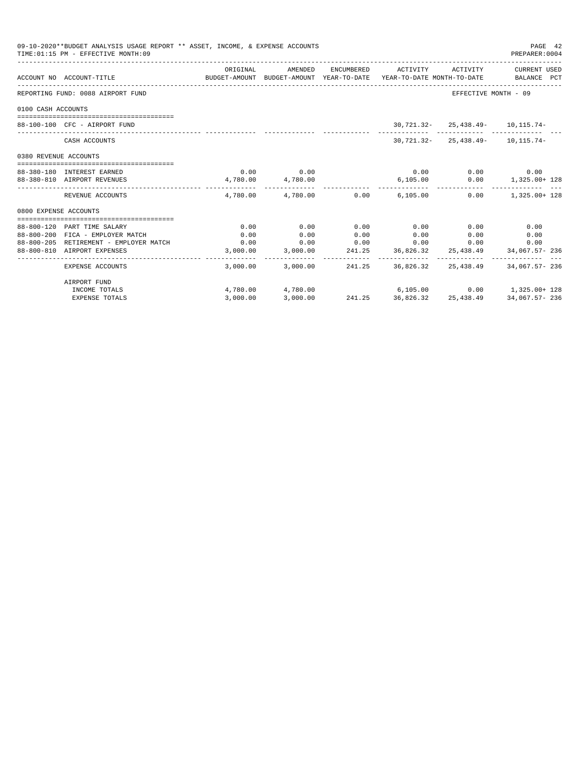| 09-10-2020**BUDGET ANALYSIS USAGE REPORT ** ASSET, INCOME, & EXPENSE ACCOUNTS<br>TIME: 01:15 PM - EFFECTIVE MONTH: 09 |                                                                                                                    |          |             |      |                                         |                                             |                                                                          |
|-----------------------------------------------------------------------------------------------------------------------|--------------------------------------------------------------------------------------------------------------------|----------|-------------|------|-----------------------------------------|---------------------------------------------|--------------------------------------------------------------------------|
|                                                                                                                       | ACCOUNT NO ACCOUNT-TITLE CONTROL CONTROLLER TO BUDGET-AMOUNT BUDGET-AMOUNT YEAR-TO-DATE YEAR-TO-DATE MONTH-TO-DATE | ORIGINAL |             |      |                                         |                                             | AMENDED ENCUMBERED ACTIVITY ACTIVITY CURRENT USED                        |
|                                                                                                                       | REPORTING FUND: 0088 AIRPORT FUND                                                                                  |          |             |      |                                         | EFFECTIVE MONTH - 09                        |                                                                          |
| 0100 CASH ACCOUNTS                                                                                                    |                                                                                                                    |          |             |      |                                         |                                             |                                                                          |
|                                                                                                                       | 88-100-100 CFC - AIRPORT FUND                                                                                      |          |             |      |                                         | $30,721.32 - 25,438.49 - 10,115.74 -$       |                                                                          |
|                                                                                                                       | CASH ACCOUNTS                                                                                                      |          |             |      |                                         | $30, 721, 32 - 25, 438, 49 - 10, 115, 74 -$ |                                                                          |
| 0380 REVENUE ACCOUNTS                                                                                                 |                                                                                                                    |          |             |      |                                         |                                             |                                                                          |
|                                                                                                                       | 88-380-180 INTEREST EARNED                                                                                         |          | $0.00$ 0.00 |      |                                         | $0.00$ $0.00$ $0.00$ $0.00$                 |                                                                          |
|                                                                                                                       | 88-380-810 AIRPORT REVENUES                                                                                        |          |             |      |                                         |                                             | $4,780.00$ $4,780.00$ $6,105.00$ $0.00$ $1,325.00+128$                   |
|                                                                                                                       | REVENUE ACCOUNTS                                                                                                   |          |             |      | $4,780.00$ $4,780.00$ $0.00$ $6,105.00$ | 0.00                                        | 1,325.00+ 128                                                            |
| 0800 EXPENSE ACCOUNTS                                                                                                 |                                                                                                                    |          |             |      |                                         |                                             |                                                                          |
|                                                                                                                       | 88-800-120 PART TIME SALARY                                                                                        | 0.00     | 0.00        | 0.00 | 0.00                                    | 0.00                                        | 0.00                                                                     |
|                                                                                                                       | 88-800-200 FICA - EMPLOYER MATCH                                                                                   | 0.00     | 0.00        | 0.00 | 0.00                                    | $0.00$ and $0.00$                           | 0.00                                                                     |
|                                                                                                                       | 88-800-205 RETIREMENT - EMPLOYER MATCH                                                                             | 0.00     | 0.00        |      | $0.00$ 0.00                             | 0.00                                        | 0.00                                                                     |
|                                                                                                                       | 88-800-810 AIRPORT EXPENSES                                                                                        |          |             |      |                                         |                                             | $3,000.00$ $3,000.00$ $241.25$ $36,826.32$ $25,438.49$ $34,067.57 - 236$ |
|                                                                                                                       | EXPENSE ACCOUNTS                                                                                                   |          |             |      |                                         |                                             | 3,000.00 3,000.00 241.25 36,826.32 25,438.49 34,067.57 236               |
|                                                                                                                       | AIRPORT FUND                                                                                                       |          |             |      |                                         |                                             |                                                                          |
|                                                                                                                       | INCOME TOTALS                                                                                                      |          |             |      | $4,780.00$ $4,780.00$ $6,105.00$        |                                             | $0.00$ 1,325.00+ 128                                                     |
|                                                                                                                       | <b>EXPENSE TOTALS</b>                                                                                              | 3.000.00 | 3,000.00    |      |                                         |                                             | 241.25 36,826.32 25,438.49 34,067.57-236                                 |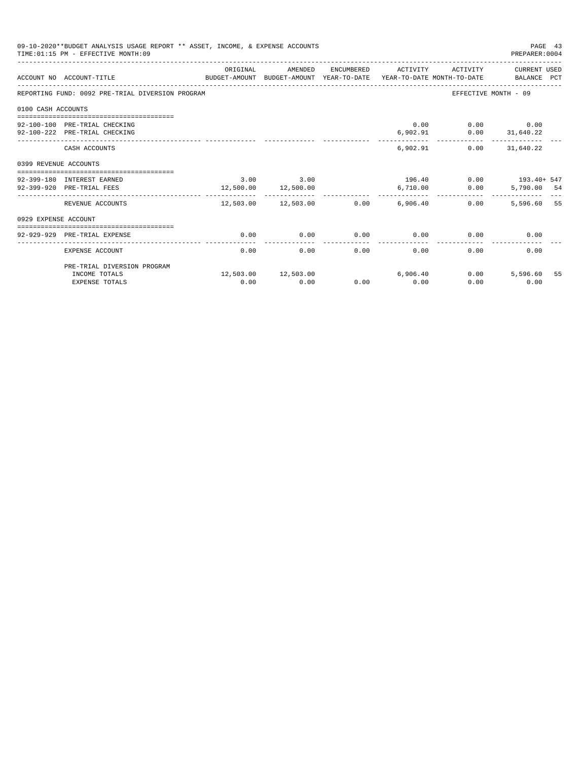|                       | 09-10-2020**BUDGET ANALYSIS USAGE REPORT ** ASSET, INCOME, & EXPENSE ACCOUNTS<br>TIME: 01:15 PM - EFFECTIVE MONTH: 09 |          |                                  |      |                          |                                                  | PAGE 43<br>PREPARER: 0004            |  |
|-----------------------|-----------------------------------------------------------------------------------------------------------------------|----------|----------------------------------|------|--------------------------|--------------------------------------------------|--------------------------------------|--|
|                       | ACCOUNT NO ACCOUNT-TITLE<br>BUDGET-AMOUNT BUDGET-AMOUNT YEAR-TO-DATE YEAR-TO-DATE MONTH-TO-DATE BALANCE PCT           | ORIGINAL | AMENDED                          |      | ENCUMBERED ACTIVITY      | ACTIVITY                                         | CURRENT USED                         |  |
|                       | REPORTING FUND: 0092 PRE-TRIAL DIVERSION PROGRAM                                                                      |          |                                  |      |                          |                                                  | EFFECTIVE MONTH - 09                 |  |
| 0100 CASH ACCOUNTS    |                                                                                                                       |          |                                  |      |                          |                                                  |                                      |  |
|                       | =====================================<br>92-100-100 PRE-TRIAL CHECKING<br>92-100-222 PRE-TRIAL CHECKING               |          |                                  |      |                          | 0.00<br>$6,902.91$ $0.00$ $31,640.22$            | $0.00$ 0.00                          |  |
|                       | CASH ACCOUNTS                                                                                                         |          |                                  |      |                          | __________________________<br>6.902.91           | --------------<br>$0.00$ $31.640.22$ |  |
| 0399 REVENUE ACCOUNTS |                                                                                                                       |          |                                  |      |                          |                                                  |                                      |  |
|                       | 92-399-180 INTEREST EARNED<br>92-399-920 PRE-TRIAL FEES                                                               |          | 3.00 3.00<br>12,500.00 12,500.00 |      |                          | $196.40$ 0.00 $193.40 + 547$<br>6,710.00<br>0.00 | 5,790.00 54                          |  |
|                       | REVENUE ACCOUNTS                                                                                                      |          | 12,503.00 12,503.00 0.00         |      | ------------<br>6,906.40 | 0.00                                             | 5,596.60 55                          |  |
| 0929 EXPENSE ACCOUNT  |                                                                                                                       |          |                                  |      |                          |                                                  |                                      |  |
|                       | 92-929-929 PRE-TRIAL EXPENSE                                                                                          | 0.00     | 0.00                             | 0.00 | 0.00                     |                                                  | 0.00<br>0.00                         |  |
|                       | EXPENSE ACCOUNT                                                                                                       | 0.00     | 0.00                             | 0.00 | 0.00                     | 0.00                                             | 0.00                                 |  |
|                       | PRE-TRIAL DIVERSION PROGRAM                                                                                           |          |                                  |      |                          |                                                  |                                      |  |
|                       | INCOME TOTALS<br><b>EXPENSE TOTALS</b>                                                                                | 0.00     | 12,503.00 12,503.00<br>0.00      | 0.00 | 6,906.40<br>0.00         | 0.00<br>0.00                                     | 5,596.60 55<br>0.00                  |  |